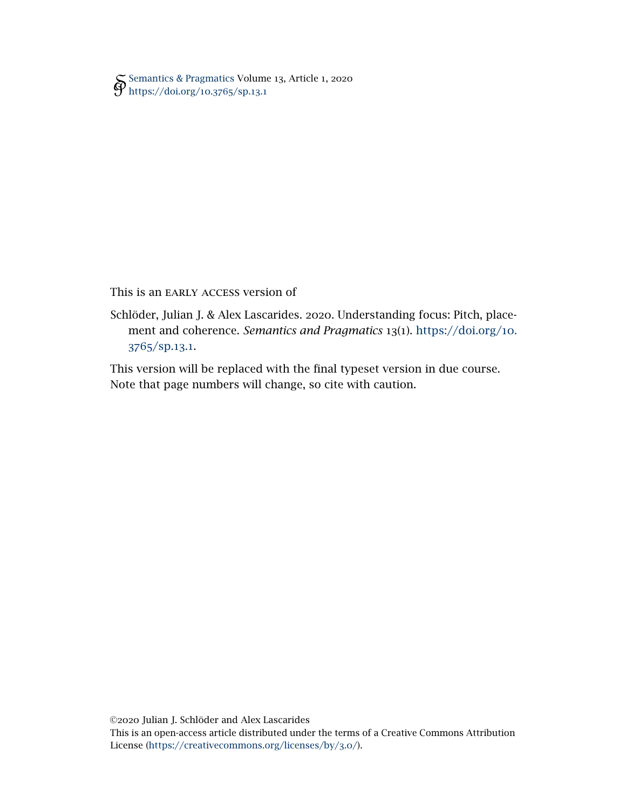[Semantics & Pragmatics](http://semprag.org/) Volume 13, Article 1, 2020 [https://doi.org/](https://doi.org/10.3765/sp.13.1)10.3765/sp.13.1

This is an EARLY ACCESS version of

Schlöder, Julian J. & Alex Lascarides. 2020. Understanding focus: Pitch, placement and coherence. *Semantics and Pragmatics* 13(1). [https://doi.org/](https://doi.org/10.3765/sp.13.1)10. 3765[/sp.](https://doi.org/10.3765/sp.13.1)13.1.

This version will be replaced with the final typeset version in due course. Note that page numbers will change, so cite with caution.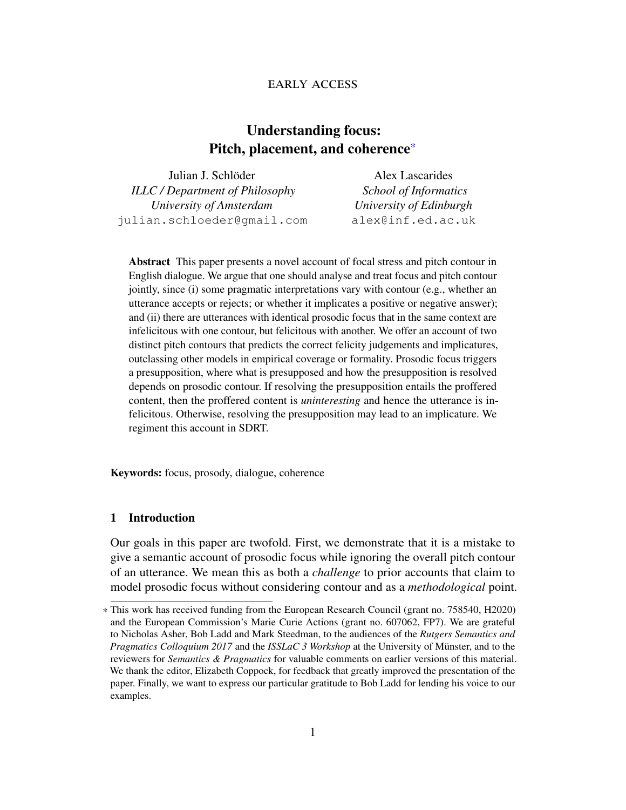# early access

# Understanding focus: Pitch, placement, and coherence\*

| Julian J. Schlöder                     | Alex Lascarides              |
|----------------------------------------|------------------------------|
| <b>ILLC</b> / Department of Philosophy | <b>School of Informatics</b> |
| University of Amsterdam                | University of Edinburgh      |
| julian.schloeder@qmail.com             | alex@inf.ed.ac.uk            |

Abstract This paper presents a novel account of focal stress and pitch contour in English dialogue. We argue that one should analyse and treat focus and pitch contour jointly, since (i) some pragmatic interpretations vary with contour (e.g., whether an utterance accepts or rejects; or whether it implicates a positive or negative answer); and (ii) there are utterances with identical prosodic focus that in the same context are infelicitous with one contour, but felicitous with another. We offer an account of two distinct pitch contours that predicts the correct felicity judgements and implicatures, outclassing other models in empirical coverage or formality. Prosodic focus triggers a presupposition, where what is presupposed and how the presupposition is resolved depends on prosodic contour. If resolving the presupposition entails the proffered content, then the proffered content is *uninteresting* and hence the utterance is infelicitous. Otherwise, resolving the presupposition may lead to an implicature. We regiment this account in SDRT.

Keywords: focus, prosody, dialogue, coherence

### <span id="page-1-0"></span>1 Introduction

Our goals in this paper are twofold. First, we demonstrate that it is a mistake to give a semantic account of prosodic focus while ignoring the overall pitch contour of an utterance. We mean this as both a *challenge* to prior accounts that claim to model prosodic focus without considering contour and as a *methodological* point.

<sup>\*</sup> This work has received funding from the European Research Council (grant no. 758540, H2020) and the European Commission's Marie Curie Actions (grant no. 607062, FP7). We are grateful to Nicholas Asher, Bob Ladd and Mark Steedman, to the audiences of the *Rutgers Semantics and Pragmatics Colloquium 2017* and the *ISSLaC 3 Workshop* at the University of Münster, and to the reviewers for *Semantics & Pragmatics* for valuable comments on earlier versions of this material. We thank the editor, Elizabeth Coppock, for feedback that greatly improved the presentation of the paper. Finally, we want to express our particular gratitude to Bob Ladd for lending his voice to our examples.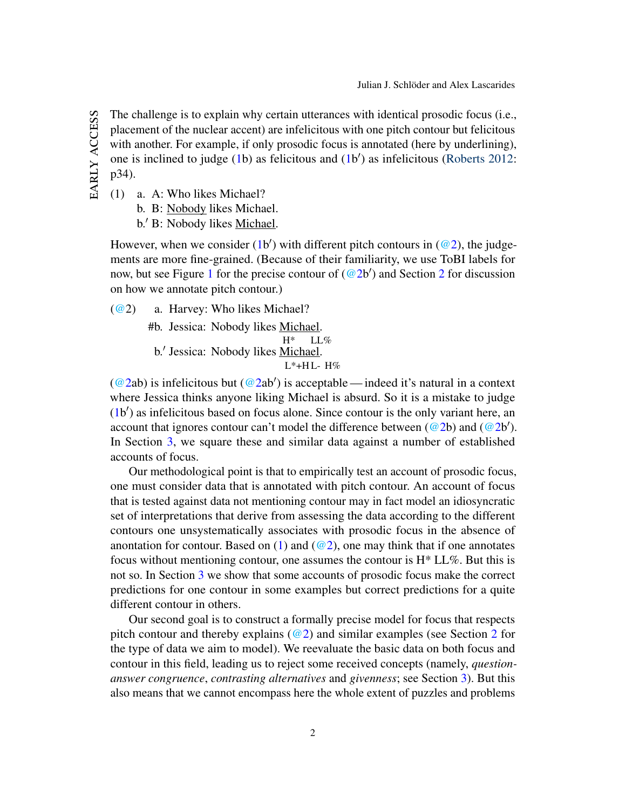The challenge is to explain why certain utterances with identical prosodic focus (i.e., placement of the nuclear accent) are infelicitous with one pitch contour but felicitous with another. For example, if only prosodic focus is annotated (here by underlining), one is inclined to judge [\(1b](#page-2-0)) as felicitous and (1b') as infelicitous [\(Roberts](#page-46-0) [2012:](#page-46-0) p34).

<span id="page-2-0"></span>(1) a. A: Who likes Michael?

b. B: Nobody likes Michael.

b.' B: Nobody likes Michael.

However, when we consider [\(1b](#page-2-0)') with different pitch contours in  $(@2)$ , the judgements are more fine-grained. (Because of their familiarity, we use ToBI labels for now, but see Figure [1](#page-3-0) for the precise contour of  $(Q2b')$  $(Q2b')$  $(Q2b')$  and Section 2 for discussion on how we annotate pitch contour.)

<span id="page-2-1"></span>[\(@2](http://jjsch.github.io/audio/nobody.html)) a. Harvey: Who likes Michael? #b. Jessica: Nobody likes Michael.  $H^*$ LL $\%$ b.' Jessica: Nobody likes Michael. L\*+H L-H%

[\(@2a](#page-2-1)b) is infelicitous but (@2ab') is acceptable — indeed it's natural in a context where Jessica thinks anyone liking Michael is absurd. So it is a mistake to judge [\(1b](#page-2-0)') as infelicitous based on focus alone. Since contour is the only variant here, an account that ignores contour can't model the difference between  $(Q_2b)$  and  $(Q_2b')$ . In Section [3,](#page-7-0) we square these and similar data against a number of established accounts of focus.

Our methodological point is that to empirically test an account of prosodic focus, one must consider data that is annotated with pitch contour. An account of focus that is tested against data not mentioning contour may in fact model an idiosyncratic set of interpretations that derive from assessing the data according to the different contours one unsystematically associates with prosodic focus in the absence of anontation for contour. Based on [\(1\)](#page-2-0) and ( $\mathcal{Q}_2$ ), one may think that if one annotates focus without mentioning contour, one assumes the contour is  $H^* LL\%$ . But this is not so. In Section [3](#page-7-0) we show that some accounts of prosodic focus make the correct predictions for one contour in some examples but correct predictions for a quite different contour in others.

Our second goal is to construct a formally precise model for focus that respects pitch contour and thereby explains  $(\omega_2)$  $(\omega_2)$  $(\omega_2)$  and similar examples (see Section 2 for the type of data we aim to model). We reevaluate the basic data on both focus and contour in this field, leading us to reject some received concepts (namely, *questionanswer congruence*, *contrasting alternatives* and *givenness*; see Section [3\)](#page-7-0). But this also means that we cannot encompass here the whole extent of puzzles and problems

EARLY ACCESS early access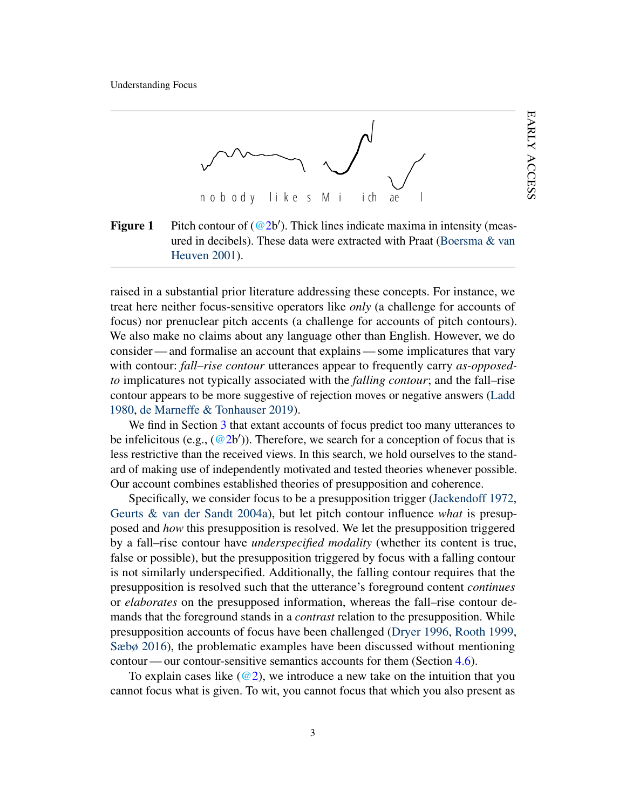<span id="page-3-0"></span>

**Figure 1** Pitch contour of  $(\omega 2b')$ . Thick lines indicate maxima in intensity (measured in decibels). These data were extracted with Praat [\(Boersma & van](#page-44-0) [Heuven](#page-44-0) [2001\)](#page-44-0).

raised in a substantial prior literature addressing these concepts. For instance, we treat here neither focus-sensitive operators like *only* (a challenge for accounts of focus) nor prenuclear pitch accents (a challenge for accounts of pitch contours). We also make no claims about any language other than English. However, we do consider— and formalise an account that explains— some implicatures that vary with contour: *fall–rise contour* utterances appear to frequently carry *as-opposedto* implicatures not typically associated with the *falling contour*; and the fall–rise contour appears to be more suggestive of rejection moves or negative answers [\(Ladd](#page-46-1) [1980,](#page-46-1) [de Marneffe & Tonhauser](#page-46-2) [2019\)](#page-46-2).

We find in Section [3](#page-7-0) that extant accounts of focus predict too many utterances to be infelicitous (e.g.,  $(\textcircled{a2b}^{\prime})$ ). Therefore, we search for a conception of focus that is less restrictive than the received views. In this search, we hold ourselves to the standard of making use of independently motivated and tested theories whenever possible. Our account combines established theories of presupposition and coherence.

Specifically, we consider focus to be a presupposition trigger [\(Jackendoff](#page-46-3) [1972,](#page-46-3) [Geurts & van der Sandt](#page-45-0) [2004a\)](#page-45-0), but let pitch contour influence *what* is presupposed and *how* this presupposition is resolved. We let the presupposition triggered by a fall–rise contour have *underspecified modality* (whether its content is true, false or possible), but the presupposition triggered by focus with a falling contour is not similarly underspecified. Additionally, the falling contour requires that the presupposition is resolved such that the utterance's foreground content *continues* or *elaborates* on the presupposed information, whereas the fall–rise contour demands that the foreground stands in a *contrast* relation to the presupposition. While presupposition accounts of focus have been challenged [\(Dryer](#page-45-1) [1996,](#page-45-1) [Rooth](#page-46-4) [1999,](#page-46-4) [Sæbø](#page-46-5) [2016\)](#page-46-5), the problematic examples have been discussed without mentioning contour — our contour-sensitive semantics accounts for them (Section [4.6\)](#page-23-0).

To explain cases like  $(Q2)$ , we introduce a new take on the intuition that you cannot focus what is given. To wit, you cannot focus that which you also present as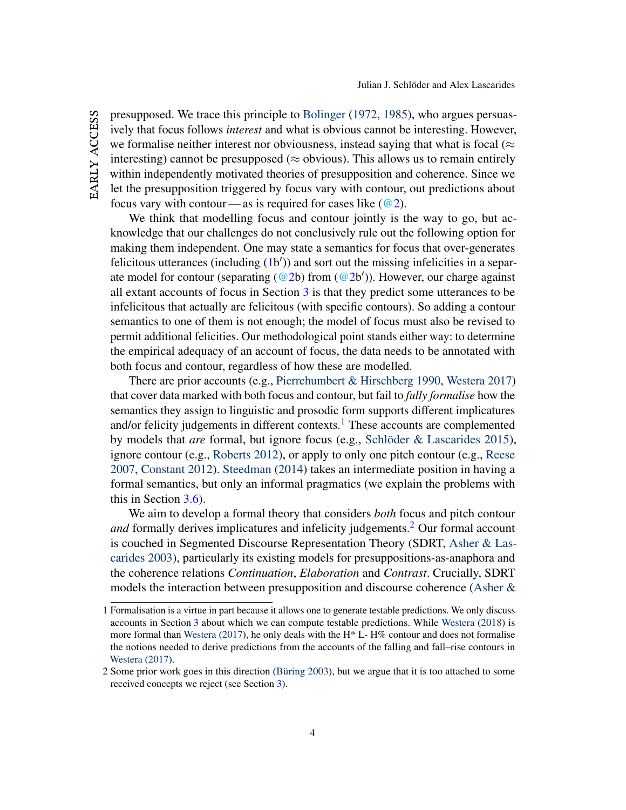EARLY ACCESS early access presupposed. We trace this principle to [Bolinger](#page-44-1) [\(1972,](#page-44-1) [1985\)](#page-44-2), who argues persuasively that focus follows *interest* and what is obvious cannot be interesting. However, we formalise neither interest nor obviousness, instead saying that what is focal ( $\approx$ interesting) cannot be presupposed ( $\approx$  obvious). This allows us to remain entirely within independently motivated theories of presupposition and coherence. Since we let the presupposition triggered by focus vary with contour, out predictions about focus vary with contour — as is required for cases like  $(\omega_2)$ .

We think that modelling focus and contour jointly is the way to go, but acknowledge that our challenges do not conclusively rule out the following option for making them independent. One may state a semantics for focus that over-generates felicitous utterances (including [\(1b](#page-2-0)')) and sort out the missing infelicities in a separate model for contour (separating  $(\textcircled{a2b})$  from  $(\textcircled{a2b}$ )). However, our charge against all extant accounts of focus in Section [3](#page-7-0) is that they predict some utterances to be infelicitous that actually are felicitous (with specific contours). So adding a contour semantics to one of them is not enough; the model of focus must also be revised to permit additional felicities. Our methodological point stands either way: to determine the empirical adequacy of an account of focus, the data needs to be annotated with both focus and contour, regardless of how these are modelled.

There are prior accounts (e.g., [Pierrehumbert & Hirschberg](#page-46-6) [1990,](#page-46-6) [Westera](#page-48-0) [2017\)](#page-48-0) that cover data marked with both focus and contour, but fail to *fully formalise* how the semantics they assign to linguistic and prosodic form supports different implicatures and/or felicity judgements in different contexts.<sup>[1](#page-4-0)</sup> These accounts are complemented by models that *are* formal, but ignore focus (e.g., [Schlöder & Lascarides](#page-47-0) [2015\)](#page-47-0), ignore contour (e.g., [Roberts](#page-46-0) [2012\)](#page-46-0), or apply to only one pitch contour (e.g., [Reese](#page-46-7) [2007,](#page-46-7) [Constant](#page-45-2) [2012\)](#page-45-2). [Steedman](#page-47-1) [\(2014\)](#page-47-1) takes an intermediate position in having a formal semantics, but only an informal pragmatics (we explain the problems with this in Section [3.6\)](#page-13-0).

We aim to develop a formal theory that considers *both* focus and pitch contour *and* formally derives implicatures and infelicity judgements.<sup>[2](#page-4-1)</sup> Our formal account is couched in Segmented Discourse Representation Theory (SDRT, [Asher & Las](#page-44-3)[carides](#page-44-3) [2003\)](#page-44-3), particularly its existing models for presuppositions-as-anaphora and the coherence relations *Continuation*, *Elaboration* and *Contrast*. Crucially, SDRT models the interaction between presupposition and discourse coherence [\(Asher &](#page-44-4)

<span id="page-4-0"></span><sup>1</sup> [Formalisation is a virtue in part because it allows one to generate testable predictions. We only discuss](#page-44-4) accounts in Section [3](#page-7-0) [about which we can compute testable predictions. While](#page-44-4) [Westera](#page-48-1) [\(2018\)](#page-48-1) is more formal than [Westera](#page-48-0) (2017), he only deals with the  $H^* L$ -  $H\%$  contour and does not formalise [the notions needed to derive predictions from the accounts of the falling and fall–rise contours in](#page-44-4) [Westera](#page-44-4) [\(2017\)](#page-48-0).

<span id="page-4-1"></span><sup>2</sup> Some prior work goes in this direction [\(Büring](#page-44-5) [2003\), but we argue that it is too attached to some](#page-44-4) [received concepts we reject \(see Section](#page-44-4) [3\)](#page-7-0).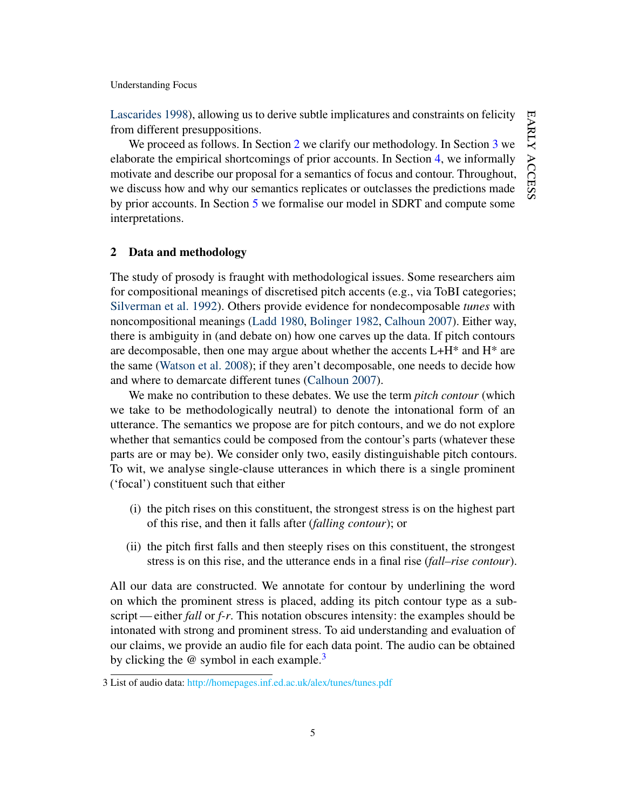[Lascarides](#page-44-4) [1998\)](#page-44-4), allowing us to derive subtle implicatures and constraints on felicity from different presuppositions.

We proceed as follows. In Section [2](#page-5-0) we clarify our methodology. In Section [3](#page-7-0) we elaborate the empirical shortcomings of prior accounts. In Section [4,](#page-15-0) we informally motivate and describe our proposal for a semantics of focus and contour. Throughout, we discuss how and why our semantics replicates or outclasses the predictions made by prior accounts. In Section [5](#page-34-0) we formalise our model in SDRT and compute some interpretations.

# <span id="page-5-0"></span>2 Data and methodology

The study of prosody is fraught with methodological issues. Some researchers aim for compositional meanings of discretised pitch accents (e.g., via ToBI categories; [Silverman et al.](#page-47-2) [1992\)](#page-47-2). Others provide evidence for nondecomposable *tunes* with noncompositional meanings [\(Ladd](#page-46-1) [1980,](#page-46-1) [Bolinger](#page-44-6) [1982,](#page-44-6) [Calhoun](#page-45-3) [2007\)](#page-45-3). Either way, there is ambiguity in (and debate on) how one carves up the data. If pitch contours are decomposable, then one may argue about whether the accents L+H\* and H\* are the same [\(Watson et al.](#page-47-3) [2008\)](#page-47-3); if they aren't decomposable, one needs to decide how and where to demarcate different tunes [\(Calhoun](#page-45-3) [2007\)](#page-45-3).

We make no contribution to these debates. We use the term *pitch contour* (which we take to be methodologically neutral) to denote the intonational form of an utterance. The semantics we propose are for pitch contours, and we do not explore whether that semantics could be composed from the contour's parts (whatever these parts are or may be). We consider only two, easily distinguishable pitch contours. To wit, we analyse single-clause utterances in which there is a single prominent ('focal') constituent such that either

- (i) the pitch rises on this constituent, the strongest stress is on the highest part of this rise, and then it falls after (*falling contour*); or
- (ii) the pitch first falls and then steeply rises on this constituent, the strongest stress is on this rise, and the utterance ends in a final rise (*fall–rise contour*).

All our data are constructed. We annotate for contour by underlining the word on which the prominent stress is placed, adding its pitch contour type as a subscript— either *fall* or *f-r*. This notation obscures intensity: the examples should be intonated with strong and prominent stress. To aid understanding and evaluation of our claims, we provide an audio file for each data point. The audio can be obtained by clicking the  $\omega$  symbol in each example.<sup>[3](#page-5-1)</sup>

<span id="page-5-1"></span><sup>3</sup> List of audio data: <http://homepages.inf.ed.ac.uk/alex/tunes/tunes.pdf>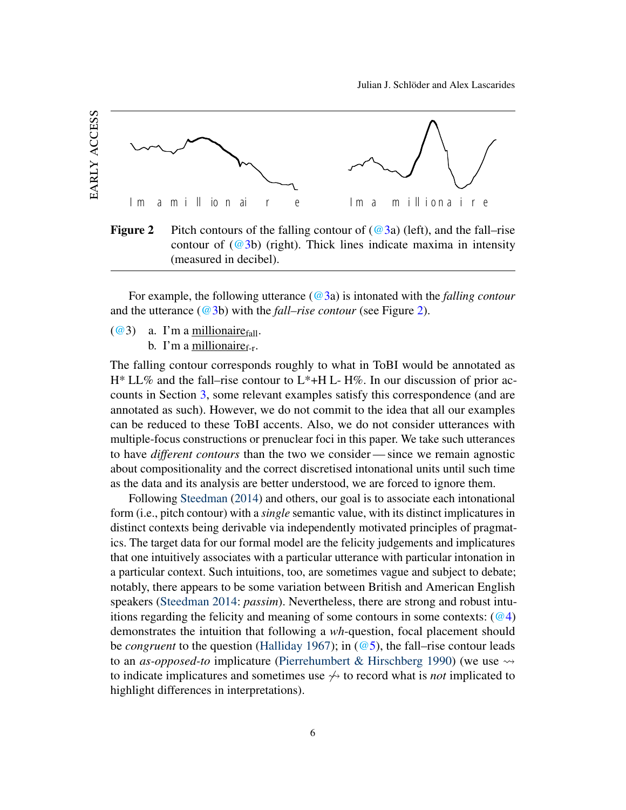

<span id="page-6-1"></span>**Figure 2** Pitch contours of the falling contour of  $(\textcircled{a}3a)$  (left), and the fall–rise contour of  $(Q<sup>3</sup>b)$  (right). Thick lines indicate maxima in intensity (measured in decibel).

For example, the following utterance [\(@3a](#page-6-0)) is intonated with the *falling contour* and the utterance [\(@3b](#page-6-0)) with the *fall–rise contour* (see Figure [2\)](#page-6-1).

- <span id="page-6-0"></span> $(Q<sup>3</sup>)$  a. I'm a millionaire<sub>fall</sub>.
	- b. I'm a millionaire $f_{\text{r}}$ .

The falling contour corresponds roughly to what in ToBI would be annotated as  $H^* LL\%$  and the fall–rise contour to  $L^*+H L$ -H $\%$ . In our discussion of prior accounts in Section [3,](#page-7-0) some relevant examples satisfy this correspondence (and are annotated as such). However, we do not commit to the idea that all our examples can be reduced to these ToBI accents. Also, we do not consider utterances with multiple-focus constructions or prenuclear foci in this paper. We take such utterances to have *different contours* than the two we consider— since we remain agnostic about compositionality and the correct discretised intonational units until such time as the data and its analysis are better understood, we are forced to ignore them.

Following [Steedman](#page-47-1) [\(2014\)](#page-47-1) and others, our goal is to associate each intonational form (i.e., pitch contour) with a *single* semantic value, with its distinct implicatures in distinct contexts being derivable via independently motivated principles of pragmatics. The target data for our formal model are the felicity judgements and implicatures that one intuitively associates with a particular utterance with particular intonation in a particular context. Such intuitions, too, are sometimes vague and subject to debate; notably, there appears to be some variation between British and American English speakers [\(Steedman](#page-47-1) [2014:](#page-47-1) *passim*). Nevertheless, there are strong and robust intuitions regarding the felicity and meaning of some contours in some contexts:  $(Q_4)$ demonstrates the intuition that following a *wh*-question, focal placement should be *congruent* to the question [\(Halliday](#page-45-4) [1967\)](#page-45-4); in [\(@5\)](#page-7-2), the fall–rise contour leads to an *as-opposed-to* implicature [\(Pierrehumbert & Hirschberg](#page-46-6) [1990\)](#page-46-6) (we use to indicate implicatures and sometimes use  $\leftrightarrow$  to record what is *not* implicated to highlight differences in interpretations).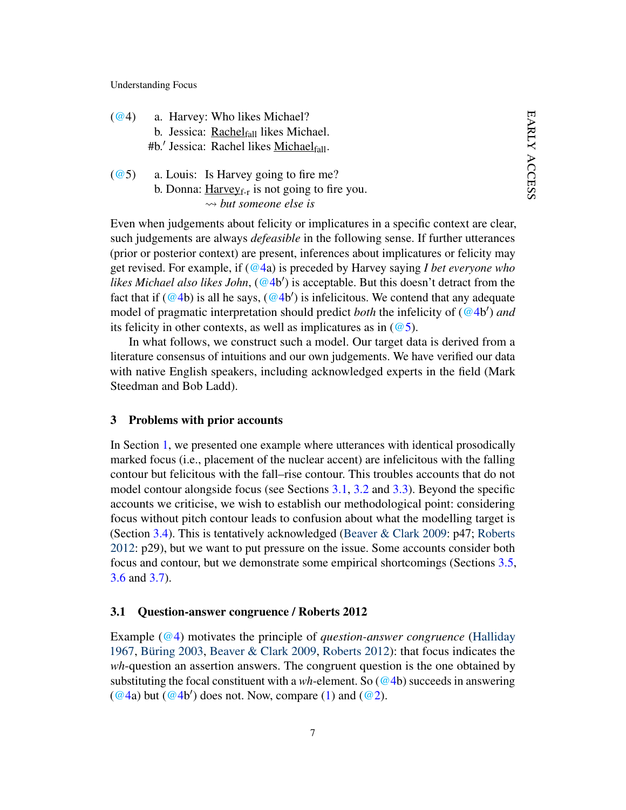<span id="page-7-1"></span>

| (Q(4) | a. Harvey: Who likes Michael?                     |
|-------|---------------------------------------------------|
|       | b. Jessica: Rachel <sub>fall</sub> likes Michael. |
|       | #b.' Jessica: Rachel likes Michael $_{fall}$ .    |

<span id="page-7-2"></span>[\(@5](http://jjsch.github.io/audio/fire-basic.html)) a. Louis: Is Harvey going to fire me? b. Donna:  $H$ arvey<sub>f-r</sub> is not going to fire you. *but someone else is*

Even when judgements about felicity or implicatures in a specific context are clear, such judgements are always *defeasible* in the following sense. If further utterances (prior or posterior context) are present, inferences about implicatures or felicity may get revised. For example, if [\(@4a](#page-7-1)) is preceded by Harvey saying *I bet everyone who* likes Michael also likes John, [\(@4b](#page-7-1)') is acceptable. But this doesn't detract from the fact that if  $(Q4b)$  is all he says,  $(Q4b')$  is infelicitous. We contend that any adequate model of pragmatic interpretation should predict *both* the infelicity of [\(@4b](#page-7-1) 0 ) *and* its felicity in other contexts, as well as implicatures as in  $(\omega_5)$ .

In what follows, we construct such a model. Our target data is derived from a literature consensus of intuitions and our own judgements. We have verified our data with native English speakers, including acknowledged experts in the field (Mark Steedman and Bob Ladd).

### <span id="page-7-0"></span>3 Problems with prior accounts

In Section [1,](#page-1-0) we presented one example where utterances with identical prosodically marked focus (i.e., placement of the nuclear accent) are infelicitous with the falling contour but felicitous with the fall–rise contour. This troubles accounts that do not model contour alongside focus (see Sections [3.1,](#page-7-3) [3.2](#page-9-0) and [3.3\)](#page-10-0). Beyond the specific accounts we criticise, we wish to establish our methodological point: considering focus without pitch contour leads to confusion about what the modelling target is (Section [3.4\)](#page-11-0). This is tentatively acknowledged [\(Beaver & Clark](#page-44-7) [2009:](#page-44-7) p47; [Roberts](#page-46-0) [2012:](#page-46-0) p29), but we want to put pressure on the issue. Some accounts consider both focus and contour, but we demonstrate some empirical shortcomings (Sections [3.5,](#page-12-0) [3.6](#page-13-0) and [3.7\)](#page-14-0).

#### <span id="page-7-3"></span>3.1 Question-answer congruence / Roberts 2012

Example [\(@4\)](#page-7-1) motivates the principle of *question-answer congruence* [\(Halliday](#page-45-4) [1967,](#page-45-4) [Büring](#page-44-5) [2003,](#page-44-5) [Beaver & Clark](#page-44-7) [2009,](#page-44-7) [Roberts](#page-46-0) [2012\)](#page-46-0): that focus indicates the *wh*-question an assertion answers. The congruent question is the one obtained by substituting the focal constituent with a *wh*-element. So [\(@4b](#page-7-1)) succeeds in answering  $(\textcircled{a}4a)$  but  $(\textcircled{a}4b')$  does not. Now, compare [\(1\)](#page-2-0) and ( $\textcircled{a}2$ ).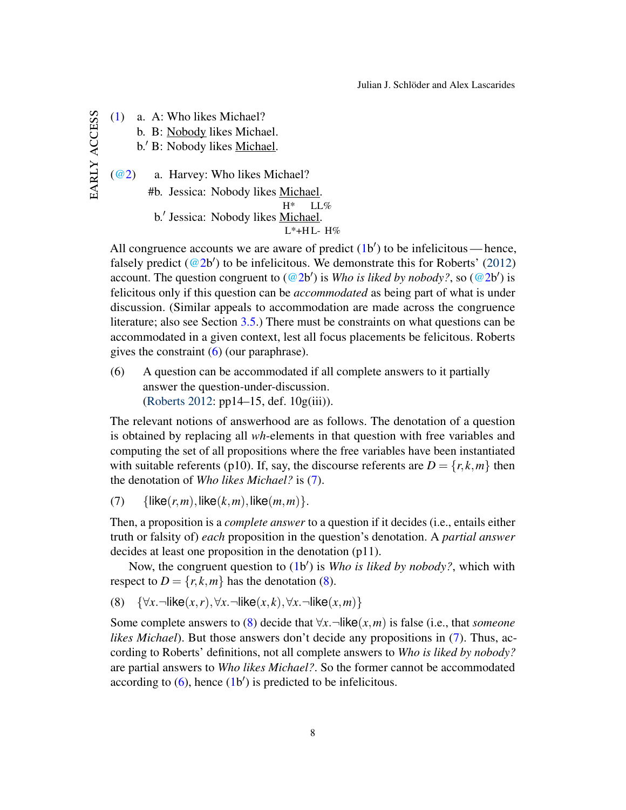early access [\(1\)](#page-2-0) a. A: Who likes Michael? b. B: Nobody likes Michael. b.' B: Nobody likes Michael.  $\left(\frac{\omega_2}{\omega_1}\right)$  a. Harvey: Who likes Michael? #b. Jessica: Nobody likes Michael.  $H^*$ LL% b.' Jessica: Nobody likes Michael. L\*+H L-H%

All congruence accounts we are aware of predict  $(1b')$  $(1b')$  to be infelicitous — hence, falsely predict ( $@2b'$ ) to be infelicitous. We demonstrate this for Roberts' [\(2012\)](#page-46-0) account. The question congruent to  $(Q2b')$  is *Who is liked by nobody?*, so  $(Q2b')$  is felicitous only if this question can be *accommodated* as being part of what is under discussion. (Similar appeals to accommodation are made across the congruence literature; also see Section [3.5.](#page-12-0)) There must be constraints on what questions can be accommodated in a given context, lest all focus placements be felicitous. Roberts gives the constraint [\(6\)](#page-8-0) (our paraphrase).

<span id="page-8-0"></span>(6) A question can be accommodated if all complete answers to it partially answer the question-under-discussion. [\(Roberts](#page-46-0) [2012:](#page-46-0) pp14–15, def. 10g(iii)).

The relevant notions of answerhood are as follows. The denotation of a question is obtained by replacing all *wh*-elements in that question with free variables and computing the set of all propositions where the free variables have been instantiated with suitable referents (p10). If, say, the discourse referents are  $D = \{r, k, m\}$  then the denotation of *Who likes Michael?* is [\(7\)](#page-8-1).

<span id="page-8-1"></span>(7) { $like(r, m)$ ,  $like(k, m)$ ,  $like(m, m)$ }.

Then, a proposition is a *complete answer* to a question if it decides (i.e., entails either truth or falsity of) *each* proposition in the question's denotation. A *partial answer* decides at least one proposition in the denotation (p11).

Now, the congruent question to [\(1b](#page-2-0)') is *Who is liked by nobody?*, which with respect to  $D = \{r, k, m\}$  has the denotation [\(8\)](#page-8-2).

<span id="page-8-2"></span>(8) {∀*x*.¬like(*x*,*r*),∀*x*.¬like(*x*, *k*),∀*x*.¬like(*x*,*m*)}

Some complete answers to [\(8\)](#page-8-2) decide that  $\forall x$ .  $\neg$ like(*x*,*m*) is false (i.e., that *someone likes Michael*). But those answers don't decide any propositions in [\(7\)](#page-8-1). Thus, according to Roberts' definitions, not all complete answers to *Who is liked by nobody?* are partial answers to *Who likes Michael?*. So the former cannot be accommodated according to  $(6)$ , hence  $(1b')$  $(1b')$  is predicted to be infelicitous.

EARLY ACCESS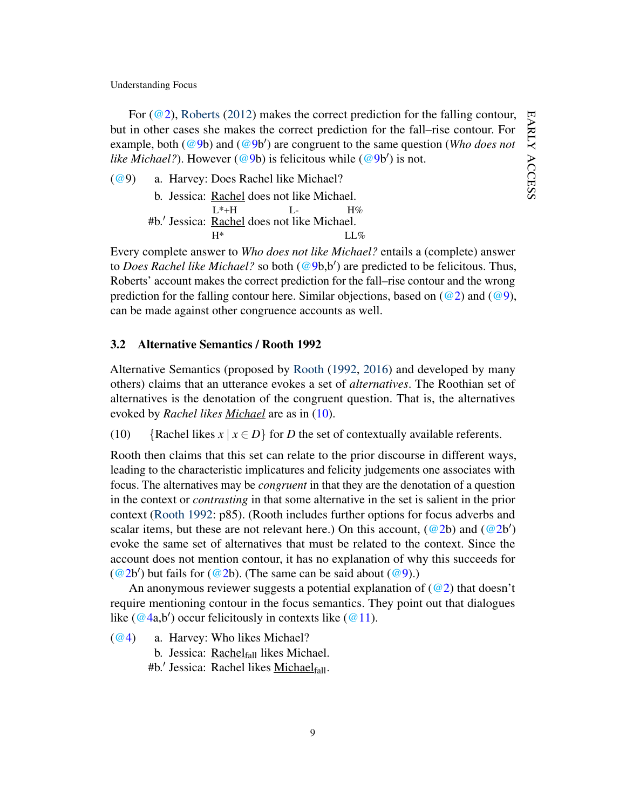For ( $@2$ ), [Roberts](#page-46-0) [\(2012\)](#page-46-0) makes the correct prediction for the falling contour, but in other cases she makes the correct prediction for the fall–rise contour. For example, both [\(@9b](#page-9-1)) and (@9b') are congruent to the same question (*Who does not* like Michael?). However [\(@9b](#page-9-1)) is felicitous while (@9b') is not.

<span id="page-9-1"></span>[\(@9](http://jjsch.github.io/audio/qud2.html)) a. Harvey: Does Rachel like Michael?

b. Jessica: **Rachel** does not like Michael.  $L^* + H$ L- $H%$ #b.' Jessica: Rachel does not like Michael. H\* LL%

Every complete answer to *Who does not like Michael?* entails a (complete) answer to *Does Rachel like Michael?* so both [\(@9b](#page-9-1),b') are predicted to be felicitous. Thus, Roberts' account makes the correct prediction for the fall–rise contour and the wrong prediction for the falling contour here. Similar objections, based on  $(Q2)$  and  $(Q9)$ , can be made against other congruence accounts as well.

# <span id="page-9-0"></span>3.2 Alternative Semantics / Rooth 1992

Alternative Semantics (proposed by [Rooth](#page-46-8) [\(1992,](#page-46-8) [2016\)](#page-46-9) and developed by many others) claims that an utterance evokes a set of *alternatives*. The Roothian set of alternatives is the denotation of the congruent question. That is, the alternatives evoked by *Rachel likes Michael* are as in [\(10\)](#page-9-2).

<span id="page-9-2"></span>(10) {Rachel likes  $x | x \in D$ } for *D* the set of contextually available referents.

Rooth then claims that this set can relate to the prior discourse in different ways, leading to the characteristic implicatures and felicity judgements one associates with focus. The alternatives may be *congruent* in that they are the denotation of a question in the context or *contrasting* in that some alternative in the set is salient in the prior context [\(Rooth](#page-46-8) [1992:](#page-46-8) p85). (Rooth includes further options for focus adverbs and scalar items, but these are not relevant here.) On this account,  $(Q_2b)$  and  $(Q_2b')$ evoke the same set of alternatives that must be related to the context. Since the account does not mention contour, it has no explanation of why this succeeds for  $(Q<sup>2</sup>b')$  but fails for  $(Q<sup>2</sup>b)$ . (The same can be said about  $(Q<sup>9</sup>)$ .)

An anonymous reviewer suggests a potential explanation of  $(Q2)$  that doesn't require mentioning contour in the focus semantics. They point out that dialogues like [\(@4a](#page-7-1),b') occur felicitously in contexts like [\(@11\)](#page-10-1).

[\(@4\)](#page-7-1) a. Harvey: Who likes Michael?

b. Jessica:  $Rachel_{fall}$  likes Michael.

#b.' Jessica: Rachel likes **Michael**fall.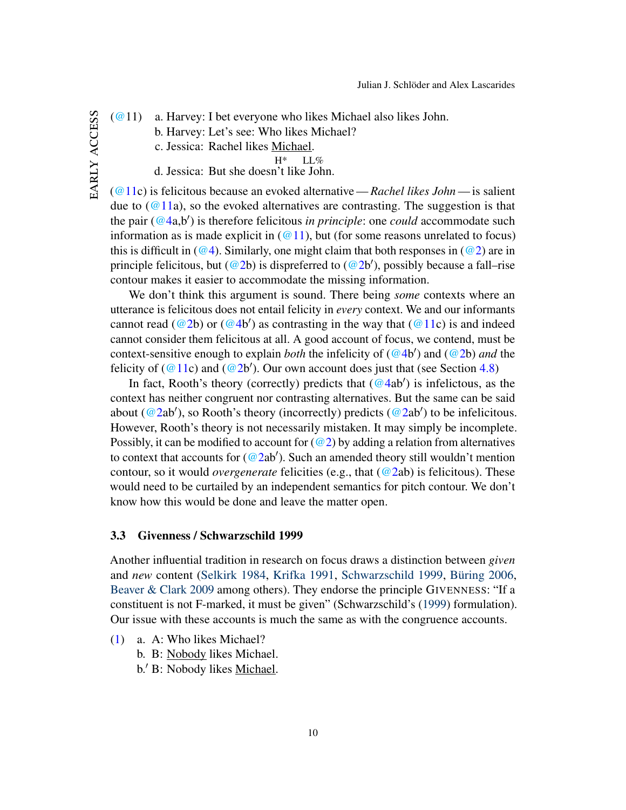EARLY ACCESS early access <span id="page-10-1"></span>[\(@1](http://jjsch.github.io/audio/rooth-contrasting.html)1) a. Harvey: I bet everyone who likes Michael also likes John.

- b. Harvey: Let's see: Who likes Michael?
	- c. Jessica: Rachel likes Michael.

H\* LL%

d. Jessica: But she doesn't like John.

[\(@11c](#page-10-1)) is felicitous because an evoked alternative — *Rachel likes John* — is salient due to  $(Q11a)$ , so the evoked alternatives are contrasting. The suggestion is that the pair [\(@4a](#page-7-1),b') is therefore felicitous *in principle*: one *could* accommodate such information as is made explicit in  $(Q_11)$ , but (for some reasons unrelated to focus) this is difficult in ( $@4$ ). Similarly, one might claim that both responses in ( $@2$ ) are in principle felicitous, but [\(@2b](#page-2-1)) is dispreferred to (@2b'), possibly because a fall–rise contour makes it easier to accommodate the missing information.

We don't think this argument is sound. There being *some* contexts where an utterance is felicitous does not entail felicity in *every* context. We and our informants cannot read [\(@2b](#page-2-1)) or [\(@4b](#page-7-1)') as contrasting in the way that [\(@11c](#page-10-1)) is and indeed cannot consider them felicitous at all. A good account of focus, we contend, must be context-sensitive enough to explain *both* the infelicity of [\(@4b](#page-7-1)') and [\(@2b](#page-2-1)) *and* the felicity of  $(Q11c)$  and  $(Q2b')$ . Our own account does just that (see Section [4.8\)](#page-27-0)

In fact, Rooth's theory (correctly) predicts that  $(\textcircled{4ab}')$  is infelictous, as the context has neither congruent nor contrasting alternatives. But the same can be said about [\(@2a](#page-2-1)b'), so Rooth's theory (incorrectly) predicts (@2ab') to be infelicitous. However, Rooth's theory is not necessarily mistaken. It may simply be incomplete. Possibly, it can be modified to account for  $(Q2)$  by adding a relation from alternatives to context that accounts for  $(Q2ab')$ . Such an amended theory still wouldn't mention contour, so it would *overgenerate* felicities (e.g., that [\(@2a](#page-2-1)b) is felicitous). These would need to be curtailed by an independent semantics for pitch contour. We don't know how this would be done and leave the matter open.

### <span id="page-10-0"></span>3.3 Givenness / Schwarzschild 1999

Another influential tradition in research on focus draws a distinction between *given* and *new* content [\(Selkirk](#page-47-4) [1984,](#page-47-4) [Krifka](#page-46-10) [1991,](#page-46-10) [Schwarzschild](#page-47-5) [1999,](#page-47-5) [Büring](#page-45-5) [2006,](#page-45-5) [Beaver & Clark](#page-44-7) [2009](#page-44-7) among others). They endorse the principle GIVENNESS: "If a constituent is not F-marked, it must be given" (Schwarzschild's [\(1999\)](#page-47-5) formulation). Our issue with these accounts is much the same as with the congruence accounts.

- [\(1\)](#page-2-0) a. A: Who likes Michael?
	- b. B: Nobody likes Michael.
	- b.' B: Nobody likes Michael.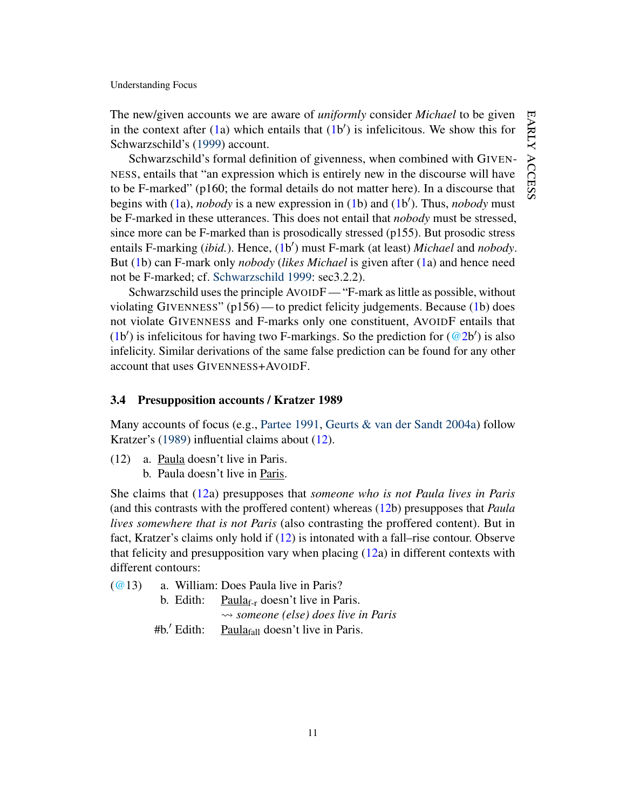The new/given accounts we are aware of *uniformly* consider *Michael* to be given in the context after  $(1a)$  $(1a)$  which entails that  $(1b')$  $(1b')$  is infelicitous. We show this for Schwarzschild's [\(1999\)](#page-47-5) account.

Schwarzschild's formal definition of givenness, when combined with GIVEN-NESS, entails that "an expression which is entirely new in the discourse will have to be F-marked" (p160; the formal details do not matter here). In a discourse that begins with [\(1a](#page-2-0)), *nobody* is a new expression in [\(1b](#page-2-0)) and (1b'). Thus, *nobody* must be F-marked in these utterances. This does not entail that *nobody* must be stressed, since more can be F-marked than is prosodically stressed (p155). But prosodic stress entails F-marking (*ibid.*). Hence, [\(1b](#page-2-0)') must F-mark (at least) *Michael* and *nobody*. But [\(1b](#page-2-0)) can F-mark only *nobody* (*likes Michael* is given after [\(1a](#page-2-0)) and hence need not be F-marked; cf. [Schwarzschild](#page-47-5) [1999:](#page-47-5) sec3.2.2).

Schwarzschild uses the principle AVOIDF — "F-mark as little as possible, without violating GIVENNESS" (p156) — to predict felicity judgements. Because [\(1b](#page-2-0)) does not violate GIVENNESS and F-marks only one constituent, AVOIDF entails that [\(1b](#page-2-0)') is infelicitous for having two F-markings. So the prediction for  $(Q_2b')$  is also infelicity. Similar derivations of the same false prediction can be found for any other account that uses GIVENNESS+AVOIDF.

# <span id="page-11-0"></span>3.4 Presupposition accounts / Kratzer 1989

Many accounts of focus (e.g., [Partee](#page-46-11) [1991,](#page-46-11) [Geurts & van der Sandt](#page-45-0) [2004a\)](#page-45-0) follow Kratzer's [\(1989\)](#page-46-12) influential claims about [\(12\)](#page-11-1).

- <span id="page-11-1"></span>(12) a. Paula doesn't live in Paris.
	- b. Paula doesn't live in Paris.

She claims that [\(12a](#page-11-1)) presupposes that *someone who is not Paula lives in Paris* (and this contrasts with the proffered content) whereas [\(12b](#page-11-1)) presupposes that *Paula lives somewhere that is not Paris* (also contrasting the proffered content). But in fact, Kratzer's claims only hold if [\(12\)](#page-11-1) is intonated with a fall–rise contour. Observe that felicity and presupposition vary when placing  $(12a)$  $(12a)$  in different contexts with different contours:

<span id="page-11-2"></span>[\(@1](http://jjsch.github.io/audio/paula-pitch2-sp.html)3) a. William: Does Paula live in Paris?

| b. Edith:     | Paula <sub>f-r</sub> doesn't live in Paris.          |  |
|---------------|------------------------------------------------------|--|
|               | $\rightsquigarrow$ someone (else) does live in Paris |  |
| $#b.'$ Edith: | Paula $_{fall}$ doesn't live in Paris.               |  |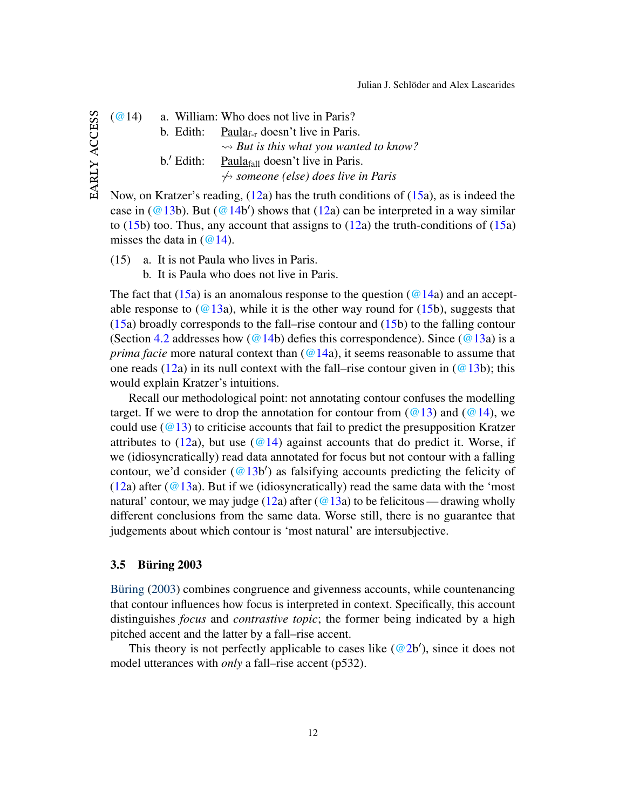<span id="page-12-2"></span>[\(@1](http://jjsch.github.io/audio/paula-pitch2-sp.html)4) a. William: Who does not live in Paris? b. Edith: Paula<sub>f-r</sub> doesn't live in Paris. *But is this what you wanted to know?* b.' Edith: Paula $_{fall}$  doesn't live in Paris. 6 *someone (else) does live in Paris*

Now, on Kratzer's reading, [\(12a](#page-11-1)) has the truth conditions of [\(15a](#page-12-1)), as is indeed the case in  $(Q_1 13b)$ . But  $(Q_1 14b')$  shows that  $(12a)$  $(12a)$  can be interpreted in a way similar to  $(15b)$  $(15b)$  too. Thus, any account that assigns to  $(12a)$  $(12a)$  the truth-conditions of  $(15a)$  $(15a)$ misses the data in  $(\omega$  14).

- <span id="page-12-1"></span>(15) a. It is not Paula who lives in Paris.
	- b. It is Paula who does not live in Paris.

The fact that [\(15a](#page-12-1)) is an anomalous response to the question ( $@14a$ ) and an acceptable response to  $(Q13a)$ , while it is the other way round for  $(15b)$  $(15b)$ , suggests that [\(15a](#page-12-1)) broadly corresponds to the fall–rise contour and [\(15b](#page-12-1)) to the falling contour (Section [4.2](#page-16-0) addresses how ( $@14b$ ) defies this correspondence). Since ( $@13a$ ) is a *prima facie* more natural context than [\(@14a](#page-12-2)), it seems reasonable to assume that one reads [\(12a](#page-11-1)) in its null context with the fall–rise contour given in  $(Q13b)$ ; this would explain Kratzer's intuitions.

Recall our methodological point: not annotating contour confuses the modelling target. If we were to drop the annotation for contour from  $(Q_1)$  and  $(Q_1)$ , we could use  $(\omega 13)$  to criticise accounts that fail to predict the presupposition Kratzer attributes to [\(12a](#page-11-1)), but use [\(@14\)](#page-12-2) against accounts that do predict it. Worse, if we (idiosyncratically) read data annotated for focus but not contour with a falling contour, we'd consider  $(\textcircled{a} 13b')$  as falsifying accounts predicting the felicity of [\(12a](#page-11-1)) after ( $@13a$ ). But if we (idiosyncratically) read the same data with the 'most natural' contour, we may judge [\(12a](#page-11-1)) after ( $\omega$ 13a) to be felicitous — drawing wholly different conclusions from the same data. Worse still, there is no guarantee that judgements about which contour is 'most natural' are intersubjective.

#### <span id="page-12-0"></span>3.5 Büring 2003

[Büring](#page-44-5) [\(2003\)](#page-44-5) combines congruence and givenness accounts, while countenancing that contour influences how focus is interpreted in context. Specifically, this account distinguishes *focus* and *contrastive topic*; the former being indicated by a high pitched accent and the latter by a fall–rise accent.

This theory is not perfectly applicable to cases like  $(Q2b')$ , since it does not model utterances with *only* a fall–rise accent (p532).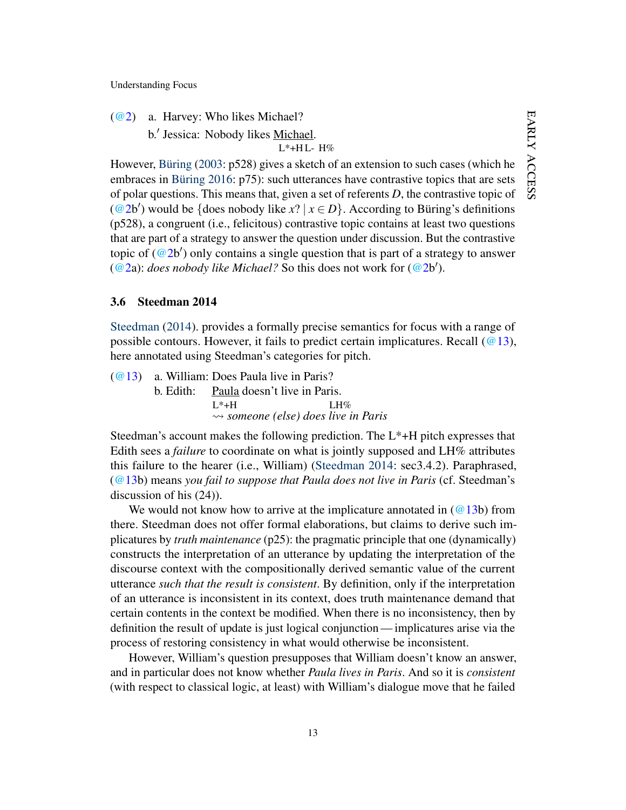- [\(@2\)](#page-2-1) a. Harvey: Who likes Michael?
	- b.' Jessica: Nobody likes Michael.

L\*+H L-H%

However, [Büring](#page-44-5) [\(2003:](#page-44-5) p528) gives a sketch of an extension to such cases (which he embraces in [Büring](#page-45-6) [2016:](#page-45-6) p75): such utterances have contrastive topics that are sets of polar questions. This means that, given a set of referents *D*, the contrastive topic of [\(@2b](#page-2-1)') would be {does nobody like  $x$ ? |  $x \in D$ }. According to Büring's definitions (p528), a congruent (i.e., felicitous) contrastive topic contains at least two questions that are part of a strategy to answer the question under discussion. But the contrastive topic of  $(Q2b')$  only contains a single question that is part of a strategy to answer  $(Q^2a)$ : *does nobody like Michael?* So this does not work for  $(Q^2b')$ .

### <span id="page-13-0"></span>3.6 Steedman 2014

[Steedman](#page-47-1) [\(2014\)](#page-47-1). provides a formally precise semantics for focus with a range of possible contours. However, it fails to predict certain implicatures. Recall  $(@13)$ , here annotated using Steedman's categories for pitch.

[\(@13\)](#page-11-2) a. William: Does Paula live in Paris?  $b.$  Edith:  $L^*+H$ Paula doesn't live in Paris. LH% *someone (else) does live in Paris*

Steedman's account makes the following prediction. The  $L^*$ +H pitch expresses that Edith sees a *failure* to coordinate on what is jointly supposed and LH% attributes this failure to the hearer (i.e., William) [\(Steedman](#page-47-1) [2014:](#page-47-1) sec3.4.2). Paraphrased, [\(@13b](#page-11-2)) means *you fail to suppose that Paula does not live in Paris* (cf. Steedman's discussion of his (24)).

We would not know how to arrive at the implicature annotated in  $(Q13b)$  from there. Steedman does not offer formal elaborations, but claims to derive such implicatures by *truth maintenance* (p25): the pragmatic principle that one (dynamically) constructs the interpretation of an utterance by updating the interpretation of the discourse context with the compositionally derived semantic value of the current utterance *such that the result is consistent*. By definition, only if the interpretation of an utterance is inconsistent in its context, does truth maintenance demand that certain contents in the context be modified. When there is no inconsistency, then by definition the result of update is just logical conjunction — implicatures arise via the process of restoring consistency in what would otherwise be inconsistent.

However, William's question presupposes that William doesn't know an answer, and in particular does not know whether *Paula lives in Paris*. And so it is *consistent* (with respect to classical logic, at least) with William's dialogue move that he failed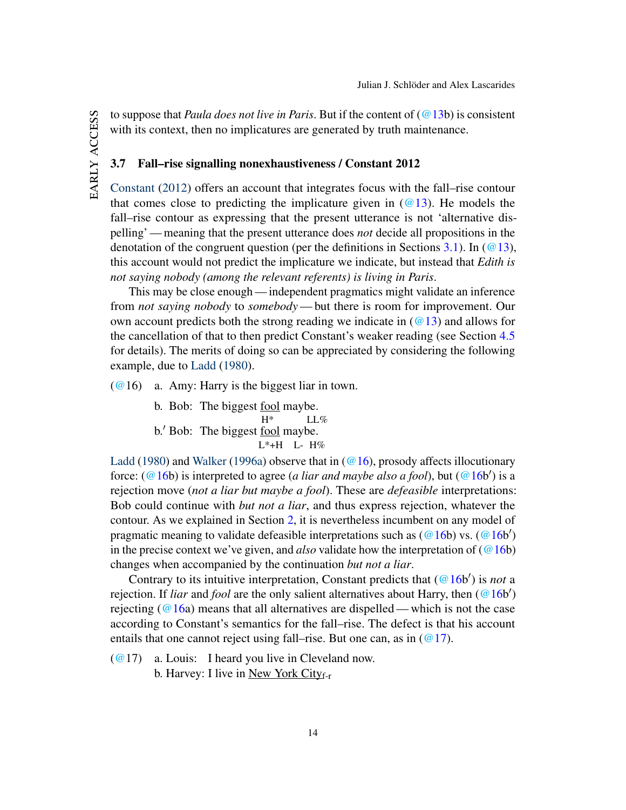to suppose that *Paula does not live in Paris*. But if the content of [\(@13b](#page-11-2)) is consistent with its context, then no implicatures are generated by truth maintenance.

### <span id="page-14-0"></span>3.7 Fall–rise signalling nonexhaustiveness / Constant 2012

[Constant](#page-45-2) [\(2012\)](#page-45-2) offers an account that integrates focus with the fall–rise contour that comes close to predicting the implicature given in  $(Q13)$ . He models the fall–rise contour as expressing that the present utterance is not 'alternative dispelling' — meaning that the present utterance does *not* decide all propositions in the denotation of the congruent question (per the definitions in Sections [3.1\)](#page-7-3). In ( $@13$ ), this account would not predict the implicature we indicate, but instead that *Edith is not saying nobody (among the relevant referents) is living in Paris*.

This may be close enough — independent pragmatics might validate an inference from *not saying nobody* to *somebody*— but there is room for improvement. Our own account predicts both the strong reading we indicate in  $(Q_1)$  and allows for the cancellation of that to then predict Constant's weaker reading (see Section [4.5](#page-21-0) for details). The merits of doing so can be appreciated by considering the following example, due to [Ladd](#page-46-1) [\(1980\)](#page-46-1).

<span id="page-14-1"></span> $(@16)$  $(@16)$  a. Amy: Harry is the biggest liar in town.

b. Bob: The biggest fool maybe.

H\* LL%  $b'$  Bob: The biggest <u>fool</u> maybe.

L\*+H L- H%

[Ladd](#page-46-1) [\(1980\)](#page-46-1) and [Walker](#page-47-6) [\(1996a\)](#page-47-6) observe that in  $(\textcircled{a} 16)$ , prosody affects illocutionary force: [\(@16b](#page-14-1)) is interpreted to agree (*a liar and maybe also a fool*), but (@16b') is a rejection move (*not a liar but maybe a fool*). These are *defeasible* interpretations: Bob could continue with *but not a liar*, and thus express rejection, whatever the contour. As we explained in Section [2,](#page-5-0) it is nevertheless incumbent on any model of pragmatic meaning to validate defeasible interpretations such as  $(Q16b)$  vs.  $(Q16b')$ in the precise context we've given, and *also* validate how the interpretation of  $(Q_1 6b)$ changes when accompanied by the continuation *but not a liar*.

Contrary to its intuitive interpretation, Constant predicts that [\(@16b](#page-14-1)') is *not* a rejection. If *liar* and *fool* are the only salient alternatives about Harry, then [\(@16b](#page-14-1)') rejecting ( $@16a$ ) means that all alternatives are dispelled—which is not the case according to Constant's semantics for the fall–rise. The defect is that his account entails that one cannot reject using fall–rise. But one can, as in  $(\mathcal{Q}17)$ .

<span id="page-14-2"></span> $(Q(2)$  a. Louis: I heard you live in Cleveland now. b. Harvey: I live in New York City $_{f-r}$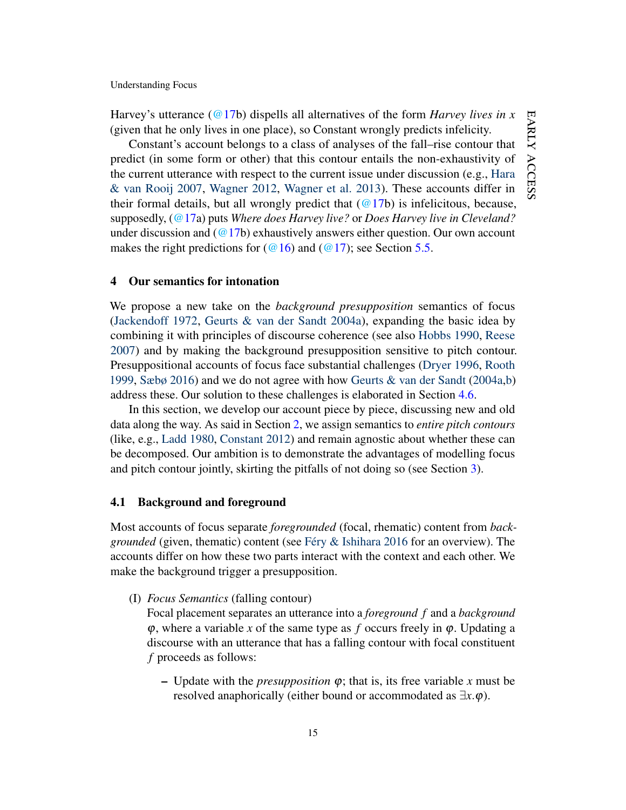Harvey's utterance [\(@17b](#page-14-2)) dispells all alternatives of the form *Harvey lives in x* (given that he only lives in one place), so Constant wrongly predicts infelicity.

Constant's account belongs to a class of analyses of the fall–rise contour that predict (in some form or other) that this contour entails the non-exhaustivity of the current utterance with respect to the current issue under discussion (e.g., [Hara](#page-45-7) [& van Rooij](#page-45-7) [2007,](#page-45-7) [Wagner](#page-47-7) [2012,](#page-47-7) [Wagner et al.](#page-47-8) [2013\)](#page-47-8). These accounts differ in their formal details, but all wrongly predict that  $(Q17b)$  is infelicitous, because, supposedly, [\(@17a](#page-14-2)) puts *Where does Harvey live?* or *Does Harvey live in Cleveland?* under discussion and  $(Q17b)$  exhaustively answers either question. Our own account makes the right predictions for ( $@16$ ) and ( $@17$ ); see Section [5.5.](#page-39-0)

# <span id="page-15-0"></span>4 Our semantics for intonation

We propose a new take on the *background presupposition* semantics of focus [\(Jackendoff](#page-46-3) [1972,](#page-46-3) [Geurts & van der Sandt](#page-45-0) [2004a\)](#page-45-0), expanding the basic idea by combining it with principles of discourse coherence (see also [Hobbs](#page-45-8) [1990,](#page-45-8) [Reese](#page-46-7) [2007\)](#page-46-7) and by making the background presupposition sensitive to pitch contour. Presuppositional accounts of focus face substantial challenges [\(Dryer](#page-45-1) [1996,](#page-45-1) [Rooth](#page-46-4) [1999,](#page-46-4) [Sæbø](#page-46-5) [2016\)](#page-46-5) and we do not agree with how [Geurts & van der Sandt](#page-45-0) [\(2004a,](#page-45-0)[b\)](#page-45-9) address these. Our solution to these challenges is elaborated in Section [4.6.](#page-23-0)

In this section, we develop our account piece by piece, discussing new and old data along the way. As said in Section [2,](#page-5-0) we assign semantics to *entire pitch contours* (like, e.g., [Ladd](#page-46-1) [1980,](#page-46-1) [Constant](#page-45-2) [2012\)](#page-45-2) and remain agnostic about whether these can be decomposed. Our ambition is to demonstrate the advantages of modelling focus and pitch contour jointly, skirting the pitfalls of not doing so (see Section [3\)](#page-7-0).

### 4.1 Background and foreground

Most accounts of focus separate *foregrounded* (focal, rhematic) content from *backgrounded* (given, thematic) content (see [Féry & Ishihara](#page-45-10) [2016](#page-45-10) for an overview). The accounts differ on how these two parts interact with the context and each other. We make the background trigger a presupposition.

<span id="page-15-1"></span>(I) *Focus Semantics* (falling contour)

Focal placement separates an utterance into a *foreground f* and a *background*  $\varphi$ , where a variable *x* of the same type as *f* occurs freely in  $\varphi$ . Updating a discourse with an utterance that has a falling contour with focal constituent *f* proceeds as follows:

– Update with the *presupposition* ϕ; that is, its free variable *x* must be resolved anaphorically (either bound or accommodated as ∃*x*.ϕ).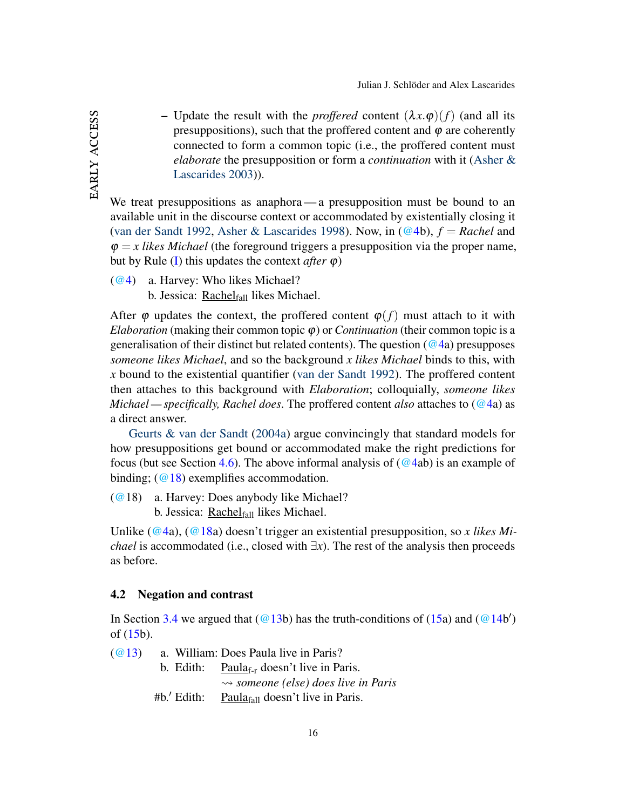– Update the result with the *proffered* content  $(\lambda x.\varphi)(f)$  (and all its presuppositions), such that the proffered content and  $\varphi$  are coherently connected to form a common topic (i.e., the proffered content must *elaborate* the presupposition or form a *continuation* with it [\(Asher &](#page-44-3) [Lascarides](#page-44-3) [2003\)](#page-44-3)).

We treat presuppositions as anaphora — a presupposition must be bound to an available unit in the discourse context or accommodated by existentially closing it [\(van der Sandt](#page-47-9) [1992,](#page-47-9) [Asher & Lascarides](#page-44-4) [1998\)](#page-44-4). Now, in  $(Q4b)$ ,  $f = Rachel$  and  $\varphi = x$  *likes Michael* (the foreground triggers a presupposition via the proper name, but by Rule [\(I\)](#page-15-1) this updates the context *after*  $\varphi$ )

[\(@4\)](#page-7-1) a. Harvey: Who likes Michael? b. Jessica: Rachelfall likes Michael.

After  $\varphi$  updates the context, the proffered content  $\varphi(f)$  must attach to it with *Elaboration* (making their common topic  $\varphi$ ) or *Continuation* (their common topic is a generalisation of their distinct but related contents). The question ( $@4a$ ) presupposes *someone likes Michael*, and so the background *x likes Michael* binds to this, with *x* bound to the existential quantifier [\(van der Sandt](#page-47-9) [1992\)](#page-47-9). The proffered content then attaches to this background with *Elaboration*; colloquially, *someone likes Michael — specifically, Rachel does*. The proffered content *also* attaches to [\(@4a](#page-7-1)) as a direct answer.

[Geurts & van der Sandt](#page-45-0) [\(2004a\)](#page-45-0) argue convincingly that standard models for how presuppositions get bound or accommodated make the right predictions for focus (but see Section [4.6\)](#page-23-0). The above informal analysis of  $(Q4ab)$  is an example of binding;  $(Q18)$  exemplifies accommodation.

<span id="page-16-1"></span>[\(@1](http://jjsch.github.io/audio/anybody.html)8) a. Harvey: Does anybody like Michael?

b. Jessica: Rachel $_{fall}$  likes Michael.

Unlike [\(@4a](#page-7-1)), [\(@18a](#page-16-1)) doesn't trigger an existential presupposition, so *x likes Michael* is accommodated (i.e., closed with  $\exists x$ ). The rest of the analysis then proceeds as before.

#### <span id="page-16-0"></span>4.2 Negation and contrast

In Section [3.4](#page-11-0) we argued that  $(Q13b)$  has the truth-conditions of  $(15a)$  $(15a)$  and  $(Q14b')$ of  $(15b)$  $(15b)$ .

| (@13) |               | a. William: Does Paula live in Paris?                 |
|-------|---------------|-------------------------------------------------------|
|       |               | b. Edith: Paula <sub>f-r</sub> doesn't live in Paris. |
|       |               | $\rightsquigarrow$ someone (else) does live in Paris  |
|       | $#b.'$ Edith: | Paula $_{fall}$ doesn't live in Paris.                |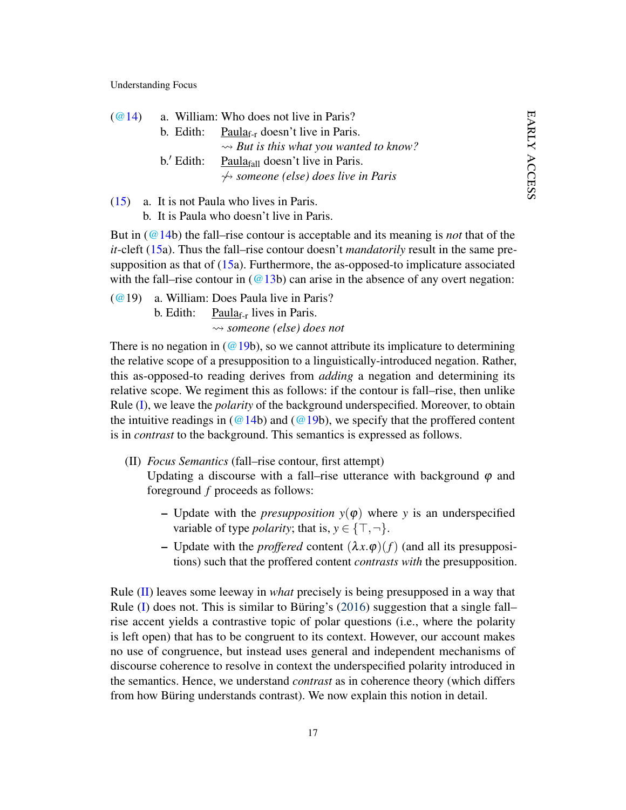| (Q(24)) |             | a. William: Who does not live in Paris?               |
|---------|-------------|-------------------------------------------------------|
|         |             | b. Edith: Paula <sub>f-r</sub> doesn't live in Paris. |
|         |             | $\rightarrow$ But is this what you wanted to know?    |
|         | $b'$ Edith: | Paula $_{fall}$ doesn't live in Paris.                |
|         |             | $\leftrightarrow$ someone (else) does live in Paris   |

[\(15\)](#page-12-1) a. It is not Paula who lives in Paris. b. It is Paula who doesn't live in Paris.

But in [\(@14b](#page-12-2)) the fall–rise contour is acceptable and its meaning is *not* that of the *it*-cleft [\(15a](#page-12-1)). Thus the fall–rise contour doesn't *mandatorily* result in the same presupposition as that of  $(15a)$  $(15a)$ . Furthermore, the as-opposed-to implicature associated with the fall–rise contour in  $(\textcircled{a} 13b)$  can arise in the absence of any overt negation:

<span id="page-17-0"></span>[\(@1](http://jjsch.github.io/audio/paula-q3.html)9) a. William: Does Paula live in Paris? b. Edith:  $Paula_{f-r}$  lives in Paris. *someone (else) does not*

There is no negation in ( $@19b$ ), so we cannot attribute its implicature to determining the relative scope of a presupposition to a linguistically-introduced negation. Rather, this as-opposed-to reading derives from *adding* a negation and determining its relative scope. We regiment this as follows: if the contour is fall–rise, then unlike Rule [\(I\)](#page-15-1), we leave the *polarity* of the background underspecified. Moreover, to obtain the intuitive readings in ( $@14b$ ) and ( $@19b$ ), we specify that the proffered content is in *contrast* to the background. This semantics is expressed as follows.

- <span id="page-17-1"></span>(II) *Focus Semantics* (fall–rise contour, first attempt) Updating a discourse with a fall–rise utterance with background  $\varphi$  and foreground *f* proceeds as follows:
	- Update with the *presupposition*  $y(\varphi)$  where *y* is an underspecified variable of type *polarity*; that is,  $y \in \{\top, \neg\}.$
	- Update with the *proffered* content  $(\lambda x.\varphi)(f)$  (and all its presuppositions) such that the proffered content *contrasts with* the presupposition.

Rule [\(II\)](#page-17-1) leaves some leeway in *what* precisely is being presupposed in a way that Rule [\(I\)](#page-15-1) does not. This is similar to Büring's [\(2016\)](#page-45-6) suggestion that a single fall– rise accent yields a contrastive topic of polar questions (i.e., where the polarity is left open) that has to be congruent to its context. However, our account makes no use of congruence, but instead uses general and independent mechanisms of discourse coherence to resolve in context the underspecified polarity introduced in the semantics. Hence, we understand *contrast* as in coherence theory (which differs from how Büring understands contrast). We now explain this notion in detail.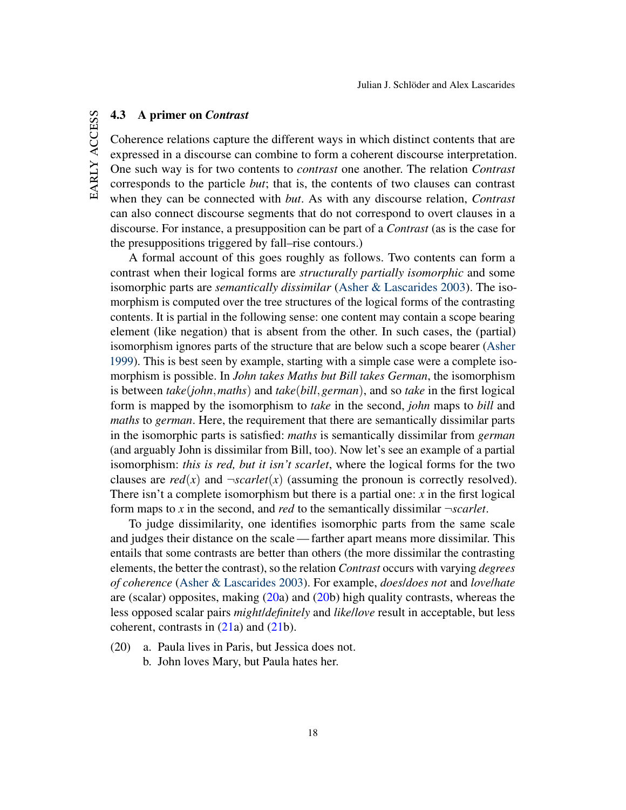# <span id="page-18-1"></span>4.3 A primer on *Contrast*

Coherence relations capture the different ways in which distinct contents that are expressed in a discourse can combine to form a coherent discourse interpretation. One such way is for two contents to *contrast* one another. The relation *Contrast* corresponds to the particle *but*; that is, the contents of two clauses can contrast when they can be connected with *but*. As with any discourse relation, *Contrast* can also connect discourse segments that do not correspond to overt clauses in a discourse. For instance, a presupposition can be part of a *Contrast* (as is the case for the presuppositions triggered by fall–rise contours.)

A formal account of this goes roughly as follows. Two contents can form a contrast when their logical forms are *structurally partially isomorphic* and some isomorphic parts are *semantically dissimilar* [\(Asher & Lascarides](#page-44-3) [2003\)](#page-44-3). The isomorphism is computed over the tree structures of the logical forms of the contrasting contents. It is partial in the following sense: one content may contain a scope bearing element (like negation) that is absent from the other. In such cases, the (partial) isomorphism ignores parts of the structure that are below such a scope bearer [\(Asher](#page-44-8) [1999\)](#page-44-8). This is best seen by example, starting with a simple case were a complete isomorphism is possible. In *John takes Maths but Bill takes German*, the isomorphism is between *take*(*john*,*maths*) and *take*(*bill*,*german*), and so *take* in the first logical form is mapped by the isomorphism to *take* in the second, *john* maps to *bill* and *maths* to *german*. Here, the requirement that there are semantically dissimilar parts in the isomorphic parts is satisfied: *maths* is semantically dissimilar from *german* (and arguably John is dissimilar from Bill, too). Now let's see an example of a partial isomorphism: *this is red, but it isn't scarlet*, where the logical forms for the two clauses are  $red(x)$  and  $-scarlet(x)$  (assuming the pronoun is correctly resolved). There isn't a complete isomorphism but there is a partial one:  $x$  in the first logical form maps to *x* in the second, and *red* to the semantically dissimilar ¬*scarlet*.

To judge dissimilarity, one identifies isomorphic parts from the same scale and judges their distance on the scale— farther apart means more dissimilar. This entails that some contrasts are better than others (the more dissimilar the contrasting elements, the better the contrast), so the relation *Contrast* occurs with varying *degrees of coherence* [\(Asher & Lascarides](#page-44-3) [2003\)](#page-44-3). For example, *does*/*does not* and *love*/*hate* are (scalar) opposites, making [\(20a](#page-18-0)) and [\(20b](#page-18-0)) high quality contrasts, whereas the less opposed scalar pairs *might*/*definitely* and *like*/*love* result in acceptable, but less coherent, contrasts in [\(21a](#page-19-0)) and [\(21b](#page-19-0)).

- <span id="page-18-0"></span>(20) a. Paula lives in Paris, but Jessica does not.
	- b. John loves Mary, but Paula hates her.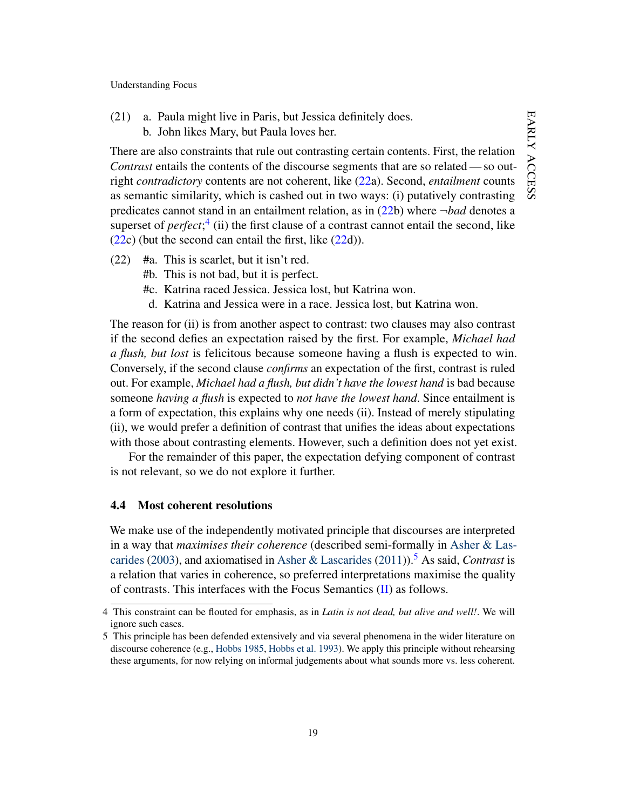<span id="page-19-0"></span>(21) a. Paula might live in Paris, but Jessica definitely does. b. John likes Mary, but Paula loves her.

There are also constraints that rule out contrasting certain contents. First, the relation *Contrast* entails the contents of the discourse segments that are so related — so outright *contradictory* contents are not coherent, like [\(22a](#page-19-1)). Second, *entailment* counts as semantic similarity, which is cashed out in two ways: (i) putatively contrasting predicates cannot stand in an entailment relation, as in [\(22b](#page-19-1)) where ¬*bad* denotes a superset of *perfect*;<sup>[4](#page-19-2)</sup> (ii) the first clause of a contrast cannot entail the second, like  $(22c)$  $(22c)$  (but the second can entail the first, like  $(22d)$  $(22d)$ ).

- <span id="page-19-1"></span>(22) #a. This is scarlet, but it isn't red.
	- #b. This is not bad, but it is perfect.
	- #c. Katrina raced Jessica. Jessica lost, but Katrina won.
	- d. Katrina and Jessica were in a race. Jessica lost, but Katrina won.

The reason for (ii) is from another aspect to contrast: two clauses may also contrast if the second defies an expectation raised by the first. For example, *Michael had a flush, but lost* is felicitous because someone having a flush is expected to win. Conversely, if the second clause *confirms* an expectation of the first, contrast is ruled out. For example, *Michael had a flush, but didn't have the lowest hand* is bad because someone *having a flush* is expected to *not have the lowest hand*. Since entailment is a form of expectation, this explains why one needs (ii). Instead of merely stipulating (ii), we would prefer a definition of contrast that unifies the ideas about expectations with those about contrasting elements. However, such a definition does not yet exist.

For the remainder of this paper, the expectation defying component of contrast is not relevant, so we do not explore it further.

# <span id="page-19-4"></span>4.4 Most coherent resolutions

We make use of the independently motivated principle that discourses are interpreted in a way that *maximises their coherence* (described semi-formally in [Asher & Las](#page-44-3)[carides](#page-44-3) [\(2003\)](#page-44-3), and axiomatised in [Asher & Lascarides](#page-44-9) [\(2011\)](#page-44-9)).[5](#page-19-3) As said, *Contrast* is a relation that varies in coherence, so preferred interpretations maximise the quality of contrasts. This interfaces with the Focus Semantics [\(II\)](#page-17-1) as follows.

<span id="page-19-2"></span><sup>4</sup> This constraint can be flouted for emphasis, as in *Latin is not dead, but alive and well!*. We will ignore such cases.

<span id="page-19-3"></span><sup>5</sup> This principle has been defended extensively and via several phenomena in the wider literature on discourse coherence (e.g., [Hobbs](#page-45-11) [1985,](#page-45-11) [Hobbs et al.](#page-45-12) [1993\)](#page-45-12). We apply this principle without rehearsing these arguments, for now relying on informal judgements about what sounds more vs. less coherent.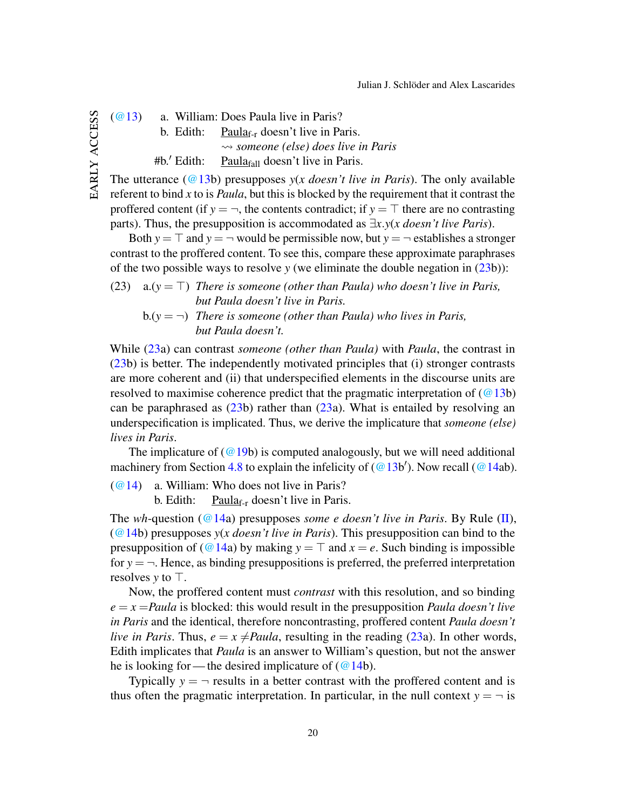[\(@13\)](#page-11-2) a. William: Does Paula live in Paris?

b. Edith: Paula<sub>f-r</sub> doesn't live in Paris.

*someone (else) does live in Paris*

 $#b.'$  Edith: Paula $_{fall}$  doesn't live in Paris.

The utterance ( $@13b$ ) presupposes *y(x doesn't live in Paris*). The only available referent to bind *x* to is *Paula*, but this is blocked by the requirement that it contrast the proffered content (if  $y = \neg$ , the contents contradict; if  $y = \top$  there are no contrasting parts). Thus, the presupposition is accommodated as  $\exists x. y(x$  *doesn't live Paris*).

Both  $y = \top$  and  $y = \neg$  would be permissible now, but  $y = \neg$  establishes a stronger contrast to the proffered content. To see this, compare these approximate paraphrases of the two possible ways to resolve *y* (we eliminate the double negation in [\(23b](#page-20-0))):

<span id="page-20-0"></span>(23) a.( $y = T$ ) *There is someone (other than Paula) who doesn't live in Paris, but Paula doesn't live in Paris.*

 $b.(\gamma = \neg)$  *There is someone (other than Paula) who lives in Paris, but Paula doesn't.*

While [\(23a](#page-20-0)) can contrast *someone (other than Paula)* with *Paula*, the contrast in [\(23b](#page-20-0)) is better. The independently motivated principles that (i) stronger contrasts are more coherent and (ii) that underspecified elements in the discourse units are resolved to maximise coherence predict that the pragmatic interpretation of  $(Q13b)$ can be paraphrased as  $(23b)$  $(23b)$  rather than  $(23a)$  $(23a)$ . What is entailed by resolving an underspecification is implicated. Thus, we derive the implicature that *someone (else) lives in Paris*.

The implicature of  $(Q19b)$  is computed analogously, but we will need additional machinery from Section [4.8](#page-27-0) to explain the infelicity of  $(Q13b')$ . Now recall  $(Q14ab)$ .

[\(@14\)](#page-12-2) a. William: Who does not live in Paris?

b. Edith:  $\frac{\text{Paula}_{f-r}}{\text{d} \cdot \text{d} \cdot \text{d} \cdot \text{d} \cdot \text{d} \cdot \text{d} \cdot \text{d} \cdot \text{d} \cdot \text{d} \cdot \text{d} \cdot \text{d} \cdot \text{d} \cdot \text{d} \cdot \text{d} \cdot \text{d} \cdot \text{d} \cdot \text{d} \cdot \text{d} \cdot \text{d} \cdot \text{d} \cdot \text{d} \cdot \text{d} \cdot \text{d} \cdot \text{d} \cdot \text{d} \cdot \text{d} \cdot \text{d} \cdot \text{d} \cdot \text{$ 

The *wh*-question [\(@14a](#page-12-2)) presupposes *some e doesn't live in Paris*. By Rule [\(II\)](#page-17-1), [\(@14b](#page-12-2)) presupposes *y*(*x doesn't live in Paris*). This presupposition can bind to the presupposition of [\(@14a](#page-12-2)) by making  $y = \top$  and  $x = e$ . Such binding is impossible for  $y = -$ . Hence, as binding presuppositions is preferred, the preferred interpretation resolves  $y$  to  $\top$ .

Now, the proffered content must *contrast* with this resolution, and so binding  $e = x =$ *Paula* is blocked: this would result in the presupposition *Paula doesn't live in Paris* and the identical, therefore noncontrasting, proffered content *Paula doesn't live in Paris*. Thus,  $e = x \neq P$ *aula*, resulting in the reading [\(23a](#page-20-0)). In other words, Edith implicates that *Paula* is an answer to William's question, but not the answer he is looking for — the desired implicature of  $(\omega$  14b).

Typically  $y = -r$  results in a better contrast with the proffered content and is thus often the pragmatic interpretation. In particular, in the null context  $y = -i$  is

EARLY ACCESS early access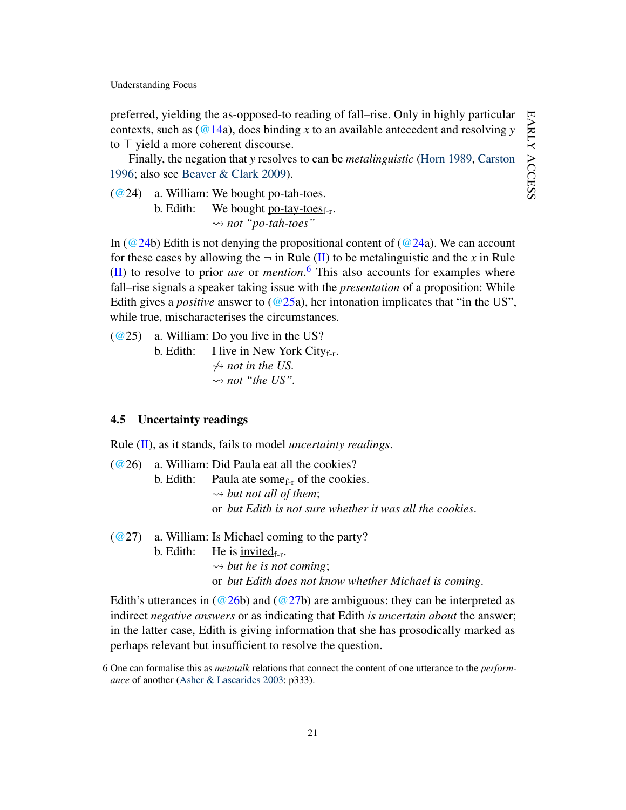preferred, yielding the as-opposed-to reading of fall–rise. Only in highly particular contexts, such as  $(Q14a)$ , does binding *x* to an available antecedent and resolving *y* to  $\top$  yield a more coherent discourse.

Finally, the negation that *y* resolves to can be *metalinguistic* [\(Horn](#page-45-13) [1989,](#page-45-13) [Carston](#page-45-14) [1996;](#page-45-14) also see [Beaver & Clark](#page-44-7) [2009\)](#page-44-7).

<span id="page-21-1"></span>[\(@2](http://jjsch.github.io/audio/potato.html)4) a. William: We bought po-tah-toes.

b. Edith: We bought po-tay-toes $_{f-r}$ . *not "po-tah-toes"*

In [\(@24b](#page-21-1)) Edith is not denying the propositional content of [\(@24a](#page-21-1)). We can account for these cases by allowing the  $\neg$  in Rule [\(II\)](#page-17-1) to be metalinguistic and the *x* in Rule [\(II\)](#page-17-1) to resolve to prior *use* or *mention*. [6](#page-21-2) This also accounts for examples where fall–rise signals a speaker taking issue with the *presentation* of a proposition: While Edith gives a *positive* answer to [\(@25a](#page-21-3)), her intonation implicates that "in the US", while true, mischaracterises the circumstances.

<span id="page-21-3"></span>[\(@2](http://jjsch.github.io/audio/nyc.html)5) a. William: Do you live in the US? b. Edith: I live in <u>New York City</u><sub>f-r</sub>.  $\rightsquigarrow$  *not in the US.*  $\rightsquigarrow$  *not "the US".* 

#### <span id="page-21-0"></span>4.5 Uncertainty readings

Rule [\(II\)](#page-17-1), as it stands, fails to model *uncertainty readings*.

<span id="page-21-4"></span> $(Q<sup>26</sup>)$  a. William: Did Paula eat all the cookies?

b. Edith: Paula ate some $f_{\text{rf}}$  of the cookies.  $\rightarrow$  *but not all of them*; or *but Edith is not sure whether it was all the cookies*.

<span id="page-21-5"></span> $(Q27)$  a. William: Is Michael coming to the party?

b. Edith: He is  $\text{invited}_{f-r}$ .

 $\rightarrow$  *but he is not coming*;

or *but Edith does not know whether Michael is coming*.

Edith's utterances in  $(Q26b)$  and  $(Q27b)$  are ambiguous: they can be interpreted as indirect *negative answers* or as indicating that Edith *is uncertain about* the answer; in the latter case, Edith is giving information that she has prosodically marked as perhaps relevant but insufficient to resolve the question.

<span id="page-21-2"></span><sup>6</sup> One can formalise this as *metatalk* relations that connect the content of one utterance to the *performance* of another [\(Asher & Lascarides](#page-44-3) [2003:](#page-44-3) p333).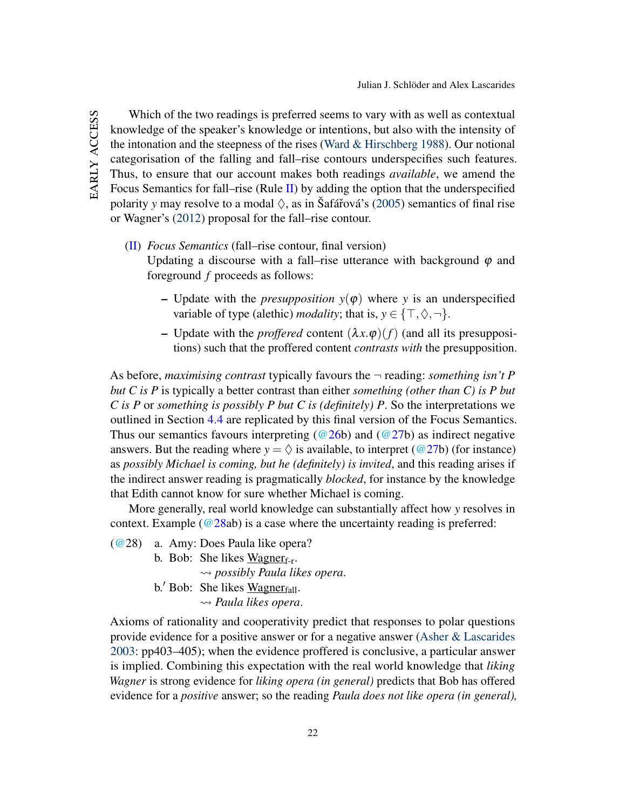Which of the two readings is preferred seems to vary with as well as contextual knowledge of the speaker's knowledge or intentions, but also with the intensity of the intonation and the steepness of the rises [\(Ward & Hirschberg](#page-47-10) [1988\)](#page-47-10). Our notional categorisation of the falling and fall–rise contours underspecifies such features. Thus, to ensure that our account makes both readings *available*, we amend the Focus Semantics for fall–rise (Rule  $II$ ) by adding the option that the underspecified polarity *y* may resolve to a modal  $\Diamond$ , as in Šafářová's [\(2005\)](#page-47-11) semantics of final rise or Wagner's [\(2012\)](#page-47-7) proposal for the fall–rise contour.

# [\(II\)](#page-17-1) *Focus Semantics* (fall–rise contour, final version)

Updating a discourse with a fall–rise utterance with background  $\varphi$  and foreground *f* proceeds as follows:

- Update with the *presupposition*  $y(\varphi)$  where *y* is an underspecified variable of type (alethic) *modality*; that is,  $y \in \{\top, \Diamond, \neg\}$ .
- Update with the *proffered* content  $(\lambda x.\varphi)(f)$  (and all its presuppositions) such that the proffered content *contrasts with* the presupposition.

As before, *maximising contrast* typically favours the ¬ reading: *something isn't P but C is P* is typically a better contrast than either *something (other than C) is P but C is P* or *something is possibly P but C is (definitely) P*. So the interpretations we outlined in Section [4.4](#page-19-4) are replicated by this final version of the Focus Semantics. Thus our semantics favours interpreting ( $@26b$ ) and ( $@27b$ ) as indirect negative answers. But the reading where  $y = \Diamond$  is available, to interpret ( $@27b$ ) (for instance) as *possibly Michael is coming, but he (definitely) is invited*, and this reading arises if the indirect answer reading is pragmatically *blocked*, for instance by the knowledge that Edith cannot know for sure whether Michael is coming.

More generally, real world knowledge can substantially affect how *y* resolves in context. Example ( $@28ab$ ) is a case where the uncertainty reading is preferred:

- <span id="page-22-0"></span>[\(@2](http://jjsch.github.io/audio/wagner.html)8) a. Amy: Does Paula like opera?
	- b. Bob: She likes  $Wagner_{f-r}$ .

*possibly Paula likes opera*.

b.' Bob: She likes Wagner $_{fall}$ . *Paula likes opera*.

Axioms of rationality and cooperativity predict that responses to polar questions provide evidence for a positive answer or for a negative answer [\(Asher & Lascarides](#page-44-3) [2003:](#page-44-3) pp403–405); when the evidence proffered is conclusive, a particular answer is implied. Combining this expectation with the real world knowledge that *liking Wagner* is strong evidence for *liking opera (in general)* predicts that Bob has offered evidence for a *positive* answer; so the reading *Paula does not like opera (in general),*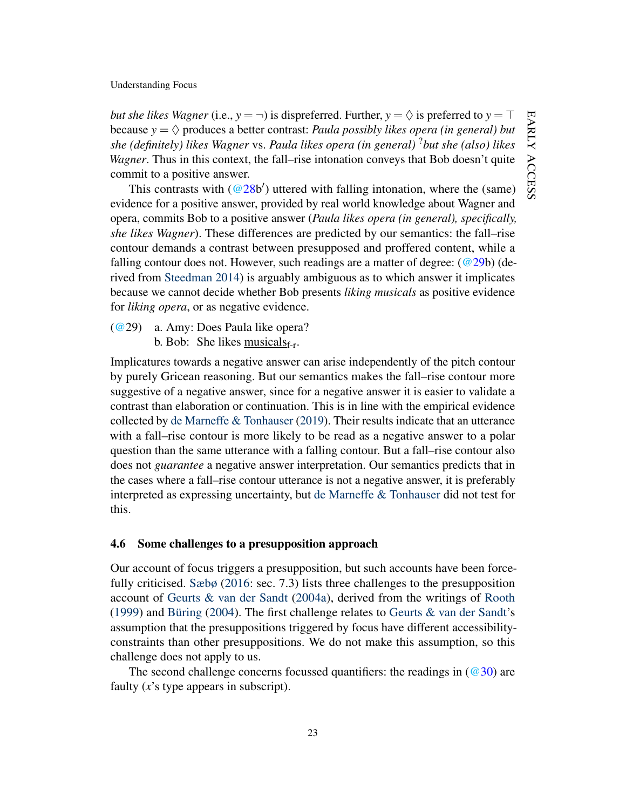*but she likes Wagner* (i.e.,  $y = \neg$ ) is dispreferred. Further,  $y = \Diamond$  is preferred to  $y = \top$ because  $y = \Diamond$  produces a better contrast: *Paula possibly likes opera (in general) but she (definitely) likes Wagner* vs. *Paula likes opera (in general)* ?*but she (also) likes Wagner*. Thus in this context, the fall–rise intonation conveys that Bob doesn't quite commit to a positive answer.

This contrasts with  $(Q28b')$  uttered with falling intonation, where the (same) evidence for a positive answer, provided by real world knowledge about Wagner and opera, commits Bob to a positive answer (*Paula likes opera (in general), specifically, she likes Wagner*). These differences are predicted by our semantics: the fall–rise contour demands a contrast between presupposed and proffered content, while a falling contour does not. However, such readings are a matter of degree:  $(\textcircled{a} 29b)$  (derived from [Steedman](#page-47-1) [2014\)](#page-47-1) is arguably ambiguous as to which answer it implicates because we cannot decide whether Bob presents *liking musicals* as positive evidence for *liking opera*, or as negative evidence.

<span id="page-23-1"></span>[\(@2](http://jjsch.github.io/audio/musical.html)9) a. Amy: Does Paula like opera?

b. Bob: She likes  $\frac{\text{musicals}_{f-r}}{\text{musicals}_{f-r}}$ .

Implicatures towards a negative answer can arise independently of the pitch contour by purely Gricean reasoning. But our semantics makes the fall–rise contour more suggestive of a negative answer, since for a negative answer it is easier to validate a contrast than elaboration or continuation. This is in line with the empirical evidence collected by [de Marneffe & Tonhauser](#page-46-2) [\(2019\)](#page-46-2). Their results indicate that an utterance with a fall–rise contour is more likely to be read as a negative answer to a polar question than the same utterance with a falling contour. But a fall–rise contour also does not *guarantee* a negative answer interpretation. Our semantics predicts that in the cases where a fall–rise contour utterance is not a negative answer, it is preferably interpreted as expressing uncertainty, but [de Marneffe & Tonhauser](#page-46-2) did not test for this.

### <span id="page-23-0"></span>4.6 Some challenges to a presupposition approach

Our account of focus triggers a presupposition, but such accounts have been forcefully criticised. [Sæbø](#page-46-5) [\(2016:](#page-46-5) sec. 7.3) lists three challenges to the presupposition account of [Geurts & van der Sandt](#page-45-0) [\(2004a\)](#page-45-0), derived from the writings of [Rooth](#page-46-4) [\(1999\)](#page-46-4) and [Büring](#page-44-10) [\(2004\)](#page-44-10). The first challenge relates to [Geurts & van der Sandt'](#page-45-0)s assumption that the presuppositions triggered by focus have different accessibilityconstraints than other presuppositions. We do not make this assumption, so this challenge does not apply to us.

The second challenge concerns focussed quantifiers: the readings in  $(\textcircled{30})$  are faulty (*x*'s type appears in subscript).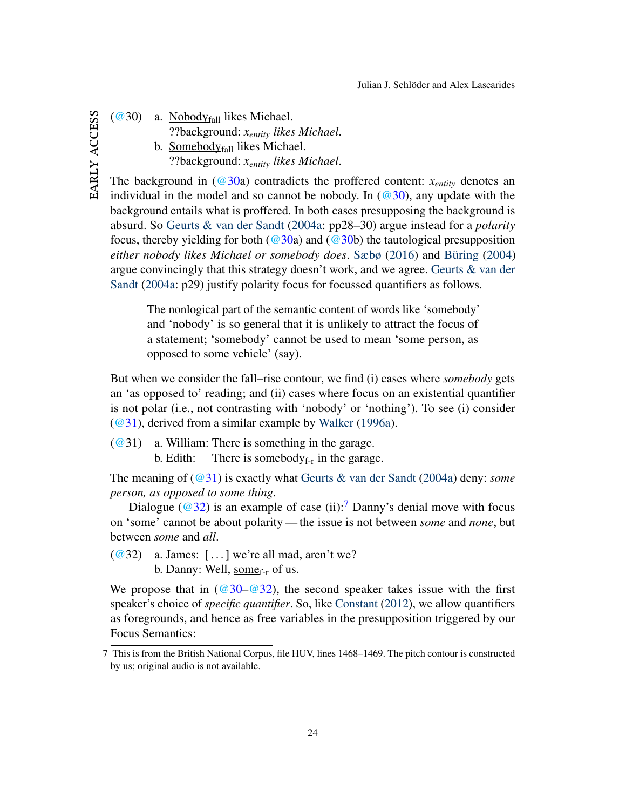<span id="page-24-0"></span> $(Q<sup>30</sup>)$  a. Nobody<sub>fall</sub> likes Michael. ??background: *xentity likes Michael*. b. Somebodyfall likes Michael. ??background: *xentity likes Michael*.

The background in  $(\omega 30a)$  contradicts the proffered content:  $x_{entity}$  denotes an individual in the model and so cannot be nobody. In  $(\mathcal{Q}30)$ , any update with the background entails what is proffered. In both cases presupposing the background is absurd. So [Geurts & van der Sandt](#page-45-0) [\(2004a:](#page-45-0) pp28–30) argue instead for a *polarity* focus, thereby yielding for both ( $@30a$ ) and ( $@30b$ ) the tautological presupposition *either nobody likes Michael or somebody does*. [Sæbø](#page-46-5) [\(2016\)](#page-46-5) and [Büring](#page-44-10) [\(2004\)](#page-44-10) argue convincingly that this strategy doesn't work, and we agree. [Geurts & van der](#page-45-0) [Sandt](#page-45-0) [\(2004a:](#page-45-0) p29) justify polarity focus for focussed quantifiers as follows.

The nonlogical part of the semantic content of words like 'somebody' and 'nobody' is so general that it is unlikely to attract the focus of a statement; 'somebody' cannot be used to mean 'some person, as opposed to some vehicle' (say).

But when we consider the fall–rise contour, we find (i) cases where *somebody* gets an 'as opposed to' reading; and (ii) cases where focus on an existential quantifier is not polar (i.e., not contrasting with 'nobody' or 'nothing'). To see (i) consider [\(@31\)](#page-24-1), derived from a similar example by [Walker](#page-47-6) [\(1996a\)](#page-47-6).

<span id="page-24-1"></span> $(@31)$  $(@31)$  a. William: There is something in the garage. b. Edith: There is somebody $f_{\text{tr}}$  in the garage.

The meaning of [\(@31\)](#page-24-1) is exactly what [Geurts & van der Sandt](#page-45-0) [\(2004a\)](#page-45-0) deny: *some person, as opposed to some thing*.

Dialogue ( $@32$ ) is an example of case (ii):<sup>[7](#page-24-3)</sup> Danny's denial move with focus on 'some' cannot be about polarity— the issue is not between *some* and *none*, but between *some* and *all*.

<span id="page-24-2"></span> $(Q^{\circ}32)$  a. James: [...] we're all mad, aren't we? b. Danny: Well,  $\underset{\text{some}_{f-r}}{\text{some}}$  of us.

We propose that in ( $@30-@32$ ), the second speaker takes issue with the first speaker's choice of *specific quantifier*. So, like [Constant](#page-45-2) [\(2012\)](#page-45-2), we allow quantifiers as foregrounds, and hence as free variables in the presupposition triggered by our Focus Semantics:

EARLY ACCESS early access

<span id="page-24-3"></span><sup>7</sup> This is from the British National Corpus, file HUV, lines 1468–1469. The pitch contour is constructed by us; original audio is not available.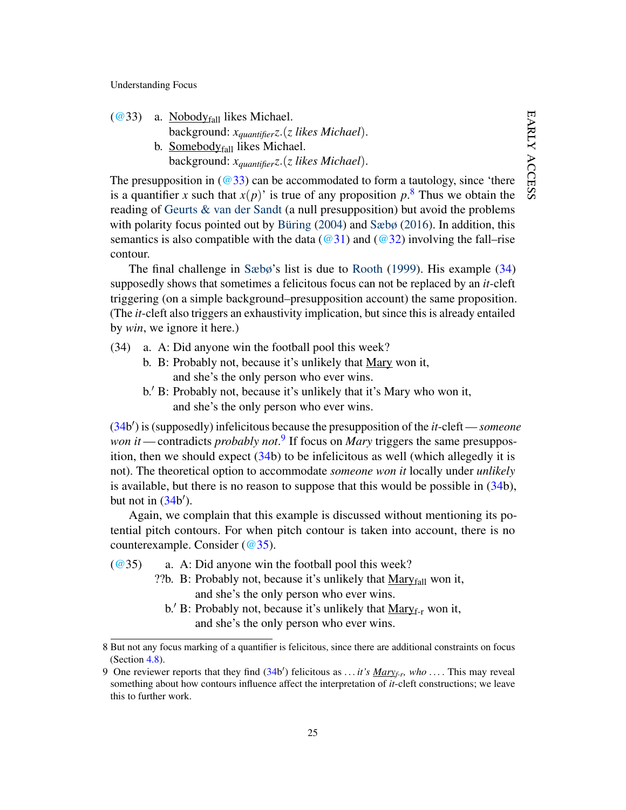<span id="page-25-0"></span> $(Q<sup>33</sup>)$  a. Nobody<sub>fall</sub> likes Michael. background: *xquantifierz*.(*z likes Michael*). b. Somebody<sub>fall</sub> likes Michael. background: *xquantifierz*.(*z likes Michael*).

The presupposition in  $\left(\frac{\omega 33}{2}\right)$  can be accommodated to form a tautology, since 'there is a quantifier *x* such that  $x(p)$ ' is true of any proposition  $p$ .<sup>[8](#page-25-1)</sup> Thus we obtain the reading of [Geurts & van der Sandt](#page-45-0) (a null presupposition) but avoid the problems with polarity focus pointed out by [Büring](#page-44-10) [\(2004\)](#page-44-10) and [Sæbø](#page-46-5) [\(2016\)](#page-46-5). In addition, this semantics is also compatible with the data ( $@31$ ) and ( $@32$ ) involving the fall–rise contour.

The final challenge in [Sæbø'](#page-46-5)s list is due to [Rooth](#page-46-4) [\(1999\)](#page-46-4). His example [\(34\)](#page-25-2) supposedly shows that sometimes a felicitous focus can not be replaced by an *it*-cleft triggering (on a simple background–presupposition account) the same proposition. (The *it*-cleft also triggers an exhaustivity implication, but since this is already entailed by *win*, we ignore it here.)

- <span id="page-25-2"></span>(34) a. A: Did anyone win the football pool this week?
	- b. B: Probably not, because it's unlikely that Mary won it, and she's the only person who ever wins.
	- b. B: Probably not, because it's unlikely that it's Mary who won it, and she's the only person who ever wins.

[\(34b](#page-25-2) 0 ) is (supposedly) infelicitous because the presupposition of the *it*-cleft — *someone* won *it* — contradicts *probably not*.<sup>[9](#page-25-3)</sup> If focus on *Mary* triggers the same presupposition, then we should expect  $(34b)$  $(34b)$  to be infelicitous as well (which allegedly it is not). The theoretical option to accommodate *someone won it* locally under *unlikely* is available, but there is no reason to suppose that this would be possible in [\(34b](#page-25-2)), but not in  $(34b')$  $(34b')$ .

Again, we complain that this example is discussed without mentioning its potential pitch contours. For when pitch contour is taken into account, there is no counterexample. Consider [\(@35\)](#page-25-4).

<span id="page-25-4"></span> $(Q<sup>2</sup>35)$  a. A: Did anyone win the football pool this week?

- ??b. B: Probably not, because it's unlikely that  $\text{Mary}_{fall}$  won it, and she's the only person who ever wins.
	- b.' B: Probably not, because it's unlikely that  $Mary_{f-r}$  won it, and she's the only person who ever wins.

<span id="page-25-1"></span><sup>8</sup> But not any focus marking of a quantifier is felicitous, since there are additional constraints on focus (Section [4.8\)](#page-27-0).

<span id="page-25-3"></span><sup>9</sup> One reviewer reports that they find [\(34b](#page-25-2) 0 ) felicitous as *. . . it's Maryf-r, who . . .* . This may reveal something about how contours influence affect the interpretation of *it*-cleft constructions; we leave this to further work.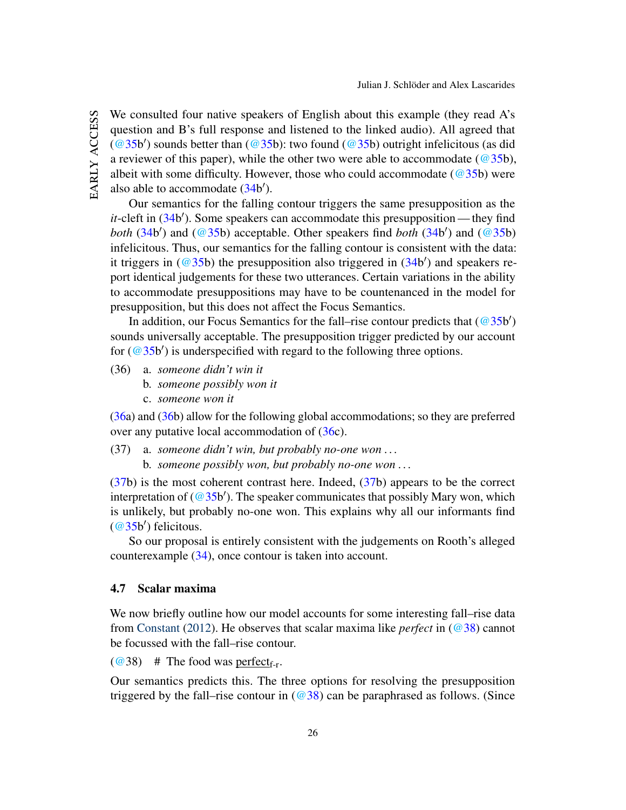EARLY ACCESS early access We consulted four native speakers of English about this example (they read A's question and B's full response and listened to the linked audio). All agreed that  $(\textcircled{a} 35b')$  sounds better than  $(\textcircled{a} 35b)$ : two found  $(\textcircled{a} 35b)$  outright infelicitous (as did a reviewer of this paper), while the other two were able to accommodate ( $@35b$ ), albeit with some difficulty. However, those who could accommodate ( $@35b$ ) were also able to accommodate [\(34b](#page-25-2)<sup>'</sup>).

Our semantics for the falling contour triggers the same presupposition as the it-cleft in [\(34b](#page-25-2)'). Some speakers can accommodate this presupposition— they find *both* [\(34b](#page-25-2)') and [\(@35b](#page-25-4)) acceptable. Other speakers find *both* (34b') and (@35b) infelicitous. Thus, our semantics for the falling contour is consistent with the data: it triggers in  $(\textcircled{a} 35b)$  the presupposition also triggered in  $(34b')$  $(34b')$  and speakers report identical judgements for these two utterances. Certain variations in the ability to accommodate presuppositions may have to be countenanced in the model for presupposition, but this does not affect the Focus Semantics.

In addition, our Focus Semantics for the fall–rise contour predicts that  $(\textcircled{35b}')$ sounds universally acceptable. The presupposition trigger predicted by our account for  $(\textcircled{a} 35b')$  is underspecified with regard to the following three options.

- <span id="page-26-0"></span>(36) a. *someone didn't win it*
	- b. *someone possibly won it*
	- c. *someone won it*

[\(36a](#page-26-0)) and [\(36b](#page-26-0)) allow for the following global accommodations; so they are preferred over any putative local accommodation of [\(36c](#page-26-0)).

<span id="page-26-1"></span>(37) a. *someone didn't win, but probably no-one won . . .* b. *someone possibly won, but probably no-one won . . .*

 $(37b)$  $(37b)$  is the most coherent contrast here. Indeed,  $(37b)$  appears to be the correct interpretation of ( $@35b'$ ). The speaker communicates that possibly Mary won, which is unlikely, but probably no-one won. This explains why all our informants find  $(\omega$ 35b') felicitous.

So our proposal is entirely consistent with the judgements on Rooth's alleged counterexample [\(34\)](#page-25-2), once contour is taken into account.

#### <span id="page-26-3"></span>4.7 Scalar maxima

We now briefly outline how our model accounts for some interesting fall–rise data from [Constant](#page-45-2) [\(2012\)](#page-45-2). He observes that scalar maxima like *perfect* in [\(@38\)](#page-26-2) cannot be focussed with the fall–rise contour.

<span id="page-26-2"></span> $(Q_38)$  # The food was perfect<sub>f-r</sub>.

Our semantics predicts this. The three options for resolving the presupposition triggered by the fall–rise contour in  $(\textcircled{38})$  can be paraphrased as follows. (Since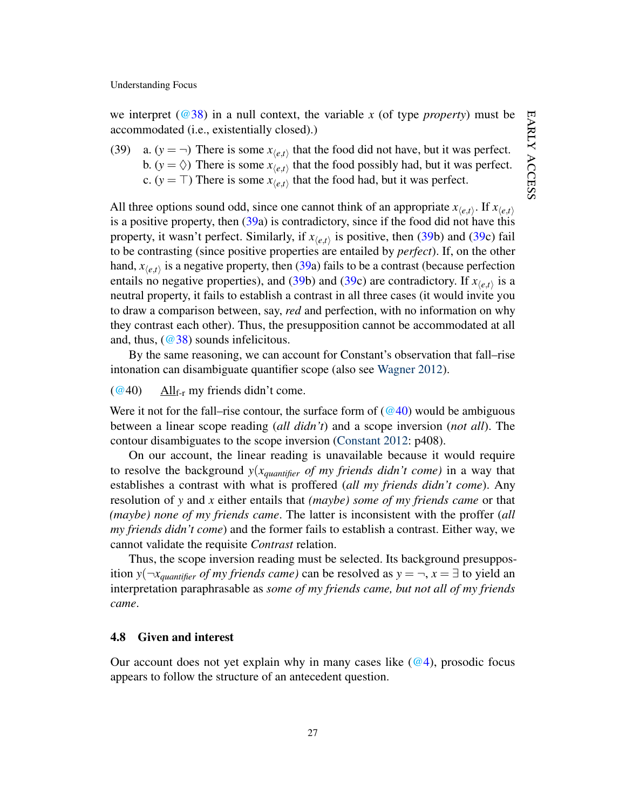we interpret ( $@38$ ) in a null context, the variable *x* (of type *property*) must be accommodated (i.e., existentially closed).)

<span id="page-27-1"></span>(39) a.  $(y = \neg)$  There is some  $x_{\langle e,t \rangle}$  that the food did not have, but it was perfect. b.  $(y = \Diamond)$  There is some  $x_{\langle e, t \rangle}$  that the food possibly had, but it was perfect. c. ( $y = \top$ ) There is some  $x_{\langle e,t \rangle}$  that the food had, but it was perfect.

All three options sound odd, since one cannot think of an appropriate  $x_{\langle e,t \rangle}$ . If  $x_{\langle e,t \rangle}$ is a positive property, then  $(39a)$  $(39a)$  is contradictory, since if the food did not have this property, it wasn't perfect. Similarly, if  $x_{\langle e,t \rangle}$  is positive, then [\(39b](#page-27-1)) and [\(39c](#page-27-1)) fail to be contrasting (since positive properties are entailed by *perfect*). If, on the other hand,  $x_{\langle e,t\rangle}$  is a negative property, then [\(39a](#page-27-1)) fails to be a contrast (because perfection entails no negative properties), and [\(39b](#page-27-1)) and [\(39c](#page-27-1)) are contradictory. If  $x_{(e,t)}$  is a neutral property, it fails to establish a contrast in all three cases (it would invite you to draw a comparison between, say, *red* and perfection, with no information on why they contrast each other). Thus, the presupposition cannot be accommodated at all and, thus,  $(\textcircled{38})$  sounds infelicitous.

By the same reasoning, we can account for Constant's observation that fall–rise intonation can disambiguate quantifier scope (also see [Wagner](#page-47-7) [2012\)](#page-47-7).

<span id="page-27-2"></span> $\left(\frac{\omega}{40}\right)$  All<sub>f-r</sub> my friends didn't come.

Were it not for the fall–rise contour, the surface form of  $(\textcircled{a}40)$  would be ambiguous between a linear scope reading (*all didn't*) and a scope inversion (*not all*). The contour disambiguates to the scope inversion [\(Constant](#page-45-2) [2012:](#page-45-2) p408).

On our account, the linear reading is unavailable because it would require to resolve the background *y*(*xquantifier of my friends didn't come)* in a way that establishes a contrast with what is proffered (*all my friends didn't come*). Any resolution of *y* and *x* either entails that *(maybe) some of my friends came* or that *(maybe) none of my friends came*. The latter is inconsistent with the proffer (*all my friends didn't come*) and the former fails to establish a contrast. Either way, we cannot validate the requisite *Contrast* relation.

Thus, the scope inversion reading must be selected. Its background presupposition *y*( $\neg x_{quantifier}$  *of my friends came)* can be resolved as  $y = \neg, x = \exists$  to yield an interpretation paraphrasable as *some of my friends came, but not all of my friends came*.

#### <span id="page-27-0"></span>4.8 Given and interest

Our account does not yet explain why in many cases like  $(\mathcal{Q}_4)$ , prosodic focus appears to follow the structure of an antecedent question.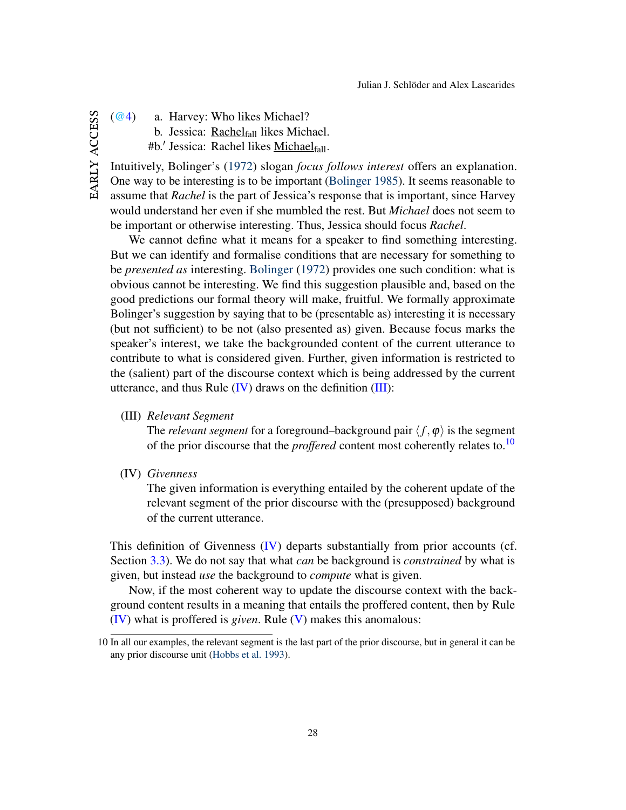- EARLY ACCESS early access
- [\(@4\)](#page-7-1) a. Harvey: Who likes Michael?
	- b. Jessica: Rachel $f_{\text{all}}$  likes Michael.
	- #b.' Jessica: Rachel likes <u>Michael<sub>fall</sub>.</u>

Intuitively, Bolinger's [\(1972\)](#page-44-1) slogan *focus follows interest* offers an explanation. One way to be interesting is to be important [\(Bolinger](#page-44-2) [1985\)](#page-44-2). It seems reasonable to assume that *Rachel* is the part of Jessica's response that is important, since Harvey would understand her even if she mumbled the rest. But *Michael* does not seem to be important or otherwise interesting. Thus, Jessica should focus *Rachel*.

We cannot define what it means for a speaker to find something interesting. But we can identify and formalise conditions that are necessary for something to be *presented as* interesting. [Bolinger](#page-44-1) [\(1972\)](#page-44-1) provides one such condition: what is obvious cannot be interesting. We find this suggestion plausible and, based on the good predictions our formal theory will make, fruitful. We formally approximate Bolinger's suggestion by saying that to be (presentable as) interesting it is necessary (but not sufficient) to be not (also presented as) given. Because focus marks the speaker's interest, we take the backgrounded content of the current utterance to contribute to what is considered given. Further, given information is restricted to the (salient) part of the discourse context which is being addressed by the current utterance, and thus Rule  $(IV)$  draws on the definition  $(III)$ :

<span id="page-28-1"></span>(III) *Relevant Segment*

The *relevant segment* for a foreground–background pair  $\langle f, \varphi \rangle$  is the segment of the prior discourse that the *proffered* content most coherently relates to.[10](#page-28-2)

<span id="page-28-0"></span>(IV) *Givenness*

The given information is everything entailed by the coherent update of the relevant segment of the prior discourse with the (presupposed) background of the current utterance.

This definition of Givenness [\(IV\)](#page-28-0) departs substantially from prior accounts (cf. Section [3.3\)](#page-10-0). We do not say that what *can* be background is *constrained* by what is given, but instead *use* the background to *compute* what is given.

Now, if the most coherent way to update the discourse context with the background content results in a meaning that entails the proffered content, then by Rule [\(IV\)](#page-28-0) what is proffered is *given*. Rule [\(V\)](#page-28-3) makes this anomalous:

<span id="page-28-3"></span><span id="page-28-2"></span><sup>10</sup> In all our examples, the relevant segment is the last part of the prior discourse, but in general it can be any prior discourse unit [\(Hobbs et al.](#page-45-12) [1993\)](#page-45-12).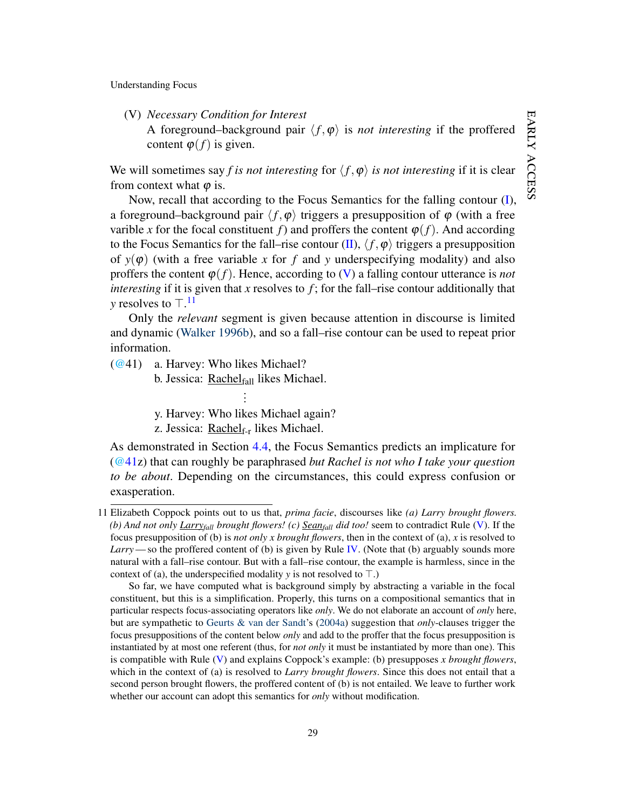(V) *Necessary Condition for Interest* A foreground–background pair  $\langle f, \varphi \rangle$  is *not interesting* if the proffered content  $\varphi(f)$  is given.

We will sometimes say *f is not interesting* for  $\langle f, \varphi \rangle$  *is not interesting* if it is clear from context what  $\varphi$  is.

Now, recall that according to the Focus Semantics for the falling contour [\(I\)](#page-15-1), a foreground–background pair  $\langle f, \varphi \rangle$  triggers a presupposition of  $\varphi$  (with a free varible *x* for the focal constituent *f*) and proffers the content  $\varphi(f)$ . And according to the Focus Semantics for the fall–rise contour [\(II\)](#page-17-1),  $\langle f, \varphi \rangle$  triggers a presupposition of  $y(\varphi)$  (with a free variable x for f and y underspecifying modality) and also proffers the content  $\varphi(f)$ . Hence, according to [\(V\)](#page-28-3) a falling contour utterance is *not interesting* if it is given that *x* resolves to *f* ; for the fall–rise contour additionally that *y* resolves to  $\top$ .<sup>[11](#page-29-0)</sup>

Only the *relevant* segment is given because attention in discourse is limited and dynamic [\(Walker](#page-47-12) [1996b\)](#page-47-12), and so a fall–rise contour can be used to repeat prior information.

<span id="page-29-1"></span>[\(@4](http://jjsch.github.io/audio/reminder.html)1) a. Harvey: Who likes Michael?

b. Jessica: Rachelfall likes Michael. .

. . y. Harvey: Who likes Michael again?

z. Jessica: Rachel $f_{\text{tr}}$  likes Michael.

As demonstrated in Section [4.4,](#page-19-4) the Focus Semantics predicts an implicature for [\(@41z](#page-29-1)) that can roughly be paraphrased *but Rachel is not who I take your question to be about*. Depending on the circumstances, this could express confusion or exasperation.

<span id="page-29-0"></span><sup>11</sup> Elizabeth Coppock points out to us that, *prima facie*, discourses like *(a) Larry brought flowers. (b) And not only Larryfall brought flowers! (c) Seanfall did too!* seem to contradict Rule [\(V\)](#page-28-3). If the focus presupposition of (b) is *not only x brought flowers*, then in the context of (a), *x* is resolved to *Larry*—so the proffered content of (b) is given by Rule [IV.](#page-28-0) (Note that (b) arguably sounds more natural with a fall–rise contour. But with a fall–rise contour, the example is harmless, since in the context of (a), the underspecified modality *y* is not resolved to  $\top$ .)

So far, we have computed what is background simply by abstracting a variable in the focal constituent, but this is a simplification. Properly, this turns on a compositional semantics that in particular respects focus-associating operators like *only*. We do not elaborate an account of *only* here, but are sympathetic to [Geurts & van der Sandt'](#page-45-0)s [\(2004a\)](#page-45-0) suggestion that *only*-clauses trigger the focus presuppositions of the content below *only* and add to the proffer that the focus presupposition is instantiated by at most one referent (thus, for *not only* it must be instantiated by more than one). This is compatible with Rule [\(V\)](#page-28-3) and explains Coppock's example: (b) presupposes *x brought flowers*, which in the context of (a) is resolved to *Larry brought flowers*. Since this does not entail that a second person brought flowers, the proffered content of (b) is not entailed. We leave to further work whether our account can adopt this semantics for *only* without modification.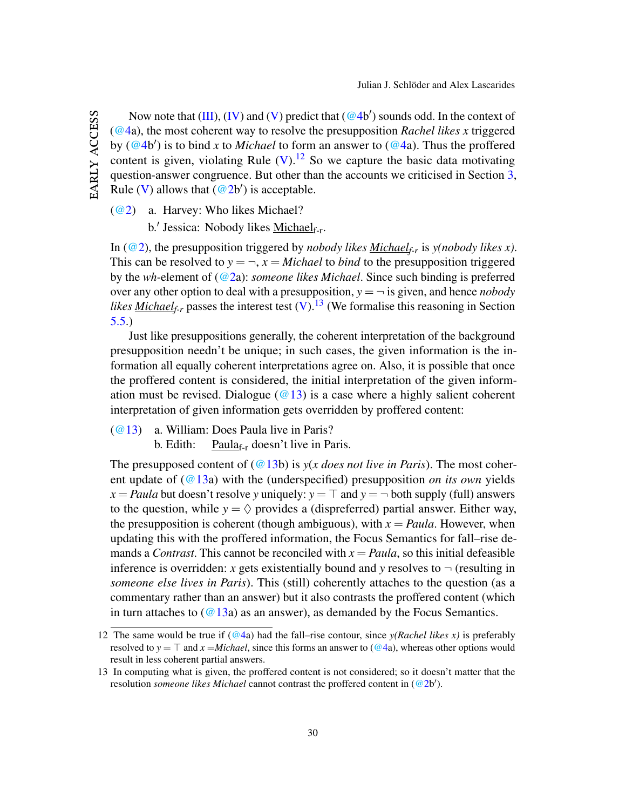Now note that  $(III)$ ,  $(IV)$  and  $(V)$  predict that  $(@4b')$  $(@4b')$  sounds odd. In the context of [\(@4a](#page-7-1)), the most coherent way to resolve the presupposition *Rachel likes x* triggered by [\(@4b](#page-7-1)') is to bind *x* to *Michael* to form an answer to [\(@4a](#page-7-1)). Thus the proffered content is given, violating Rule  $(V)$ .<sup>[12](#page-30-0)</sup> So we capture the basic data motivating question-answer congruence. But other than the accounts we criticised in Section [3,](#page-7-0) Rule [\(V\)](#page-28-3) allows that  $(\textcircled{a} 2b')$  is acceptable.

[\(@2\)](#page-2-1) a. Harvey: Who likes Michael?

b.' Jessica: Nobody likes Michael<sub>f-r</sub>.

In [\(@2\)](#page-2-1), the presupposition triggered by *nobody likes Michaelf-r* is *y(nobody likes x)*. This can be resolved to  $y = \neg$ ,  $x = Michael$  to *bind* to the presupposition triggered by the *wh*-element of [\(@2a](#page-2-1)): *someone likes Michael*. Since such binding is preferred over any other option to deal with a presupposition,  $y = -i$  is given, and hence *nobody likes Michael*<sub>f-r</sub> passes the interest test  $(V)$ .<sup>[13](#page-30-1)</sup> (We formalise this reasoning in Section [5.5.](#page-39-0))

Just like presuppositions generally, the coherent interpretation of the background presupposition needn't be unique; in such cases, the given information is the information all equally coherent interpretations agree on. Also, it is possible that once the proffered content is considered, the initial interpretation of the given information must be revised. Dialogue ( $@13$ ) is a case where a highly salient coherent interpretation of given information gets overridden by proffered content:

[\(@13\)](#page-11-2) a. William: Does Paula live in Paris?

b. Edith: Paula $_{f-r}$  doesn't live in Paris.

The presupposed content of  $(Q_13b)$  is  $y(x \text{ does not live in Paris})$ . The most coherent update of [\(@13a](#page-11-2)) with the (underspecified) presupposition *on its own* yields  $x =$  *Paula* but doesn't resolve *y* uniquely:  $y = T$  and  $y = \neg$  both supply (full) answers to the question, while  $y = \Diamond$  provides a (dispreferred) partial answer. Either way, the presupposition is coherent (though ambiguous), with  $x = Paula$ . However, when updating this with the proffered information, the Focus Semantics for fall–rise demands a *Contrast*. This cannot be reconciled with  $x = Paula$ , so this initial defeasible inference is overridden: *x* gets existentially bound and *y* resolves to  $\neg$  (resulting in *someone else lives in Paris*). This (still) coherently attaches to the question (as a commentary rather than an answer) but it also contrasts the proffered content (which in turn attaches to  $(Q13a)$  as an answer), as demanded by the Focus Semantics.

<span id="page-30-0"></span><sup>12</sup> The same would be true if  $(Q4a)$  had the fall–rise contour, since  $y(Rachel \, likes \, x)$  is preferably resolved to  $y = \top$  and  $x = Michael$ , since this forms an answer to [\(@4a](#page-7-1)), whereas other options would result in less coherent partial answers.

<span id="page-30-1"></span><sup>13</sup> In computing what is given, the proffered content is not considered; so it doesn't matter that the resolution *someone likes Michael* cannot contrast the proffered content in [\(@2b](#page-2-1)').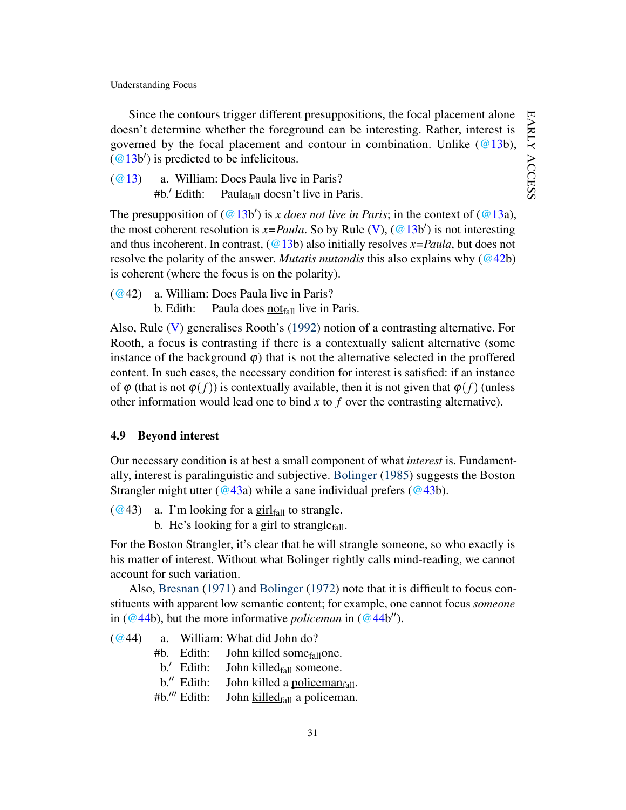EARLY ACCESS early access

Understanding Focus

Since the contours trigger different presuppositions, the focal placement alone doesn't determine whether the foreground can be interesting. Rather, interest is governed by the focal placement and contour in combination. Unlike  $(Q13b)$ ,  $(@13b')$  $(@13b')$  is predicted to be infelicitous.

[\(@13\)](#page-11-2) a. William: Does Paula live in Paris? #b.' Edith: Paula $_{fall}$  doesn't live in Paris.

The presupposition of  $(Q13b')$  is *x does not live in Paris*; in the context of  $(Q13a)$ , the most coherent resolution is  $x = Paula$ . So by Rule [\(V\)](#page-28-3), [\(@13b](#page-11-2)') is not interesting and thus incoherent. In contrast, [\(@13b](#page-11-2)) also initially resolves *x=Paula*, but does not resolve the polarity of the answer. *Mutatis mutandis* this also explains why [\(@42b](#page-31-0)) is coherent (where the focus is on the polarity).

<span id="page-31-0"></span>[\(@4](http://jjsch.github.io/audio/paula-pitch2-2.html)2) a. William: Does Paula live in Paris? b. Edith: Paula does not $_{fall}$  live in Paris.

Also, Rule [\(V\)](#page-28-3) generalises Rooth's [\(1992\)](#page-46-8) notion of a contrasting alternative. For Rooth, a focus is contrasting if there is a contextually salient alternative (some instance of the background  $\varphi$ ) that is not the alternative selected in the proffered content. In such cases, the necessary condition for interest is satisfied: if an instance of  $\varphi$  (that is not  $\varphi(f)$ ) is contextually available, then it is not given that  $\varphi(f)$  (unless other information would lead one to bind *x* to *f* over the contrasting alternative).

# 4.9 Beyond interest

Our necessary condition is at best a small component of what *interest* is. Fundamentally, interest is paralinguistic and subjective. [Bolinger](#page-44-2) [\(1985\)](#page-44-2) suggests the Boston Strangler might utter [\(@43a](#page-31-1)) while a sane individual prefers [\(@43b](#page-31-1)).

<span id="page-31-1"></span> $(Q<sup>2</sup>43)$  a. I'm looking for a girl<sub>fall</sub> to strangle.

b. He's looking for a girl to strangle $_{fall}$ .

For the Boston Strangler, it's clear that he will strangle someone, so who exactly is his matter of interest. Without what Bolinger rightly calls mind-reading, we cannot account for such variation.

Also, [Bresnan](#page-44-11) [\(1971\)](#page-44-11) and [Bolinger](#page-44-1) [\(1972\)](#page-44-1) note that it is difficult to focus constituents with apparent low semantic content; for example, one cannot focus *someone* in ( $@44b$ ), but the more informative *policeman* in ( $@44b''$ ).

- <span id="page-31-2"></span>[\(@4](http://jjsch.github.io/audio/killed.html)4) a. William: What did John do?
	- $#b.$  Edith: John killed some $_{fall}$ one.
	- b.' Edith: John  $killed_{fall}$  someone.<br>b.'' Edith: John killed a policeman
	- b." Edith: John killed a <u>policeman</u><sub>fall</sub>.<br>#b.'" Edith: John killed<sub>fall</sub> a policeman.
	- John  $killed<sub>fall</sub>$  a policeman.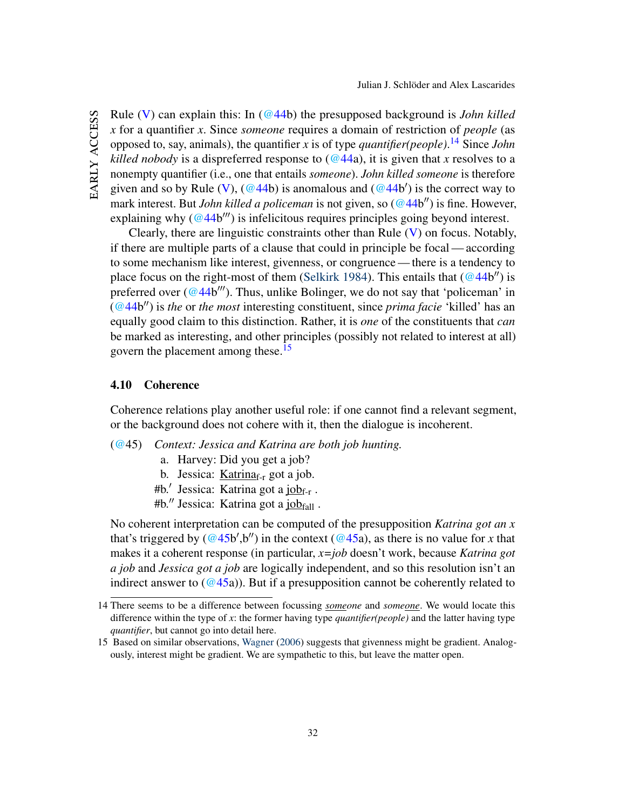EARLY ACCESS early access Rule [\(V\)](#page-28-3) can explain this: In [\(@44b](#page-31-2)) the presupposed background is *John killed x* for a quantifier *x*. Since *someone* requires a domain of restriction of *people* (as opposed to, say, animals), the quantifier *x* is of type *quantifier(people)*. [14](#page-32-0) Since *John killed nobody* is a dispreferred response to  $(Q44a)$ , it is given that *x* resolves to a nonempty quantifier (i.e., one that entails *someone*). *John killed someone* is therefore given and so by Rule [\(V\)](#page-28-3),  $(\textcircled{44b})$  is anomalous and  $(\textcircled{44b}')$  is the correct way to mark interest. But *John killed a policeman* is not given, so [\(@44b](#page-31-2)") is fine. However, explaining why  $(Q44b''')$  is infelicitous requires principles going beyond interest.

Clearly, there are linguistic constraints other than Rule [\(V\)](#page-28-3) on focus. Notably, if there are multiple parts of a clause that could in principle be focal— according to some mechanism like interest, givenness, or congruence — there is a tendency to place focus on the right-most of them [\(Selkirk](#page-47-4) [1984\)](#page-47-4). This entails that  $(\textcircled{44b}^{\prime\prime})$  is preferred over [\(@44b](#page-31-2)'''). Thus, unlike Bolinger, we do not say that 'policeman' in [\(@44b](#page-31-2)") is *the* or *the most* interesting constituent, since *prima facie* 'killed' has an equally good claim to this distinction. Rather, it is *one* of the constituents that *can* be marked as interesting, and other principles (possibly not related to interest at all) govern the placement among these.<sup>[15](#page-32-1)</sup>

# 4.10 Coherence

Coherence relations play another useful role: if one cannot find a relevant segment, or the background does not cohere with it, then the dialogue is incoherent.

- <span id="page-32-2"></span>[\(@4](http://jjsch.github.io/audio/fire3.html)5) *Context: Jessica and Katrina are both job hunting.*
	- a. Harvey: Did you get a job?
	- b. Jessica: Katrina $f_{\text{rf}}$  got a job.
	- #b.' Jessica: Katrina got a job<sub>f-r</sub>.
	- #b." Jessica: Katrina got a  $job_{fall}$ .

No coherent interpretation can be computed of the presupposition *Katrina got an x* that's triggered by  $(\mathcal{Q}45b', b'')$  in the context  $(\mathcal{Q}45a)$ , as there is no value for *x* that makes it a coherent response (in particular, *x=job* doesn't work, because *Katrina got a job* and *Jessica got a job* are logically independent, and so this resolution isn't an indirect answer to  $(Q45a)$ ). But if a presupposition cannot be coherently related to

<span id="page-32-0"></span><sup>14</sup> There seems to be a difference between focussing *someone* and *someone*. We would locate this difference within the type of *x*: the former having type *quantifier(people)* and the latter having type *quantifier*, but cannot go into detail here.

<span id="page-32-1"></span><sup>15</sup> Based on similar observations, [Wagner](#page-47-13) [\(2006\)](#page-47-13) suggests that givenness might be gradient. Analogously, interest might be gradient. We are sympathetic to this, but leave the matter open.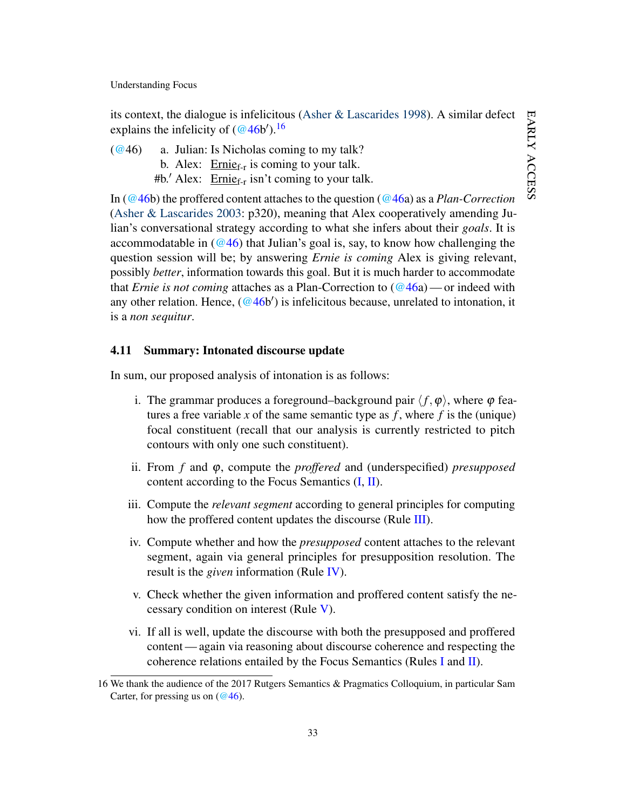its context, the dialogue is infelicitous [\(Asher & Lascarides](#page-44-4) [1998\)](#page-44-4). A similar defect explains the infelicity of  $(\mathcal{Q}46b')$ .<sup>[16](#page-33-1)</sup>

<span id="page-33-0"></span> $(Q<sup>2</sup>46)$  a. Julian: Is Nicholas coming to my talk? b. Alex:  $\frac{\text{Ernie}_{f-r}}{\text{is coming to your talk}}$ . #b.' Alex:  $\text{Ernie}_{f-r}$  isn't coming to your talk.

In [\(@46b](#page-33-0)) the proffered content attaches to the question [\(@46a](#page-33-0)) as a *Plan-Correction* [\(Asher & Lascarides](#page-44-3) [2003:](#page-44-3) p320), meaning that Alex cooperatively amending Julian's conversational strategy according to what she infers about their *goals*. It is accommodatable in  $(Q46)$  that Julian's goal is, say, to know how challenging the question session will be; by answering *Ernie is coming* Alex is giving relevant, possibly *better*, information towards this goal. But it is much harder to accommodate that *Ernie is not coming* attaches as a Plan-Correction to [\(@46a](#page-33-0))— or indeed with any other relation. Hence,  $(\mathcal{Q}_4 6b')$  is infelicitous because, unrelated to intonation, it is a *non sequitur*.

# 4.11 Summary: Intonated discourse update

In sum, our proposed analysis of intonation is as follows:

- i. The grammar produces a foreground–background pair  $\langle f, \varphi \rangle$ , where  $\varphi$  features a free variable x of the same semantic type as  $f$ , where  $f$  is the (unique) focal constituent (recall that our analysis is currently restricted to pitch contours with only one such constituent).
- ii. From *f* and ϕ, compute the *proffered* and (underspecified) *presupposed* content according to the Focus Semantics  $(I, II)$  $(I, II)$  $(I, II)$ .
- iii. Compute the *relevant segment* according to general principles for computing how the proffered content updates the discourse (Rule [III\)](#page-28-1).
- iv. Compute whether and how the *presupposed* content attaches to the relevant segment, again via general principles for presupposition resolution. The result is the *given* information (Rule [IV\)](#page-28-0).
- v. Check whether the given information and proffered content satisfy the necessary condition on interest (Rule [V\)](#page-28-3).
- vi. If all is well, update the discourse with both the presupposed and proffered content — again via reasoning about discourse coherence and respecting the coherence relations entailed by the Focus Semantics (Rules [I](#page-15-1) and [II\)](#page-17-1).

<span id="page-33-1"></span><sup>16</sup> We thank the audience of the 2017 Rutgers Semantics & Pragmatics Colloquium, in particular Sam Carter, for pressing us on  $(\omega$ 46).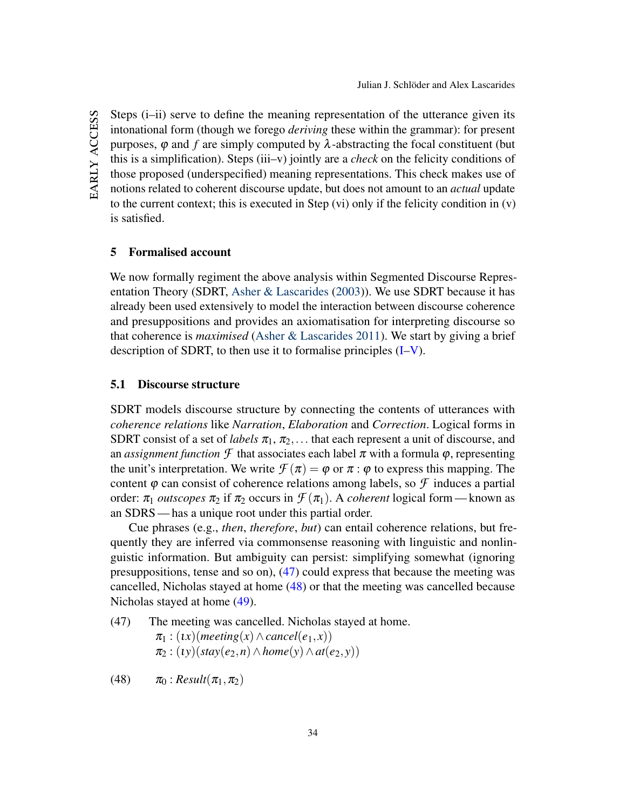EARLY ACCESS early access Steps (i–ii) serve to define the meaning representation of the utterance given its intonational form (though we forego *deriving* these within the grammar): for present purposes,  $\varphi$  and  $f$  are simply computed by  $\lambda$ -abstracting the focal constituent (but this is a simplification). Steps (iii–v) jointly are a *check* on the felicity conditions of those proposed (underspecified) meaning representations. This check makes use of notions related to coherent discourse update, but does not amount to an *actual* update to the current context; this is executed in Step (vi) only if the felicity condition in (v) is satisfied.

# <span id="page-34-0"></span>5 Formalised account

We now formally regiment the above analysis within Segmented Discourse Representation Theory (SDRT, [Asher & Lascarides](#page-44-3) [\(2003\)](#page-44-3)). We use SDRT because it has already been used extensively to model the interaction between discourse coherence and presuppositions and provides an axiomatisation for interpreting discourse so that coherence is *maximised* [\(Asher & Lascarides](#page-44-9) [2011\)](#page-44-9). We start by giving a brief description of SDRT, to then use it to formalise principles [\(I–](#page-15-1)[V\)](#page-28-3).

### 5.1 Discourse structure

SDRT models discourse structure by connecting the contents of utterances with *coherence relations* like *Narration*, *Elaboration* and *Correction*. Logical forms in SDRT consist of a set of *labels*  $\pi_1$ ,  $\pi_2$ ,... that each represent a unit of discourse, and an *assignment function*  $\mathcal F$  that associates each label  $\pi$  with a formula  $\varphi$ , representing the unit's interpretation. We write  $\mathcal{F}(\pi) = \varphi$  or  $\pi : \varphi$  to express this mapping. The content  $\varphi$  can consist of coherence relations among labels, so  $\mathcal F$  induces a partial order:  $\pi_1$  *outscopes*  $\pi_2$  if  $\pi_2$  occurs in  $\mathcal{F}(\pi_1)$ . A *coherent* logical form—known as an SDRS — has a unique root under this partial order.

Cue phrases (e.g., *then*, *therefore*, *but*) can entail coherence relations, but frequently they are inferred via commonsense reasoning with linguistic and nonlinguistic information. But ambiguity can persist: simplifying somewhat (ignoring presuppositions, tense and so on), [\(47\)](#page-34-1) could express that because the meeting was cancelled, Nicholas stayed at home [\(48\)](#page-34-2) or that the meeting was cancelled because Nicholas stayed at home [\(49\)](#page-35-0).

<span id="page-34-1"></span>(47) The meeting was cancelled. Nicholas stayed at home.  $\pi_1$  : (*ix*)(*meeting*(*x*)  $\land$  *cancel*(*e*<sub>1</sub>*,x*))  $\pi_2$ : (*iy*)(*stay*(*e*<sub>2</sub>,*n*)  $\wedge$  *home*(*y*)  $\wedge$  *at*(*e*<sub>2</sub>,*y*))

<span id="page-34-2"></span>(48)  $\pi_0$  : *Result*( $\pi_1, \pi_2$ )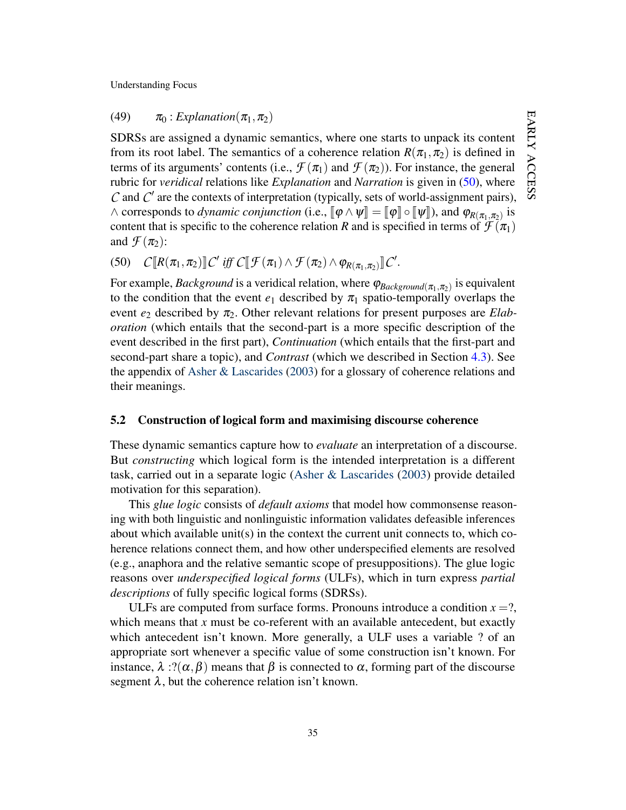<span id="page-35-0"></span>(49)  $\pi_0$  : *Explanation* $(\pi_1, \pi_2)$ 

SDRSs are assigned a dynamic semantics, where one starts to unpack its content from its root label. The semantics of a coherence relation  $R(\pi_1, \pi_2)$  is defined in terms of its arguments' contents (i.e.,  $\mathcal{F}(\pi_1)$  and  $\mathcal{F}(\pi_2)$ ). For instance, the general rubric for *veridical* relations like *Explanation* and *Narration* is given in [\(50\)](#page-35-1), where  $C$  and  $C'$  are the contexts of interpretation (typically, sets of world-assignment pairs),  $\wedge$  corresponds to *dynamic conjunction* (i.e.,  $[\![\varphi \wedge \psi]\!] = [\![\varphi]\!] \circ [\![\psi]\!]$ ), and  $\varphi_{R(\pi_1, \pi_2)}$  is content that is specific to the coherence relation *R* and is specified in terms of  $\mathcal{F}(\pi_1)$ and  $\mathcal{F}(\pi_2)$ :

<span id="page-35-1"></span>(50)  $C[\![R(\pi_1, \pi_2)]\!]\!C'$  *iff*  $C[\![\mathcal{F}(\pi_1) \wedge \mathcal{F}(\pi_2) \wedge \varphi_{R(\pi_1, \pi_2)}]\!]\!C'.$ 

For example, *Background* is a veridical relation, where  $\varphi_{Background(\pi_1, \pi_2)}$  is equivalent to the condition that the event  $e_1$  described by  $\pi_1$  spatio-temporally overlaps the event  $e_2$  described by  $\pi_2$ . Other relevant relations for present purposes are *Elaboration* (which entails that the second-part is a more specific description of the event described in the first part), *Continuation* (which entails that the first-part and second-part share a topic), and *Contrast* (which we described in Section [4.3\)](#page-18-1). See the appendix of [Asher & Lascarides](#page-44-3) [\(2003\)](#page-44-3) for a glossary of coherence relations and their meanings.

#### 5.2 Construction of logical form and maximising discourse coherence

These dynamic semantics capture how to *evaluate* an interpretation of a discourse. But *constructing* which logical form is the intended interpretation is a different task, carried out in a separate logic [\(Asher & Lascarides](#page-44-3) [\(2003\)](#page-44-3) provide detailed motivation for this separation).

This *glue logic* consists of *default axioms* that model how commonsense reasoning with both linguistic and nonlinguistic information validates defeasible inferences about which available unit(s) in the context the current unit connects to, which coherence relations connect them, and how other underspecified elements are resolved (e.g., anaphora and the relative semantic scope of presuppositions). The glue logic reasons over *underspecified logical forms* (ULFs), which in turn express *partial descriptions* of fully specific logical forms (SDRSs).

ULFs are computed from surface forms. Pronouns introduce a condition  $x = ?$ , which means that  $x$  must be co-referent with an available antecedent, but exactly which antecedent isn't known. More generally, a ULF uses a variable ? of an appropriate sort whenever a specific value of some construction isn't known. For instance,  $\lambda$  :?( $\alpha$ , $\beta$ ) means that  $\beta$  is connected to  $\alpha$ , forming part of the discourse segment  $\lambda$ , but the coherence relation isn't known.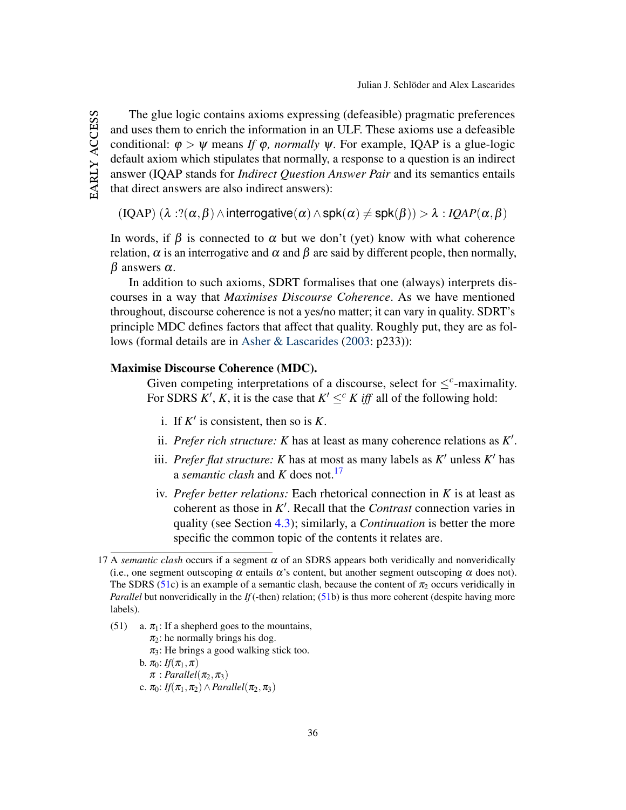early access The glue logic contains axioms expressing (defeasible) pragmatic preferences and uses them to enrich the information in an ULF. These axioms use a defeasible conditional:  $\varphi > \psi$  means *If*  $\varphi$ *, normally*  $\psi$ *.* For example, IQAP is a glue-logic default axiom which stipulates that normally, a response to a question is an indirect answer (IQAP stands for *Indirect Question Answer Pair* and its semantics entails that direct answers are also indirect answers):

 $(IQAP)$  ( $\lambda$  :?( $\alpha$ , $\beta$ )  $\land$  interrogative( $\alpha$ )  $\land$  spk( $\alpha$ )  $\neq$  spk( $\beta$ ))  $>\lambda$  : *IQAP*( $\alpha$ , $\beta$ )

In words, if  $\beta$  is connected to  $\alpha$  but we don't (yet) know with what coherence relation,  $\alpha$  is an interrogative and  $\alpha$  and  $\beta$  are said by different people, then normally,  $β$  answers  $α$ .

In addition to such axioms, SDRT formalises that one (always) interprets discourses in a way that *Maximises Discourse Coherence*. As we have mentioned throughout, discourse coherence is not a yes/no matter; it can vary in quality. SDRT's principle MDC defines factors that affect that quality. Roughly put, they are as follows (formal details are in [Asher & Lascarides](#page-44-3) [\(2003:](#page-44-3) p233)):

### Maximise Discourse Coherence (MDC).

EARLY ACCESS

Given competing interpretations of a discourse, select for  $\leq^c$ -maximality. For SDRS  $K'$ ,  $K$ , it is the case that  $K' \leq^c K$  *iff* all of the following hold:

- i. If  $K'$  is consistent, then so is  $K$ .
- ii. *Prefer rich structure:*  $K$  has at least as many coherence relations as  $K'$ .
- iii. *Prefer flat structure: K* has at most as many labels as  $K'$  unless  $K'$  has a *semantic clash* and *K* does not.[17](#page-36-0)
- iv. *Prefer better relations:* Each rhetorical connection in *K* is at least as coherent as those in  $K'$ . Recall that the *Contrast* connection varies in quality (see Section [4.3\)](#page-18-1); similarly, a *Continuation* is better the more specific the common topic of the contents it relates are.

<span id="page-36-1"></span>(51) a.  $\pi_1$ : If a shepherd goes to the mountains,  $\pi_2$ : he normally brings his dog.  $\pi_3$ : He brings a good walking stick too. b.  $\pi_0$ : *If*( $\pi_1, \pi$ )  $\pi$ : *Parallel*( $\pi$ <sub>2</sub>, $\pi$ <sub>3</sub>) c.  $\pi_0$ : *If*( $\pi_1, \pi_2$ ) ∧ *Parallel*( $\pi_2, \pi_3$ )

<span id="page-36-0"></span><sup>17</sup> A *semantic clash* occurs if a segment  $\alpha$  of an SDRS appears both veridically and nonveridically (i.e., one segment outscoping  $\alpha$  entails  $\alpha$ 's content, but another segment outscoping  $\alpha$  does not). The SDRS [\(51c](#page-36-1)) is an example of a semantic clash, because the content of  $\pi_2$  occurs veridically in *Parallel* but nonveridically in the *If* (-then) relation; [\(51b](#page-36-1)) is thus more coherent (despite having more labels).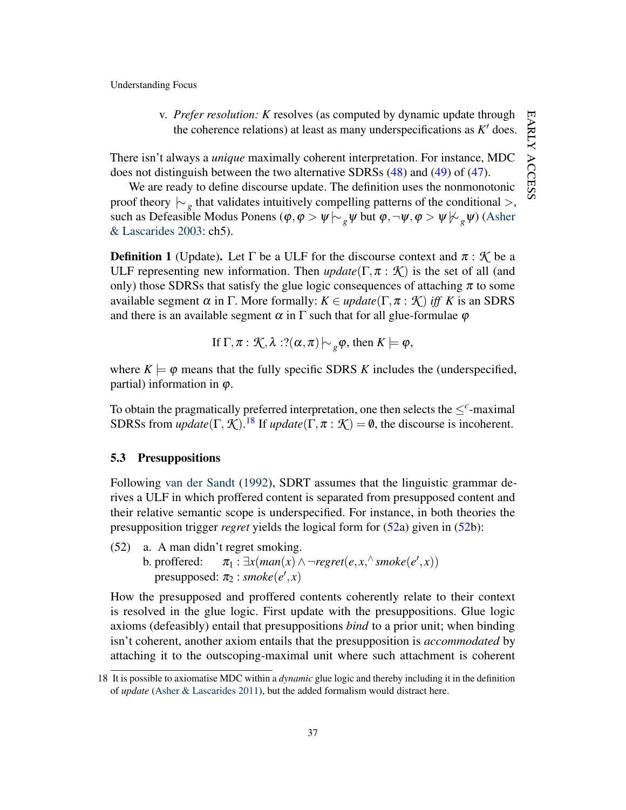v. *Prefer resolution: K* resolves (as computed by dynamic update through the coherence relations) at least as many underspecifications as  $K'$  does.

There isn't always a *unique* maximally coherent interpretation. For instance, MDC does not distinguish between the two alternative SDRSs [\(48\)](#page-34-2) and [\(49\)](#page-35-0) of [\(47\)](#page-34-1).

We are ready to define discourse update. The definition uses the nonmonotonic proof theory  $\vdash_g$  that validates intuitively compelling patterns of the conditional >, such as Defeasible Modus Ponens ( $\varphi, \varphi > \psi \sim_{\varrho} \psi$  but  $\varphi, \neg \psi, \varphi > \psi \nsucc_{\varrho} \psi$ ) [\(Asher](#page-44-3) [& Lascarides](#page-44-3) [2003:](#page-44-3) ch5).

<span id="page-37-2"></span>**Definition 1** (Update). Let  $\Gamma$  be a ULF for the discourse context and  $\pi : \mathcal{K}$  be a ULF representing new information. Then  $update(\Gamma, \pi : \mathcal{K})$  is the set of all (and only) those SDRSs that satisfy the glue logic consequences of attaching  $\pi$  to some available segment  $\alpha$  in  $\Gamma$ . More formally:  $K \in update(\Gamma, \pi : \mathcal{K})$  *iff* K is an SDRS and there is an available segment  $\alpha$  in  $\Gamma$  such that for all glue-formulae  $\varphi$ 

If 
$$
\Gamma
$$
,  $\pi$  :  $\mathcal{K}, \lambda$  :? $(\alpha, \pi) \rightarrow_{g} \varphi$ , then  $K \models \varphi$ ,

where  $K \models \varphi$  means that the fully specific SDRS *K* includes the (underspecified, partial) information in  $\varphi$ .

To obtain the pragmatically preferred interpretation, one then selects the  $\leq^c$ -maximal SDRSs from *update*( $\Gamma$ ,  $\mathcal{K}$ ).<sup>[18](#page-37-0)</sup> If *update*( $\Gamma$ ,  $\pi$  :  $\mathcal{K}$ ) = 0, the discourse is incoherent.

# 5.3 Presuppositions

Following [van der Sandt](#page-47-9) [\(1992\)](#page-47-9), SDRT assumes that the linguistic grammar derives a ULF in which proffered content is separated from presupposed content and their relative semantic scope is underspecified. For instance, in both theories the presupposition trigger *regret* yields the logical form for [\(52a](#page-37-1)) given in [\(52b](#page-37-1)):

<span id="page-37-1"></span>(52) a. A man didn't regret smoking.

b. proffered:  $\pi_1 : \exists x (man(x) \land \neg \text{regret}(e, x, \land \text{smoke}(e', x))$  $presupposed: \pi_2 : \textit{smoke}(e', x)$ 

How the presupposed and proffered contents coherently relate to their context is resolved in the glue logic. First update with the presuppositions. Glue logic axioms (defeasibly) entail that presuppositions *bind* to a prior unit; when binding isn't coherent, another axiom entails that the presupposition is *accommodated* by attaching it to the outscoping-maximal unit where such attachment is coherent

<span id="page-37-0"></span><sup>18</sup> It is possible to axiomatise MDC within a *dynamic* glue logic and thereby including it in the definition of *update* [\(Asher & Lascarides](#page-44-9) [2011\)](#page-44-9), but the added formalism would distract here.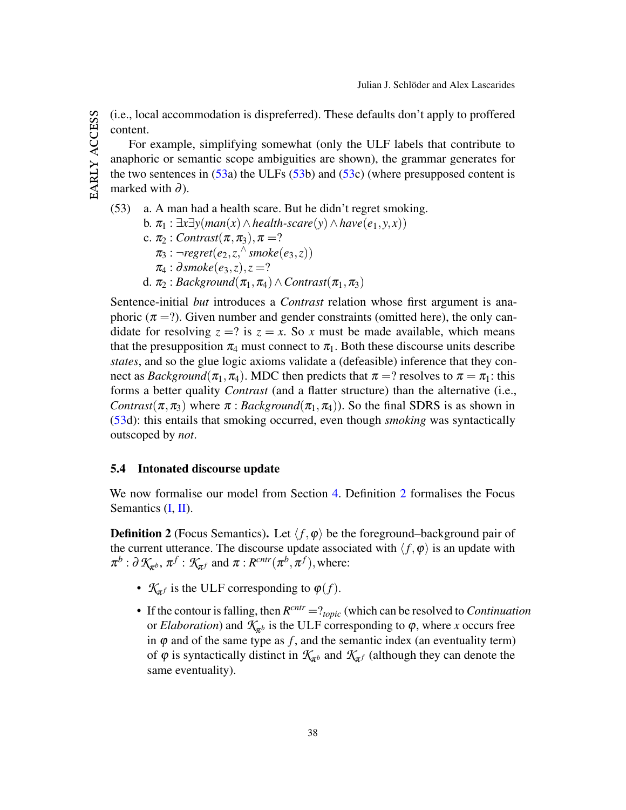(i.e., local accommodation is dispreferred). These defaults don't apply to proffered content.

For example, simplifying somewhat (only the ULF labels that contribute to anaphoric or semantic scope ambiguities are shown), the grammar generates for the two sentences in  $(53a)$  $(53a)$  the ULFs  $(53b)$  $(53b)$  and  $(53c)$  $(53c)$  (where presupposed content is marked with  $\partial$ ).

<span id="page-38-0"></span>(53) a. A man had a health scare. But he didn't regret smoking.

b. π<sup>1</sup> : ∃*x*∃*y*(*man*(*x*)∧*health-scare*(*y*)∧*have*(*e*1, *y*, *x*))

- c.  $\pi_2$  : *Contrast*( $\pi, \pi_3$ ),  $\pi = ?$ 
	- $\pi_3$ :  $\neg regret(e_2, z, \neg$   $smoke(e_3, z))$
	- $\pi_4 : \partial \text{smoke}(e_3, z), z = ?$
- d.  $\pi_2$ : *Background*( $\pi_1, \pi_4$ ) ∧ *Contrast*( $\pi_1, \pi_3$ )

Sentence-initial *but* introduces a *Contrast* relation whose first argument is anaphoric ( $\pi$  =?). Given number and gender constraints (omitted here), the only candidate for resolving  $z = ?$  is  $z = x$ . So x must be made available, which means that the presupposition  $\pi_4$  must connect to  $\pi_1$ . Both these discourse units describe *states*, and so the glue logic axioms validate a (defeasible) inference that they connect as *Background*( $\pi_1, \pi_4$ ). MDC then predicts that  $\pi = ?$  resolves to  $\pi = \pi_1$ : this forms a better quality *Contrast* (and a flatter structure) than the alternative (i.e., *Contrast*( $\pi, \pi$ <sub>3</sub>) where  $\pi$ : *Background*( $\pi$ <sub>1</sub>, $\pi$ <sub>4</sub>)). So the final SDRS is as shown in [\(53d](#page-38-0)): this entails that smoking occurred, even though *smoking* was syntactically outscoped by *not*.

### 5.4 Intonated discourse update

We now formalise our model from Section [4.](#page-15-0) Definition [2](#page-38-1) formalises the Focus Semantics [\(I,](#page-15-1) [II\)](#page-17-1).

<span id="page-38-1"></span>**Definition 2** (Focus Semantics). Let  $\langle f, \varphi \rangle$  be the foreground–background pair of the current utterance. The discourse update associated with  $\langle f, \varphi \rangle$  is an update with  $\pi^b : \partial \mathcal{K}_{\pi^b}, \pi^f : \mathcal{K}_{\pi^f}$  and  $\pi : R^{cntr}(\pi^b, \pi^f),$  where:

- $\mathcal{K}_{\pi^f}$  is the ULF corresponding to  $\varphi(f)$ .
- If the contour is falling, then  $R^{cntr} = ?_{topic}$  (which can be resolved to *Continuation* or *Elaboration*) and  $K_{\pi^b}$  is the ULF corresponding to  $\varphi$ , where *x* occurs free in  $\varphi$  and of the same type as  $f$ , and the semantic index (an eventuality term) of  $\varphi$  is syntactically distinct in  $\mathcal{K}_{\pi^b}$  and  $\mathcal{K}_{\pi^f}$  (although they can denote the same eventuality).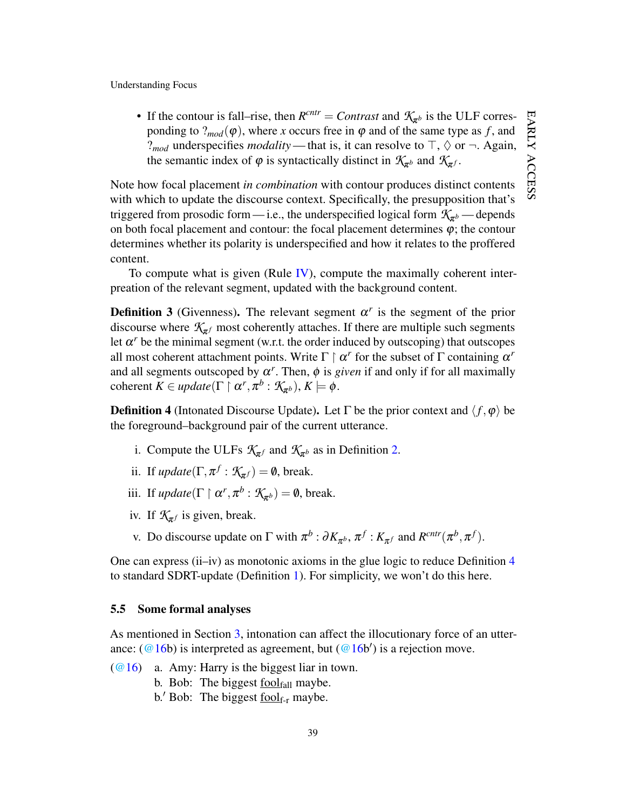• If the contour is fall–rise, then  $R^{cntr} =$  *Contrast* and  $K_{\pi^b}$  is the ULF corres-EARLY ACCESS early ponding to  $?_{mod}(\varphi)$ , where *x* occurs free in  $\varphi$  and of the same type as *f*, and ?<sub>*mod*</sub> underspecifies *modality* — that is, it can resolve to  $\top$ ,  $\Diamond$  or  $\neg$ . Again, the semantic index of  $\varphi$  is syntactically distinct in  $\mathcal{K}_{\pi^b}$  and  $\mathcal{K}_{\pi^f}$ . access

Note how focal placement *in combination* with contour produces distinct contents with which to update the discourse context. Specifically, the presupposition that's triggered from prosodic form — i.e., the underspecified logical form  $\mathcal{K}_{\pi^b}$  — depends on both focal placement and contour: the focal placement determines  $\varphi$ ; the contour determines whether its polarity is underspecified and how it relates to the proffered content.

To compute what is given (Rule [IV\)](#page-28-0), compute the maximally coherent interpreation of the relevant segment, updated with the background content.

<span id="page-39-2"></span>**Definition 3** (Givenness). The relevant segment  $\alpha^r$  is the segment of the prior discourse where  $\mathcal{K}_{\pi^f}$  most coherently attaches. If there are multiple such segments let  $\alpha^r$  be the minimal segment (w.r.t. the order induced by outscoping) that outscopes all most coherent attachment points. Write  $\Gamma \upharpoonright \alpha^r$  for the subset of  $\Gamma$  containing  $\alpha^r$ and all segments outscoped by  $\alpha^r$ . Then,  $\phi$  is *given* if and only if for all maximally  $\text{coherent } K \in update(\Gamma \mid \alpha^r, \pi^b : \mathcal{K}_{\pi^b}), K \models \phi.$ 

<span id="page-39-1"></span>**Definition 4** (Intonated Discourse Update). Let  $\Gamma$  be the prior context and  $\langle f, \varphi \rangle$  be the foreground–background pair of the current utterance.

- i. Compute the ULFs  $\mathcal{K}_{\pi^f}$  and  $\mathcal{K}_{\pi^b}$  as in Definition [2.](#page-38-1)
- ii. If  $update(\Gamma, \pi^f : \mathcal{K}_{\pi^f}) = \emptyset$ , break.
- iii. If  $update(\Gamma \upharpoonright \alpha^r, \pi^b : \mathcal{K}_{\pi^b}) = \emptyset$ , break.
- iv. If  $K_{\pi}$  is given, break.
- v. Do discourse update on  $\Gamma$  with  $\pi^b : \partial K_{\pi^b}, \pi^f : K_{\pi^f}$  and  $R^{cntr}(\pi^b, \pi^f)$ .

One can express  $(ii-iv)$  as monotonic axioms in the glue logic to reduce Definition [4](#page-39-1) to standard SDRT-update (Definition [1\)](#page-37-2). For simplicity, we won't do this here.

#### <span id="page-39-0"></span>5.5 Some formal analyses

As mentioned in Section [3,](#page-7-0) intonation can affect the illocutionary force of an utterance:  $(\textcircled a 16b)$  is interpreted as agreement, but  $(\textcircled a 16b')$  is a rejection move.

- $(@16)$  a. Amy: Harry is the biggest liar in town.
	- b. Bob: The biggest  $f_{\text{collfall}}$  maybe.
	- b.' Bob: The biggest  $\underline{fool}_{f-r}$  maybe.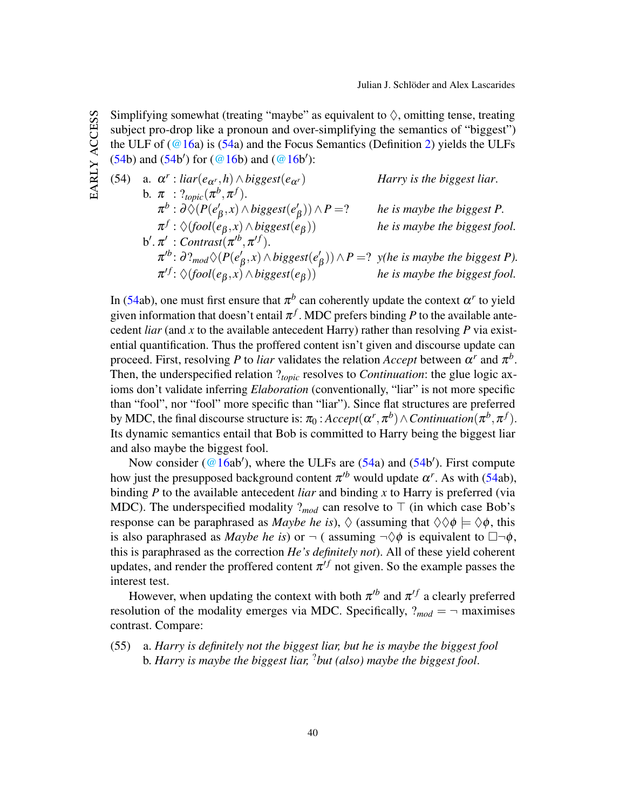Simplifying somewhat (treating "maybe" as equivalent to  $\Diamond$ , omitting tense, treating subject pro-drop like a pronoun and over-simplifying the semantics of "biggest") the ULF of  $(Q16a)$  is  $(54a)$  $(54a)$  and the Focus Semantics (Definition [2\)](#page-38-1) yields the ULFs  $(54b)$  $(54b)$  and  $(54b')$  for  $(@16b)$  $(@16b)$  and  $(@16b')$ :

EARLY ACCESS early access

<span id="page-40-0"></span>\n- (54) a. 
$$
\alpha^r : \text{liar}(e_{\alpha^r}, h) \wedge \text{biggest}(e_{\alpha^r})
$$
 Harry is the biggest liar.
\n- b.  $\pi : ?_{\text{topic}}(\pi^b, \pi^f)$ .  $\pi^b : \partial \Diamond (P(e_{\beta}^l, x) \wedge \text{biggest}(e_{\beta}^l)) \wedge P = ?$  he is maybe the biggest *P*.  $\pi^f : \Diamond (\text{tool}(e_{\beta}, x) \wedge \text{biggest}(e_{\beta}))$  he is maybe the biggest fool.
\n- b'.  $\pi' : \text{Contrast}(\pi^{rb}, \pi^{cf})$ .  $\pi^{rb} : \partial ?_{\text{mod}} \Diamond (P(e_{\beta}^l, x) \wedge \text{biggest}(e_{\beta}^l)) \wedge P = ?$  *y*(he is maybe the biggest *P*).  $\pi^{cf} : \Diamond (\text{tool}(e_{\beta}, x) \wedge \text{biggest}(e_{\beta}))$  he is maybe the biggest fool.
\n

In [\(54a](#page-40-0)b), one must first ensure that  $\pi^b$  can coherently update the context  $\alpha^r$  to yield given information that doesn't entail  $\pi^f$ . MDC prefers binding P to the available antecedent *liar* (and x to the available antecedent Harry) rather than resolving  $P$  via existential quantification. Thus the proffered content isn't given and discourse update can proceed. First, resolving P to *liar* validates the relation Accept between  $\alpha^r$  and  $\pi^b$ . Then, the underspecified relation ?*topic* resolves to *Continuation*: the glue logic axioms don't validate inferring *Elaboration* (conventionally, "liar" is not more specific than "fool", nor "fool" more specific than "liar"). Since flat structures are preferred by MDC, the final discourse structure is:  $\pi_0$  :  $Accept(\alpha^r, \pi^b) \wedge Continuation(\pi^b, \pi^f)$ . Its dynamic semantics entail that Bob is committed to Harry being the biggest liar and also maybe the biggest fool.

Now consider ( $@16ab'$ ), where the ULFs are [\(54a](#page-40-0)) and [\(54b](#page-40-0)'). First compute how just the presupposed background content  $\pi^{b}$  would update  $\alpha^{r}$ . As with [\(54a](#page-40-0)b), binding *P* to the available antecedent *liar* and binding *x* to Harry is preferred (via MDC). The underspecified modality  $?_{mod}$  can resolve to  $\top$  (in which case Bob's response can be paraphrased as *Maybe he is*),  $\Diamond$  (assuming that  $\Diamond \Diamond \phi \models \Diamond \phi$ , this is also paraphrased as *Maybe he is*) or  $\neg$  ( assuming  $\neg \Diamond \phi$  is equivalent to  $\Box \neg \phi$ , this is paraphrased as the correction *He's definitely not*). All of these yield coherent updates, and render the proffered content  $\pi^{ff}$  not given. So the example passes the interest test.

However, when updating the context with both  $\pi^{b}$  and  $\pi^{f}$  a clearly preferred resolution of the modality emerges via MDC. Specifically,  $?_{mod} = \neg$  maximises contrast. Compare:

(55) a. *Harry is definitely not the biggest liar, but he is maybe the biggest fool* b. *Harry is maybe the biggest liar,* ?*but (also) maybe the biggest fool*.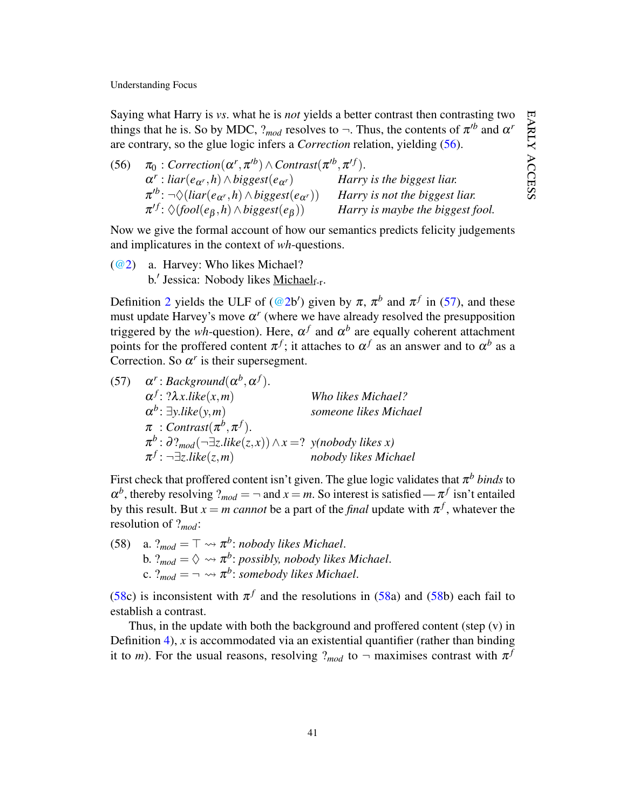EARLY ACCESS early access

Understanding Focus

Saying what Harry is *vs*. what he is *not* yields a better contrast then contrasting two things that he is. So by MDC,  $?_{mod}$  resolves to  $\neg$ . Thus, the contents of  $\pi^{/b}$  and  $\alpha^{r}$ are contrary, so the glue logic infers a *Correction* relation, yielding [\(56\)](#page-41-0).

<span id="page-41-0"></span>

| (56) | $\pi_0$ : Correction $(\alpha^r, \pi^{rb}) \wedge$ Contrast $(\pi^{rb}, \pi^{ff})$ . |                                  |
|------|--------------------------------------------------------------------------------------|----------------------------------|
|      | $\alpha^r$ : liar $(e_{\alpha^r}, h) \wedge biggest(e_{\alpha^r})$                   | Harry is the biggest liar.       |
|      | $\pi^{b}$ : $\neg \Diamond (liar(e_{\alpha^{r}}, h) \wedge biggest(e_{\alpha^{r}}))$ | Harry is not the biggest liar.   |
|      | $\pi^{tf}$ : $\Diamond (fool(e_{\beta}, h) \land biggest(e_{\beta}))$                | Harry is maybe the biggest fool. |

Now we give the formal account of how our semantics predicts felicity judgements and implicatures in the context of *wh*-questions.

[\(@2\)](#page-2-1) a. Harvey: Who likes Michael? b.' Jessica: Nobody likes Michael<sub>f-r</sub>.

Definition [2](#page-38-1) yields the ULF of [\(@2b](#page-2-1)') given by  $\pi$ ,  $\pi^b$  and  $\pi^f$  in [\(57\)](#page-41-1), and these must update Harvey's move  $\alpha^r$  (where we have already resolved the presupposition triggered by the *wh*-question). Here,  $\alpha^f$  and  $\alpha^b$  are equally coherent attachment points for the proffered content  $\pi^f$ ; it attaches to  $\alpha^f$  as an answer and to  $\alpha^b$  as a Correction. So  $\alpha^r$  is their supersegment.

<span id="page-41-1"></span>(57)  $\alpha^r : Background(\alpha^b, \alpha^f).$ α *f*  $Who$  likes Michael? α *b* : ∃*y*.*like*(*y*,*m*) *someone likes Michael*  $\pi$  : *Contrast* $(\pi^b, \pi^f)$ .  $\pi^b$ :  $\partial$ ?<sub>mod</sub>(¬∃*z.like*(*z*,*x*))∧*x* =? *y*(nobody likes *x*) π *f* : ¬∃*z*.*like*(*z*,*m*) *nobody likes Michael*

First check that proffered content isn't given. The glue logic validates that  $\pi^b$  *binds* to  $\alpha^b$ , thereby resolving  $?_{mod} = \neg$  and  $x = m$ . So interest is satisfied —  $\pi^f$  isn't entailed by this result. But  $x = m$  *cannot* be a part of the *final* update with  $\pi^f$ , whatever the resolution of ?*mod*:

<span id="page-41-2"></span>(58) a.  $?_{mod} = \top \rightsquigarrow \pi^b$ : *nobody likes Michael*. b.  $?_{mod} = \Diamond \leadsto \pi^b$ : possibly, nobody likes Michael. c.  $P_{mod} = \neg \leadsto \pi^b$ : somebody likes Michael.

[\(58c](#page-41-2)) is inconsistent with  $\pi^f$  and the resolutions in [\(58a](#page-41-2)) and [\(58b](#page-41-2)) each fail to establish a contrast.

Thus, in the update with both the background and proffered content (step (v) in Definition [4\)](#page-39-1), *x* is accommodated via an existential quantifier (rather than binding it to *m*). For the usual reasons, resolving  $?_{mod}$  to  $\neg$  maximises contrast with  $\pi^{f}$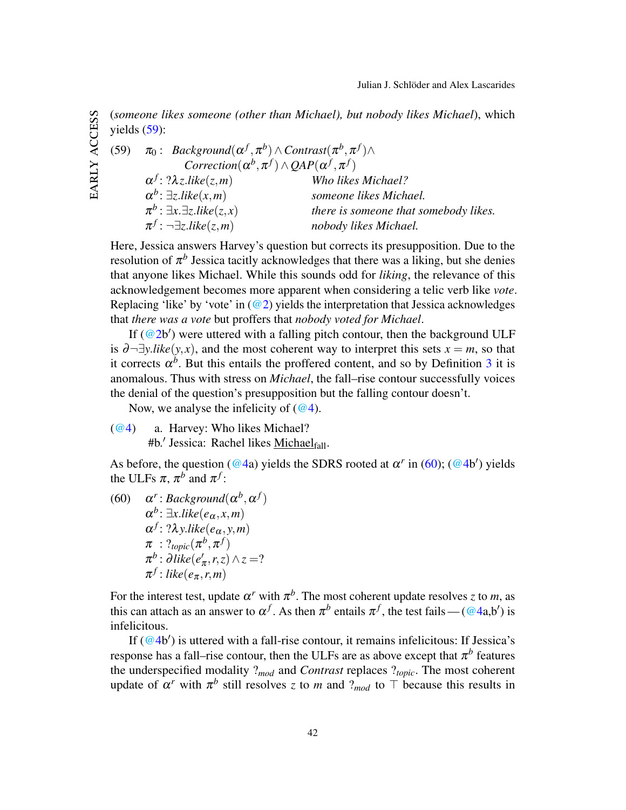(*someone likes someone (other than Michael), but nobody likes Michael*), which yields [\(59\)](#page-42-0):

EARLY ACCESS early access

<span id="page-42-0"></span>(59)  $\pi_0$ : *Background* $(\alpha^f, \pi^b) \wedge$ *Contrast* $(\pi^b, \pi^f) \wedge$  $\textit{Correction}(\alpha^b, \pi^f) \land \textit{QAP}(\alpha^f, \pi^f)$ α *f*  $Who$  likes Michael? α *b* : ∃*z*.*like*(*x*,*m*) *someone likes Michael.*  $\pi^b$ : ∃*x*.∃*z*.*like*(*z*, *x*) *there is someone that somebody likes.* π *f* : ¬∃*z*.*like*(*z*,*m*) *nobody likes Michael.*

Here, Jessica answers Harvey's question but corrects its presupposition. Due to the resolution of  $\pi^b$  Jessica tacitly acknowledges that there was a liking, but she denies that anyone likes Michael. While this sounds odd for *liking*, the relevance of this acknowledgement becomes more apparent when considering a telic verb like *vote*. Replacing 'like' by 'vote' in  $(\mathcal{Q}_2)$  yields the interpretation that Jessica acknowledges that *there was a vote* but proffers that *nobody voted for Michael*.

If  $(Q^2b')$  were uttered with a falling pitch contour, then the background ULF is  $\partial \neg \exists y. like(y, x)$ , and the most coherent way to interpret this sets  $x = m$ , so that it corrects  $\alpha^b$ . But this entails the proffered content, and so by Definition [3](#page-39-2) it is anomalous. Thus with stress on *Michael*, the fall–rise contour successfully voices the denial of the question's presupposition but the falling contour doesn't.

Now, we analyse the infelicity of  $(Q<sup>4</sup>)$ .

[\(@4\)](#page-7-1) a. Harvey: Who likes Michael? #b.' Jessica: Rachel likes **Michael**fall.

As before, the question [\(@4a](#page-7-1)) yields the SDRS rooted at  $\alpha^r$  in [\(60\)](#page-42-1); [\(@4b](#page-7-1)') yields the ULFs  $\pi$ ,  $\pi^b$  and  $\pi^f$ :

<span id="page-42-1"></span>(60)  $\alpha^r$ : *Background* $(\alpha^b, \alpha^f)$  $\alpha^b$ :  $\exists$ *x*.*like*( $e_\alpha$ *,x,m*) α *f* : ?λ*y*.*like*(*e*α, *y*,*m*)  $\pi$  :  $?_{topic}(\pi^b, \pi^f)$  $\pi^b$  : ∂like(e<sup>'</sup>  $\binom{r}{\pi}$ ,  $r, z) \wedge z = ?$  $\pi^f$ : *like*( $e_{\pi}$ ,*r*,*m*)

For the interest test, update  $\alpha^r$  with  $\pi^b$ . The most coherent update resolves *z* to *m*, as this can attach as an answer to  $\alpha^f$ . As then  $\pi^b$  entails  $\pi^f$ , the test fails — [\(@4a](#page-7-1),b') is infelicitous.

If  $(Q_4b')$  is uttered with a fall-rise contour, it remains infelicitous: If Jessica's response has a fall–rise contour, then the ULFs are as above except that  $\pi^b$  features the underspecified modality ?*mod* and *Contrast* replaces ?*topic*. The most coherent update of  $\alpha^r$  with  $\pi^b$  still resolves *z* to *m* and ?<sub>*mod*</sub> to  $\top$  because this results in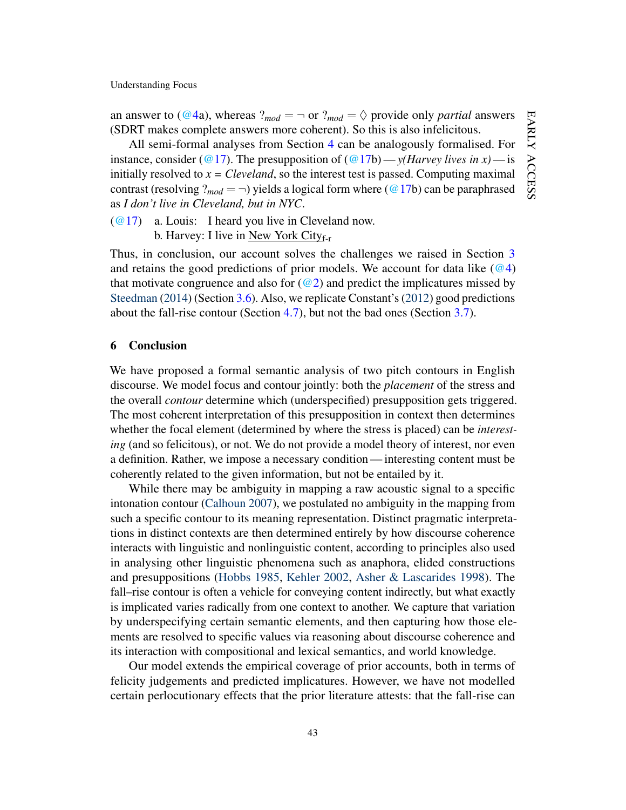an answer to [\(@4a](#page-7-1)), whereas  $?_{mod} = \neg$  or  $?_{mod} = \Diamond$  provide only *partial* answers (SDRT makes complete answers more coherent). So this is also infelicitous.

All semi-formal analyses from Section [4](#page-15-0) can be analogously formalised. For instance, consider [\(@17\)](#page-14-2). The presupposition of ( $@17b$ ) — *y*(*Harvey lives in x*) — is initially resolved to  $x = Cleveland$ , so the interest test is passed. Computing maximal contrast (resolving ?<sub>*mod*</sub> =  $\neg$ ) yields a logical form where [\(@17b](#page-14-2)) can be paraphrased as *I don't live in Cleveland, but in NYC*.

[\(@17\)](#page-14-2) a. Louis: I heard you live in Cleveland now. b. Harvey: I live in New York City $_{f-r}$ 

Thus, in conclusion, our account solves the challenges we raised in Section [3](#page-7-0) and retains the good predictions of prior models. We account for data like  $(Q<sup>4</sup>)$ that motivate congruence and also for  $(\mathcal{Q}_2)$  and predict the implicatures missed by [Steedman](#page-47-1) [\(2014\)](#page-47-1) (Section [3.6\)](#page-13-0). Also, we replicate Constant's [\(2012\)](#page-45-2) good predictions about the fall-rise contour (Section [4.7\)](#page-26-3), but not the bad ones (Section [3.7\)](#page-14-0).

#### 6 Conclusion

We have proposed a formal semantic analysis of two pitch contours in English discourse. We model focus and contour jointly: both the *placement* of the stress and the overall *contour* determine which (underspecified) presupposition gets triggered. The most coherent interpretation of this presupposition in context then determines whether the focal element (determined by where the stress is placed) can be *interesting* (and so felicitous), or not. We do not provide a model theory of interest, nor even a definition. Rather, we impose a necessary condition — interesting content must be coherently related to the given information, but not be entailed by it.

While there may be ambiguity in mapping a raw acoustic signal to a specific intonation contour [\(Calhoun](#page-45-3) [2007\)](#page-45-3), we postulated no ambiguity in the mapping from such a specific contour to its meaning representation. Distinct pragmatic interpretations in distinct contexts are then determined entirely by how discourse coherence interacts with linguistic and nonlinguistic content, according to principles also used in analysing other linguistic phenomena such as anaphora, elided constructions and presuppositions [\(Hobbs](#page-45-11) [1985,](#page-45-11) [Kehler](#page-46-13) [2002,](#page-46-13) [Asher & Lascarides](#page-44-4) [1998\)](#page-44-4). The fall–rise contour is often a vehicle for conveying content indirectly, but what exactly is implicated varies radically from one context to another. We capture that variation by underspecifying certain semantic elements, and then capturing how those elements are resolved to specific values via reasoning about discourse coherence and its interaction with compositional and lexical semantics, and world knowledge.

Our model extends the empirical coverage of prior accounts, both in terms of felicity judgements and predicted implicatures. However, we have not modelled certain perlocutionary effects that the prior literature attests: that the fall-rise can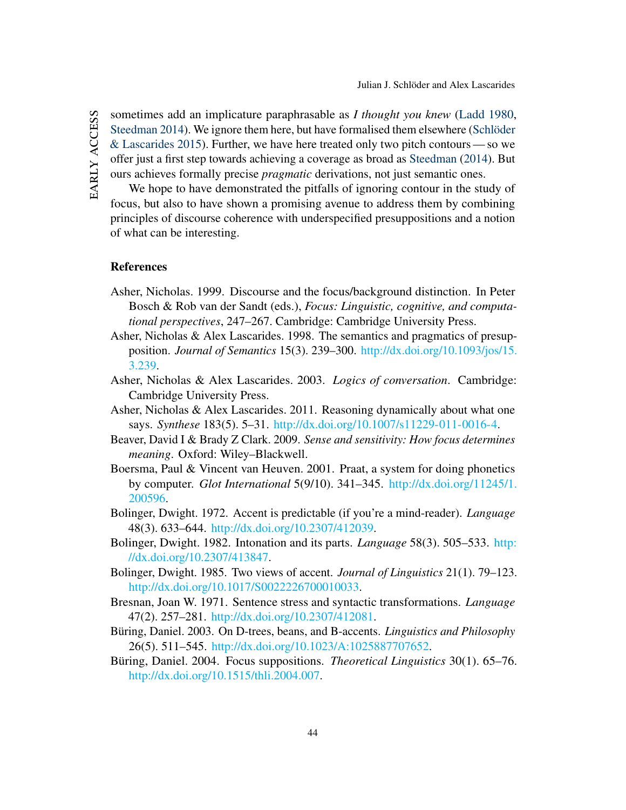EARLY ACCESS early access

sometimes add an implicature paraphrasable as *I thought you knew* [\(Ladd](#page-46-1) [1980,](#page-46-1) [Steedman](#page-47-1) [2014\)](#page-47-1). We ignore them here, but have formalised them elsewhere [\(Schlöder](#page-47-0) [& Lascarides](#page-47-0) [2015\)](#page-47-0). Further, we have here treated only two pitch contours — so we offer just a first step towards achieving a coverage as broad as [Steedman](#page-47-1) [\(2014\)](#page-47-1). But ours achieves formally precise *pragmatic* derivations, not just semantic ones.

We hope to have demonstrated the pitfalls of ignoring contour in the study of focus, but also to have shown a promising avenue to address them by combining principles of discourse coherence with underspecified presuppositions and a notion of what can be interesting.

### **References**

- <span id="page-44-8"></span>Asher, Nicholas. 1999. Discourse and the focus/background distinction. In Peter Bosch & Rob van der Sandt (eds.), *Focus: Linguistic, cognitive, and computational perspectives*, 247–267. Cambridge: Cambridge University Press.
- <span id="page-44-4"></span>Asher, Nicholas & Alex Lascarides. 1998. The semantics and pragmatics of presupposition. *Journal of Semantics* 15(3). 239–300. [http://dx.doi.org/10.1093/jos/15.](http://dx.doi.org/10.1093/jos/15.3.239) [3.239.](http://dx.doi.org/10.1093/jos/15.3.239)
- <span id="page-44-3"></span>Asher, Nicholas & Alex Lascarides. 2003. *Logics of conversation*. Cambridge: Cambridge University Press.
- <span id="page-44-9"></span>Asher, Nicholas & Alex Lascarides. 2011. Reasoning dynamically about what one says. *Synthese* 183(5). 5–31. [http://dx.doi.org/10.1007/s11229-011-0016-4.](http://dx.doi.org/10.1007/s11229-011-0016-4)
- <span id="page-44-7"></span>Beaver, David I & Brady Z Clark. 2009. *Sense and sensitivity: How focus determines meaning*. Oxford: Wiley–Blackwell.
- <span id="page-44-0"></span>Boersma, Paul & Vincent van Heuven. 2001. Praat, a system for doing phonetics by computer. *Glot International* 5(9/10). 341–345. [http://dx.doi.org/11245/1.](http://dx.doi.org/11245/1.200596) [200596.](http://dx.doi.org/11245/1.200596)
- <span id="page-44-1"></span>Bolinger, Dwight. 1972. Accent is predictable (if you're a mind-reader). *Language* 48(3). 633–644. [http://dx.doi.org/10.2307/412039.](http://dx.doi.org/10.2307/412039)
- <span id="page-44-6"></span>Bolinger, Dwight. 1982. Intonation and its parts. *Language* 58(3). 505–533. [http:](http://dx.doi.org/10.2307/413847) [//dx.doi.org/10.2307/413847.](http://dx.doi.org/10.2307/413847)
- <span id="page-44-2"></span>Bolinger, Dwight. 1985. Two views of accent. *Journal of Linguistics* 21(1). 79–123. [http://dx.doi.org/10.1017/S0022226700010033.](http://dx.doi.org/10.1017/S0022226700010033)
- <span id="page-44-11"></span>Bresnan, Joan W. 1971. Sentence stress and syntactic transformations. *Language* 47(2). 257–281. [http://dx.doi.org/10.2307/412081.](http://dx.doi.org/10.2307/412081)
- <span id="page-44-5"></span>Büring, Daniel. 2003. On D-trees, beans, and B-accents. *Linguistics and Philosophy* 26(5). 511–545. [http://dx.doi.org/10.1023/A:1025887707652.](http://dx.doi.org/10.1023/A:1025887707652)
- <span id="page-44-10"></span>Büring, Daniel. 2004. Focus suppositions. *Theoretical Linguistics* 30(1). 65–76. [http://dx.doi.org/10.1515/thli.2004.007.](http://dx.doi.org/10.1515/thli.2004.007)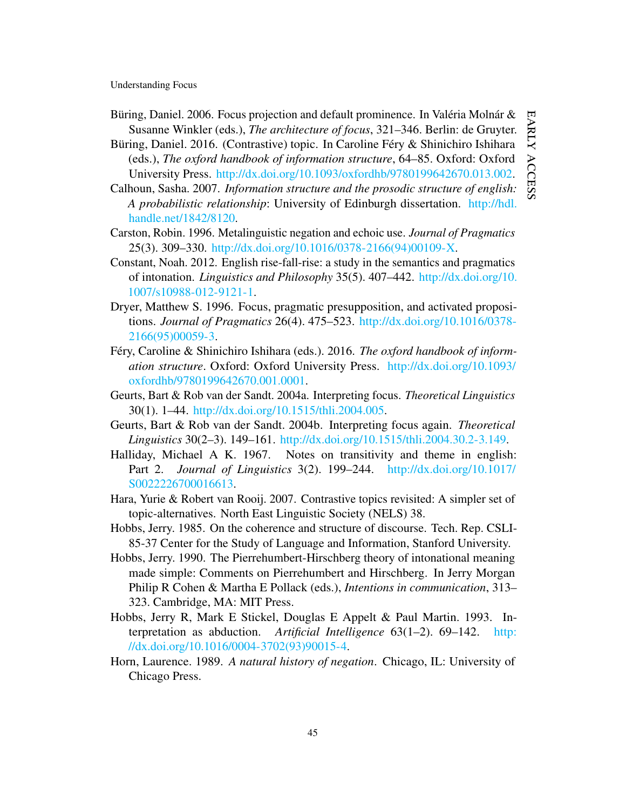- <span id="page-45-5"></span>Büring, Daniel. 2006. Focus projection and default prominence. In Valéria Molnár & Susanne Winkler (eds.), *The architecture of focus*, 321–346. Berlin: de Gruyter.
- <span id="page-45-6"></span>Büring, Daniel. 2016. (Contrastive) topic. In Caroline Féry & Shinichiro Ishihara (eds.), *The oxford handbook of information structure*, 64–85. Oxford: Oxford University Press. [http://dx.doi.org/10.1093/oxfordhb/9780199642670.013.002.](http://dx.doi.org/10.1093/oxfordhb/9780199642670.013.002)
- <span id="page-45-3"></span>Calhoun, Sasha. 2007. *Information structure and the prosodic structure of english: A probabilistic relationship*: University of Edinburgh dissertation. [http://hdl.](http://hdl.handle.net/1842/8120) [handle.net/1842/8120.](http://hdl.handle.net/1842/8120)
- <span id="page-45-14"></span>Carston, Robin. 1996. Metalinguistic negation and echoic use. *Journal of Pragmatics* 25(3). 309–330. [http://dx.doi.org/10.1016/0378-2166\(94\)00109-X.](http://dx.doi.org/10.1016/0378-2166(94)00109-X)
- <span id="page-45-2"></span>Constant, Noah. 2012. English rise-fall-rise: a study in the semantics and pragmatics of intonation. *Linguistics and Philosophy* 35(5). 407–442. [http://dx.doi.org/10.](http://dx.doi.org/10.1007/s10988-012-9121-1) [1007/s10988-012-9121-1.](http://dx.doi.org/10.1007/s10988-012-9121-1)
- <span id="page-45-1"></span>Dryer, Matthew S. 1996. Focus, pragmatic presupposition, and activated propositions. *Journal of Pragmatics* 26(4). 475–523. [http://dx.doi.org/10.1016/0378-](http://dx.doi.org/10.1016/0378-2166(95)00059-3) [2166\(95\)00059-3.](http://dx.doi.org/10.1016/0378-2166(95)00059-3)
- <span id="page-45-10"></span>Féry, Caroline & Shinichiro Ishihara (eds.). 2016. *The oxford handbook of information structure*. Oxford: Oxford University Press. [http://dx.doi.org/10.1093/](http://dx.doi.org/10.1093/oxfordhb/9780199642670.001.0001) [oxfordhb/9780199642670.001.0001.](http://dx.doi.org/10.1093/oxfordhb/9780199642670.001.0001)
- <span id="page-45-0"></span>Geurts, Bart & Rob van der Sandt. 2004a. Interpreting focus. *Theoretical Linguistics* 30(1). 1–44. [http://dx.doi.org/10.1515/thli.2004.005.](http://dx.doi.org/10.1515/thli.2004.005)
- <span id="page-45-9"></span>Geurts, Bart & Rob van der Sandt. 2004b. Interpreting focus again. *Theoretical Linguistics* 30(2–3). 149–161. [http://dx.doi.org/10.1515/thli.2004.30.2-3.149.](http://dx.doi.org/10.1515/thli.2004.30.2-3.149)
- <span id="page-45-4"></span>Halliday, Michael A K. 1967. Notes on transitivity and theme in english: Part 2. *Journal of Linguistics* 3(2). 199–244. [http://dx.doi.org/10.1017/](http://dx.doi.org/10.1017/S0022226700016613) [S0022226700016613.](http://dx.doi.org/10.1017/S0022226700016613)
- <span id="page-45-7"></span>Hara, Yurie & Robert van Rooij. 2007. Contrastive topics revisited: A simpler set of topic-alternatives. North East Linguistic Society (NELS) 38.
- <span id="page-45-11"></span>Hobbs, Jerry. 1985. On the coherence and structure of discourse. Tech. Rep. CSLI-85-37 Center for the Study of Language and Information, Stanford University.
- <span id="page-45-8"></span>Hobbs, Jerry. 1990. The Pierrehumbert-Hirschberg theory of intonational meaning made simple: Comments on Pierrehumbert and Hirschberg. In Jerry Morgan Philip R Cohen & Martha E Pollack (eds.), *Intentions in communication*, 313– 323. Cambridge, MA: MIT Press.
- <span id="page-45-12"></span>Hobbs, Jerry R, Mark E Stickel, Douglas E Appelt & Paul Martin. 1993. Interpretation as abduction. *Artificial Intelligence* 63(1–2). 69–142. [http:](http://dx.doi.org/10.1016/0004-3702(93)90015-4) [//dx.doi.org/10.1016/0004-3702\(93\)90015-4.](http://dx.doi.org/10.1016/0004-3702(93)90015-4)
- <span id="page-45-13"></span>Horn, Laurence. 1989. *A natural history of negation*. Chicago, IL: University of Chicago Press.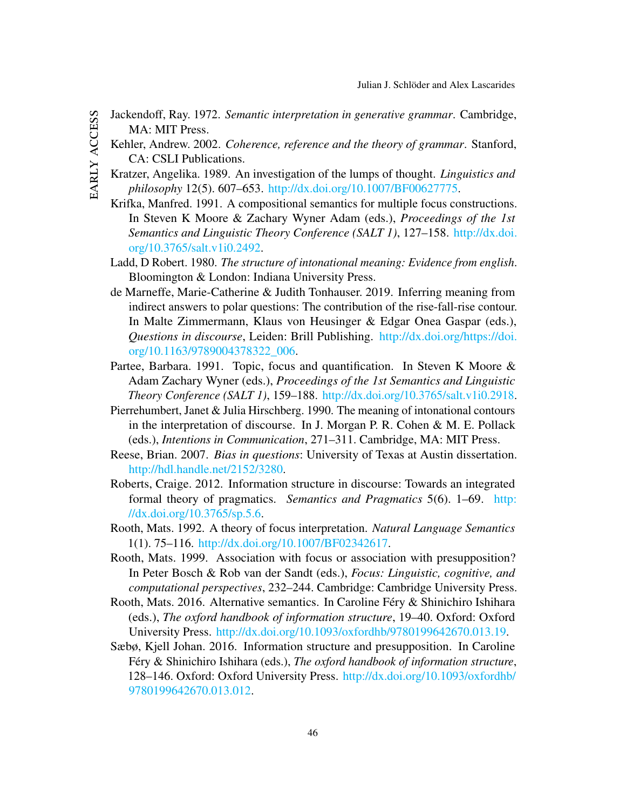- <span id="page-46-13"></span><span id="page-46-12"></span><span id="page-46-11"></span><span id="page-46-10"></span><span id="page-46-9"></span><span id="page-46-8"></span><span id="page-46-7"></span><span id="page-46-6"></span><span id="page-46-5"></span><span id="page-46-4"></span><span id="page-46-3"></span><span id="page-46-2"></span><span id="page-46-1"></span><span id="page-46-0"></span>Jackendoff, Ray. 1972. *Semantic interpretation in generative grammar*. Cambridge, MA: MIT Press.
	- Kehler, Andrew. 2002. *Coherence, reference and the theory of grammar*. Stanford, CA: CSLI Publications.
	- Kratzer, Angelika. 1989. An investigation of the lumps of thought. *Linguistics and philosophy* 12(5). 607–653. [http://dx.doi.org/10.1007/BF00627775.](http://dx.doi.org/10.1007/BF00627775)
	- Krifka, Manfred. 1991. A compositional semantics for multiple focus constructions. In Steven K Moore & Zachary Wyner Adam (eds.), *Proceedings of the 1st Semantics and Linguistic Theory Conference (SALT 1)*, 127–158. [http://dx.doi.](http://dx.doi.org/10.3765/salt.v1i0.2492) [org/10.3765/salt.v1i0.2492.](http://dx.doi.org/10.3765/salt.v1i0.2492)
	- Ladd, D Robert. 1980. *The structure of intonational meaning: Evidence from english*. Bloomington & London: Indiana University Press.
	- de Marneffe, Marie-Catherine & Judith Tonhauser. 2019. Inferring meaning from indirect answers to polar questions: The contribution of the rise-fall-rise contour. In Malte Zimmermann, Klaus von Heusinger & Edgar Onea Gaspar (eds.), *Questions in discourse*, Leiden: Brill Publishing. [http://dx.doi.org/https://doi.](http://dx.doi.org/https://doi.org/10.1163/9789004378322_006) [org/10.1163/9789004378322\\_006.](http://dx.doi.org/https://doi.org/10.1163/9789004378322_006)
	- Partee, Barbara. 1991. Topic, focus and quantification. In Steven K Moore & Adam Zachary Wyner (eds.), *Proceedings of the 1st Semantics and Linguistic Theory Conference (SALT 1)*, 159–188. [http://dx.doi.org/10.3765/salt.v1i0.2918.](http://dx.doi.org/10.3765/salt.v1i0.2918)
	- Pierrehumbert, Janet & Julia Hirschberg. 1990. The meaning of intonational contours in the interpretation of discourse. In J. Morgan P. R. Cohen & M. E. Pollack (eds.), *Intentions in Communication*, 271–311. Cambridge, MA: MIT Press.
	- Reese, Brian. 2007. *Bias in questions*: University of Texas at Austin dissertation. [http://hdl.handle.net/2152/3280.](http://hdl.handle.net/2152/3280)
	- Roberts, Craige. 2012. Information structure in discourse: Towards an integrated formal theory of pragmatics. *Semantics and Pragmatics* 5(6). 1–69. [http:](http://dx.doi.org/10.3765/sp.5.6) [//dx.doi.org/10.3765/sp.5.6.](http://dx.doi.org/10.3765/sp.5.6)
	- Rooth, Mats. 1992. A theory of focus interpretation. *Natural Language Semantics* 1(1). 75–116. [http://dx.doi.org/10.1007/BF02342617.](http://dx.doi.org/10.1007/BF02342617)
	- Rooth, Mats. 1999. Association with focus or association with presupposition? In Peter Bosch & Rob van der Sandt (eds.), *Focus: Linguistic, cognitive, and computational perspectives*, 232–244. Cambridge: Cambridge University Press.
	- Rooth, Mats. 2016. Alternative semantics. In Caroline Féry & Shinichiro Ishihara (eds.), *The oxford handbook of information structure*, 19–40. Oxford: Oxford University Press. [http://dx.doi.org/10.1093/oxfordhb/9780199642670.013.19.](http://dx.doi.org/10.1093/oxfordhb/9780199642670.013.19)
	- Sæbø, Kjell Johan. 2016. Information structure and presupposition. In Caroline Féry & Shinichiro Ishihara (eds.), *The oxford handbook of information structure*, 128–146. Oxford: Oxford University Press. [http://dx.doi.org/10.1093/oxfordhb/](http://dx.doi.org/10.1093/oxfordhb/9780199642670.013.012) [9780199642670.013.012.](http://dx.doi.org/10.1093/oxfordhb/9780199642670.013.012)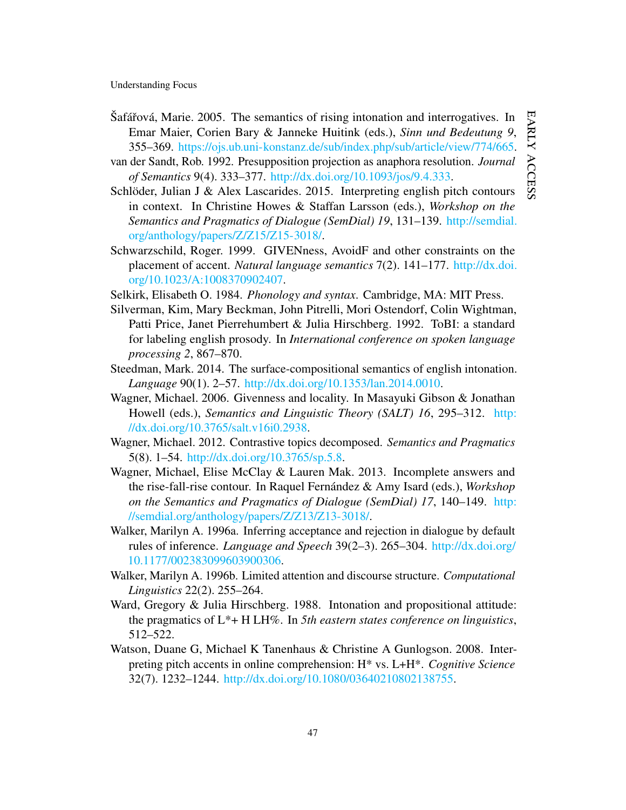- <span id="page-47-11"></span>Šafářová, Marie. 2005. The semantics of rising intonation and interrogatives. In Emar Maier, Corien Bary & Janneke Huitink (eds.), *Sinn und Bedeutung 9*, 355–369. [https://ojs.ub.uni-konstanz.de/sub/index.php/sub/article/view/774/665.](https://ojs.ub.uni-konstanz.de/sub/index.php/sub/article/view/774/665)
- <span id="page-47-9"></span>van der Sandt, Rob. 1992. Presupposition projection as anaphora resolution. *Journal of Semantics* 9(4). 333–377. [http://dx.doi.org/10.1093/jos/9.4.333.](http://dx.doi.org/10.1093/jos/9.4.333)
- <span id="page-47-0"></span>Schlöder, Julian J & Alex Lascarides. 2015. Interpreting english pitch contours in context. In Christine Howes & Staffan Larsson (eds.), *Workshop on the Semantics and Pragmatics of Dialogue (SemDial) 19*, 131–139. [http://semdial.](http://semdial.org/anthology/papers/Z/Z15/Z15-3018/) [org/anthology/papers/Z/Z15/Z15-3018/.](http://semdial.org/anthology/papers/Z/Z15/Z15-3018/)
- <span id="page-47-5"></span>Schwarzschild, Roger. 1999. GIVENness, AvoidF and other constraints on the placement of accent. *Natural language semantics* 7(2). 141–177. [http://dx.doi.](http://dx.doi.org/10.1023/A:1008370902407) [org/10.1023/A:1008370902407.](http://dx.doi.org/10.1023/A:1008370902407)
- <span id="page-47-4"></span>Selkirk, Elisabeth O. 1984. *Phonology and syntax*. Cambridge, MA: MIT Press.
- <span id="page-47-2"></span>Silverman, Kim, Mary Beckman, John Pitrelli, Mori Ostendorf, Colin Wightman, Patti Price, Janet Pierrehumbert & Julia Hirschberg. 1992. ToBI: a standard for labeling english prosody. In *International conference on spoken language processing 2*, 867–870.
- <span id="page-47-1"></span>Steedman, Mark. 2014. The surface-compositional semantics of english intonation. *Language* 90(1). 2–57. [http://dx.doi.org/10.1353/lan.2014.0010.](http://dx.doi.org/10.1353/lan.2014.0010)
- <span id="page-47-13"></span>Wagner, Michael. 2006. Givenness and locality. In Masayuki Gibson & Jonathan Howell (eds.), *Semantics and Linguistic Theory (SALT) 16*, 295–312. [http:](http://dx.doi.org/10.3765/salt.v16i0.2938) [//dx.doi.org/10.3765/salt.v16i0.2938.](http://dx.doi.org/10.3765/salt.v16i0.2938)
- <span id="page-47-7"></span>Wagner, Michael. 2012. Contrastive topics decomposed. *Semantics and Pragmatics* 5(8). 1–54. [http://dx.doi.org/10.3765/sp.5.8.](http://dx.doi.org/10.3765/sp.5.8)
- <span id="page-47-8"></span>Wagner, Michael, Elise McClay & Lauren Mak. 2013. Incomplete answers and the rise-fall-rise contour. In Raquel Fernández & Amy Isard (eds.), *Workshop on the Semantics and Pragmatics of Dialogue (SemDial) 17*, 140–149. [http:](http://semdial.org/anthology/papers/Z/Z13/Z13-3018/) [//semdial.org/anthology/papers/Z/Z13/Z13-3018/.](http://semdial.org/anthology/papers/Z/Z13/Z13-3018/)
- <span id="page-47-6"></span>Walker, Marilyn A. 1996a. Inferring acceptance and rejection in dialogue by default rules of inference. *Language and Speech* 39(2–3). 265–304. [http://dx.doi.org/](http://dx.doi.org/10.1177/002383099603900306) [10.1177/002383099603900306.](http://dx.doi.org/10.1177/002383099603900306)
- <span id="page-47-12"></span>Walker, Marilyn A. 1996b. Limited attention and discourse structure. *Computational Linguistics* 22(2). 255–264.
- <span id="page-47-10"></span>Ward, Gregory & Julia Hirschberg. 1988. Intonation and propositional attitude: the pragmatics of L\*+ H LH%. In *5th eastern states conference on linguistics*, 512–522.
- <span id="page-47-3"></span>Watson, Duane G, Michael K Tanenhaus & Christine A Gunlogson. 2008. Interpreting pitch accents in online comprehension: H\* vs. L+H\*. *Cognitive Science* 32(7). 1232–1244. [http://dx.doi.org/10.1080/03640210802138755.](http://dx.doi.org/10.1080/03640210802138755)